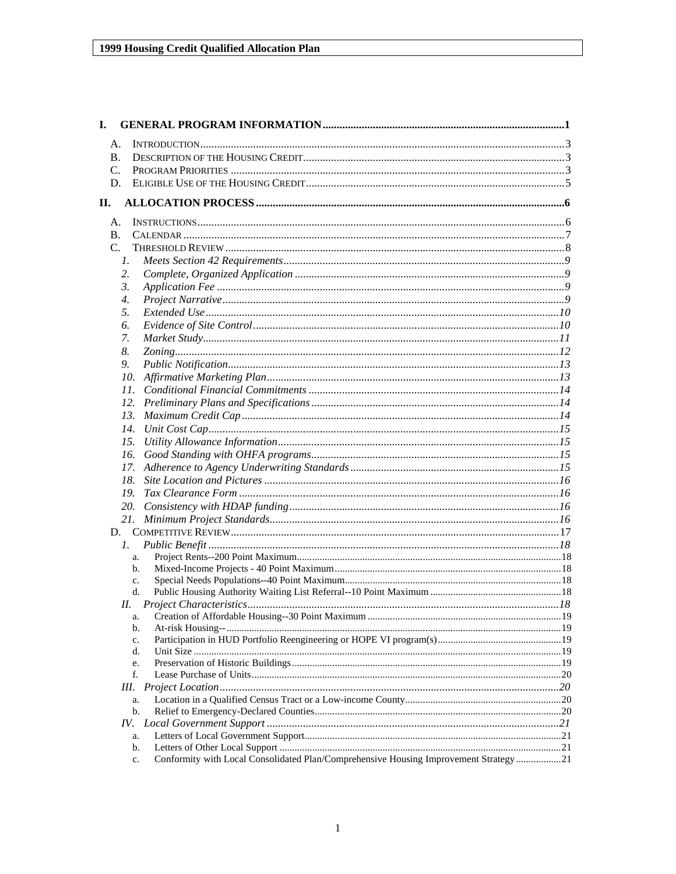| I.  |                  |                                                                                      |  |
|-----|------------------|--------------------------------------------------------------------------------------|--|
|     | A.               |                                                                                      |  |
|     | <b>B.</b>        |                                                                                      |  |
|     | $C_{\cdot}$      |                                                                                      |  |
|     | D.               |                                                                                      |  |
| II. |                  |                                                                                      |  |
|     |                  |                                                                                      |  |
|     | A.               |                                                                                      |  |
|     | <b>B.</b>        |                                                                                      |  |
|     | $C_{\cdot}$      |                                                                                      |  |
|     | 1.               |                                                                                      |  |
|     | 2.               |                                                                                      |  |
|     | $\mathfrak{Z}$ . |                                                                                      |  |
|     | $\overline{4}$ . |                                                                                      |  |
|     | 5.               |                                                                                      |  |
|     | 6.               |                                                                                      |  |
|     | 7.               |                                                                                      |  |
|     | 8.               |                                                                                      |  |
|     | 9.               |                                                                                      |  |
|     |                  |                                                                                      |  |
|     |                  |                                                                                      |  |
|     |                  |                                                                                      |  |
|     |                  |                                                                                      |  |
|     |                  |                                                                                      |  |
|     | 15.              |                                                                                      |  |
|     | 16.              |                                                                                      |  |
|     | 17.              |                                                                                      |  |
|     | 18.              |                                                                                      |  |
|     | 19.              |                                                                                      |  |
|     |                  |                                                                                      |  |
|     |                  |                                                                                      |  |
|     |                  |                                                                                      |  |
|     | $l_{\cdot}$      |                                                                                      |  |
|     | a.<br>b.         |                                                                                      |  |
|     | c.               |                                                                                      |  |
|     | d.               |                                                                                      |  |
|     |                  |                                                                                      |  |
|     | a.               |                                                                                      |  |
|     | $\mathbf{b}$ .   |                                                                                      |  |
|     | c.               |                                                                                      |  |
|     | d.               |                                                                                      |  |
|     | e.               |                                                                                      |  |
|     | f.               |                                                                                      |  |
|     | Ш.               |                                                                                      |  |
|     | a.<br>b.         |                                                                                      |  |
|     | IV.              |                                                                                      |  |
|     | a.               |                                                                                      |  |
|     | b.               |                                                                                      |  |
|     | c.               | Conformity with Local Consolidated Plan/Comprehensive Housing Improvement Strategy21 |  |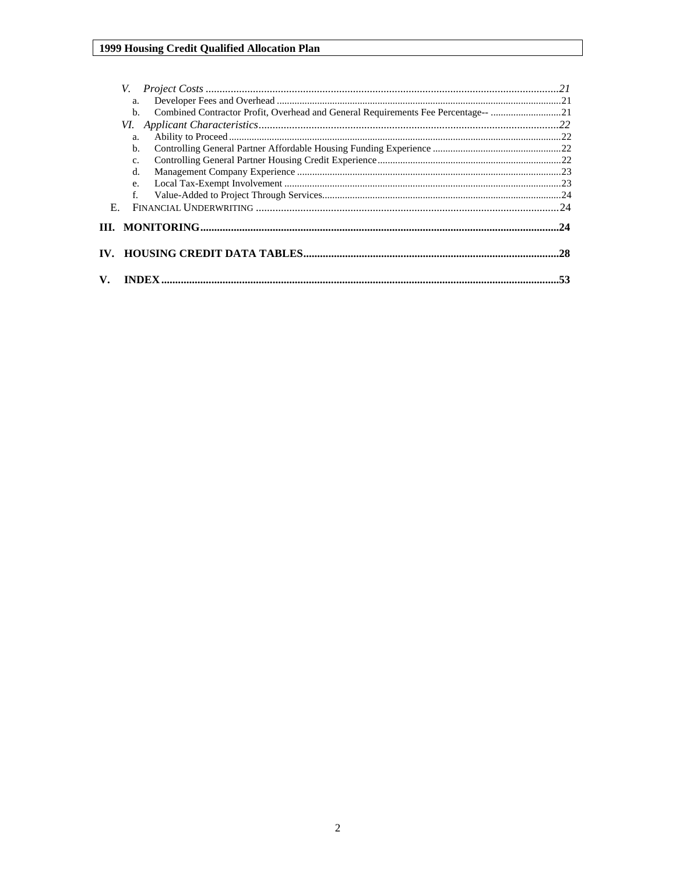|    | V.             |                                                                                   |  |
|----|----------------|-----------------------------------------------------------------------------------|--|
|    | a.             |                                                                                   |  |
|    | $b$            | Combined Contractor Profit, Overhead and General Requirements Fee Percentage-- 21 |  |
|    |                |                                                                                   |  |
|    | a.             |                                                                                   |  |
|    | b.             |                                                                                   |  |
|    | $\mathbf{C}$ . |                                                                                   |  |
|    | d.             |                                                                                   |  |
|    | e.             |                                                                                   |  |
|    | f.             |                                                                                   |  |
| Е. |                |                                                                                   |  |
|    |                |                                                                                   |  |
|    |                |                                                                                   |  |
|    |                |                                                                                   |  |
| V. | <b>INDEX</b>   |                                                                                   |  |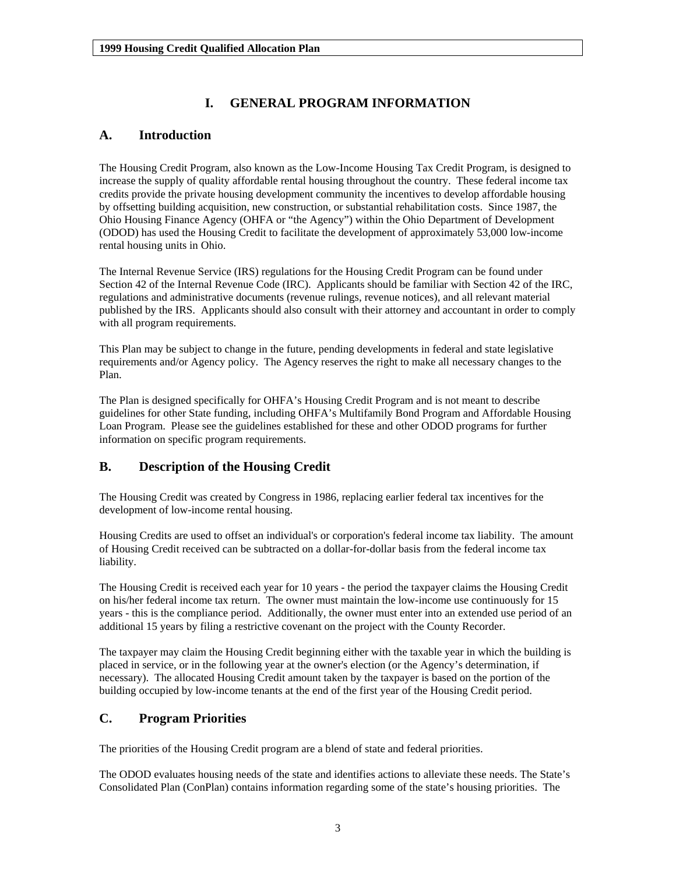## **I. GENERAL PROGRAM INFORMATION**

## <span id="page-2-0"></span>**A. Introduction**

The Housing Credit Program, also known as the Low-Income Housing Tax Credit Program, is designed to increase the supply of quality affordable rental housing throughout the country. These federal income tax credits provide the private housing development community the incentives to develop affordable housing by offsetting building acquisition, new construction, or substantial rehabilitation costs. Since 1987, the Ohio Housing Finance Agency (OHFA or "the Agency") within the Ohio Department of Development (ODOD) has used the Housing Credit to facilitate the development of approximately 53,000 low-income rental housing units in Ohio.

The Internal Revenue Service (IRS) regulations for the Housing Credit Program can be found under Section 42 of the Internal Revenue Code (IRC). Applicants should be familiar with Section 42 of the IRC, regulations and administrative documents (revenue rulings, revenue notices), and all relevant material published by the IRS. Applicants should also consult with their attorney and accountant in order to comply with all program requirements.

This Plan may be subject to change in the future, pending developments in federal and state legislative requirements and/or Agency policy. The Agency reserves the right to make all necessary changes to the Plan.

The Plan is designed specifically for OHFA's Housing Credit Program and is not meant to describe guidelines for other State funding, including OHFA's Multifamily Bond Program and Affordable Housing Loan Program. Please see the guidelines established for these and other ODOD programs for further information on specific program requirements.

## **B. Description of the Housing Credit**

The Housing Credit was created by Congress in 1986, replacing earlier federal tax incentives for the development of low-income rental housing.

Housing Credits are used to offset an individual's or corporation's federal income tax liability. The amount of Housing Credit received can be subtracted on a dollar-for-dollar basis from the federal income tax liability.

The Housing Credit is received each year for 10 years - the period the taxpayer claims the Housing Credit on his/her federal income tax return. The owner must maintain the low-income use continuously for 15 years - this is the compliance period. Additionally, the owner must enter into an extended use period of an additional 15 years by filing a restrictive covenant on the project with the County Recorder.

The taxpayer may claim the Housing Credit beginning either with the taxable year in which the building is placed in service, or in the following year at the owner's election (or the Agency's determination, if necessary). The allocated Housing Credit amount taken by the taxpayer is based on the portion of the building occupied by low-income tenants at the end of the first year of the Housing Credit period.

## **C. Program Priorities**

The priorities of the Housing Credit program are a blend of state and federal priorities.

The ODOD evaluates housing needs of the state and identifies actions to alleviate these needs. The State's Consolidated Plan (ConPlan) contains information regarding some of the state's housing priorities. The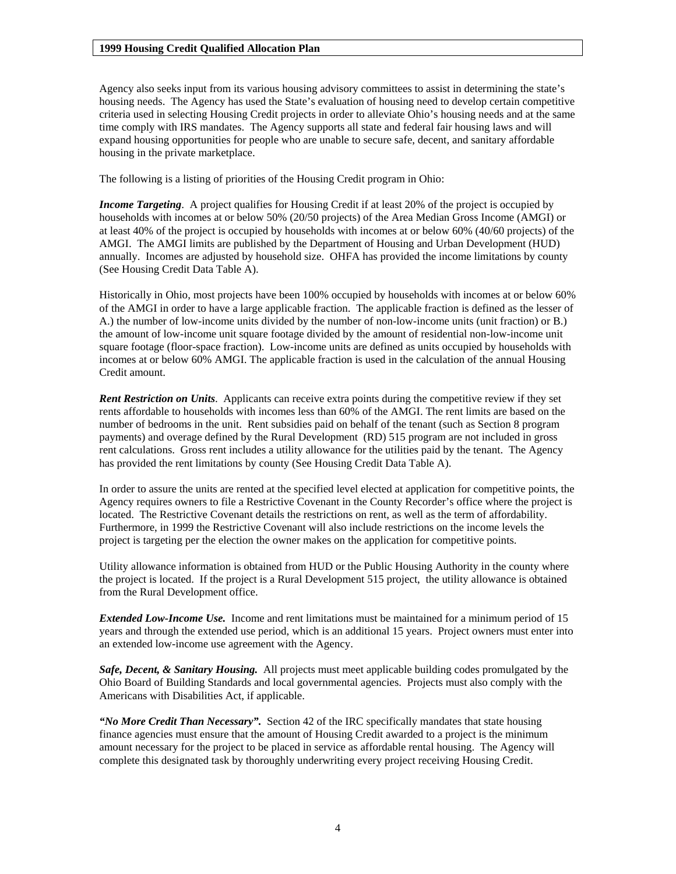Agency also seeks input from its various housing advisory committees to assist in determining the state's housing needs. The Agency has used the State's evaluation of housing need to develop certain competitive criteria used in selecting Housing Credit projects in order to alleviate Ohio's housing needs and at the same time comply with IRS mandates. The Agency supports all state and federal fair housing laws and will expand housing opportunities for people who are unable to secure safe, decent, and sanitary affordable housing in the private marketplace.

The following is a listing of priorities of the Housing Credit program in Ohio:

*Income Targeting*. A project qualifies for Housing Credit if at least 20% of the project is occupied by households with incomes at or below 50% (20/50 projects) of the Area Median Gross Income (AMGI) or at least 40% of the project is occupied by households with incomes at or below 60% (40/60 projects) of the AMGI. The AMGI limits are published by the Department of Housing and Urban Development (HUD) annually. Incomes are adjusted by household size. OHFA has provided the income limitations by county (See Housing Credit Data Table A).

Historically in Ohio, most projects have been 100% occupied by households with incomes at or below 60% of the AMGI in order to have a large applicable fraction. The applicable fraction is defined as the lesser of A.) the number of low-income units divided by the number of non-low-income units (unit fraction) or B.) the amount of low-income unit square footage divided by the amount of residential non-low-income unit square footage (floor-space fraction). Low-income units are defined as units occupied by households with incomes at or below 60% AMGI. The applicable fraction is used in the calculation of the annual Housing Credit amount.

*Rent Restriction on Units*. Applicants can receive extra points during the competitive review if they set rents affordable to households with incomes less than 60% of the AMGI. The rent limits are based on the number of bedrooms in the unit. Rent subsidies paid on behalf of the tenant (such as Section 8 program payments) and overage defined by the Rural Development (RD) 515 program are not included in gross rent calculations. Gross rent includes a utility allowance for the utilities paid by the tenant. The Agency has provided the rent limitations by county (See Housing Credit Data Table A).

In order to assure the units are rented at the specified level elected at application for competitive points, the Agency requires owners to file a Restrictive Covenant in the County Recorder's office where the project is located. The Restrictive Covenant details the restrictions on rent, as well as the term of affordability. Furthermore, in 1999 the Restrictive Covenant will also include restrictions on the income levels the project is targeting per the election the owner makes on the application for competitive points.

Utility allowance information is obtained from HUD or the Public Housing Authority in the county where the project is located. If the project is a Rural Development 515 project, the utility allowance is obtained from the Rural Development office.

*Extended Low-Income Use.* Income and rent limitations must be maintained for a minimum period of 15 years and through the extended use period, which is an additional 15 years. Project owners must enter into an extended low-income use agreement with the Agency.

*Safe, Decent, & Sanitary Housing.* All projects must meet applicable building codes promulgated by the Ohio Board of Building Standards and local governmental agencies. Projects must also comply with the Americans with Disabilities Act, if applicable.

*"No More Credit Than Necessary".* Section 42 of the IRC specifically mandates that state housing finance agencies must ensure that the amount of Housing Credit awarded to a project is the minimum amount necessary for the project to be placed in service as affordable rental housing. The Agency will complete this designated task by thoroughly underwriting every project receiving Housing Credit.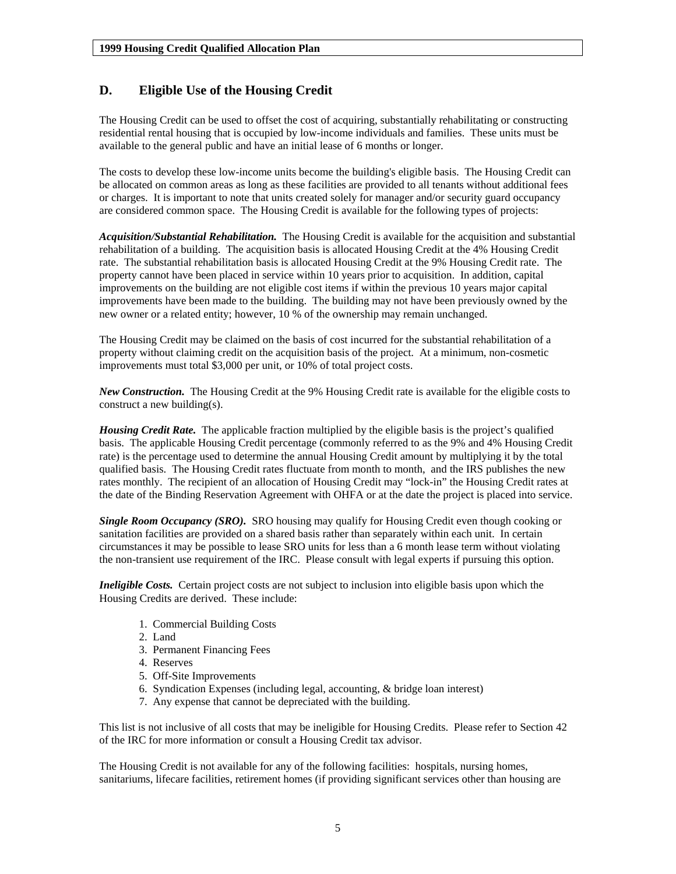## <span id="page-4-0"></span>**D. Eligible Use of the Housing Credit**

The Housing Credit can be used to offset the cost of acquiring, substantially rehabilitating or constructing residential rental housing that is occupied by low-income individuals and families. These units must be available to the general public and have an initial lease of 6 months or longer.

The costs to develop these low-income units become the building's eligible basis. The Housing Credit can be allocated on common areas as long as these facilities are provided to all tenants without additional fees or charges. It is important to note that units created solely for manager and/or security guard occupancy are considered common space. The Housing Credit is available for the following types of projects:

*Acquisition/Substantial Rehabilitation.* The Housing Credit is available for the acquisition and substantial rehabilitation of a building. The acquisition basis is allocated Housing Credit at the 4% Housing Credit rate. The substantial rehabilitation basis is allocated Housing Credit at the 9% Housing Credit rate. The property cannot have been placed in service within 10 years prior to acquisition. In addition, capital improvements on the building are not eligible cost items if within the previous 10 years major capital improvements have been made to the building. The building may not have been previously owned by the new owner or a related entity; however, 10 % of the ownership may remain unchanged.

The Housing Credit may be claimed on the basis of cost incurred for the substantial rehabilitation of a property without claiming credit on the acquisition basis of the project. At a minimum, non-cosmetic improvements must total \$3,000 per unit, or 10% of total project costs.

*New Construction.* The Housing Credit at the 9% Housing Credit rate is available for the eligible costs to construct a new building(s).

*Housing Credit Rate.* The applicable fraction multiplied by the eligible basis is the project's qualified basis. The applicable Housing Credit percentage (commonly referred to as the 9% and 4% Housing Credit rate) is the percentage used to determine the annual Housing Credit amount by multiplying it by the total qualified basis. The Housing Credit rates fluctuate from month to month, and the IRS publishes the new rates monthly. The recipient of an allocation of Housing Credit may "lock-in" the Housing Credit rates at the date of the Binding Reservation Agreement with OHFA or at the date the project is placed into service.

*Single Room Occupancy (SRO).* SRO housing may qualify for Housing Credit even though cooking or sanitation facilities are provided on a shared basis rather than separately within each unit. In certain circumstances it may be possible to lease SRO units for less than a 6 month lease term without violating the non-transient use requirement of the IRC. Please consult with legal experts if pursuing this option.

*Ineligible Costs.* Certain project costs are not subject to inclusion into eligible basis upon which the Housing Credits are derived. These include:

- 1. Commercial Building Costs
- 2. Land
- 3. Permanent Financing Fees
- 4. Reserves
- 5. Off-Site Improvements
- 6. Syndication Expenses (including legal, accounting, & bridge loan interest)
- 7. Any expense that cannot be depreciated with the building.

This list is not inclusive of all costs that may be ineligible for Housing Credits. Please refer to Section 42 of the IRC for more information or consult a Housing Credit tax advisor.

The Housing Credit is not available for any of the following facilities: hospitals, nursing homes, sanitariums, lifecare facilities, retirement homes (if providing significant services other than housing are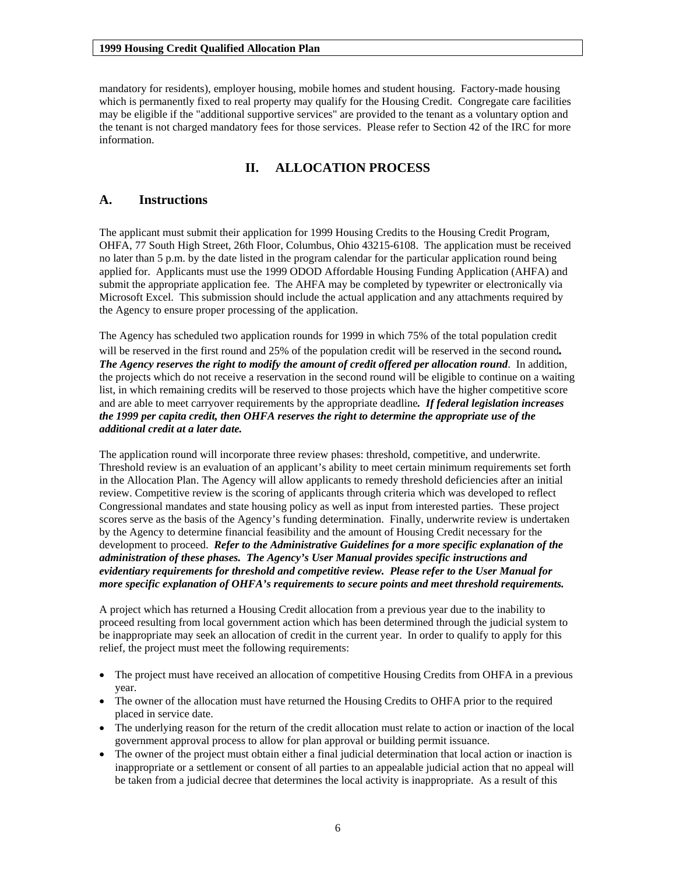<span id="page-5-0"></span>mandatory for residents), employer housing, mobile homes and student housing. Factory-made housing which is permanently fixed to real property may qualify for the Housing Credit. Congregate care facilities may be eligible if the "additional supportive services" are provided to the tenant as a voluntary option and the tenant is not charged mandatory fees for those services. Please refer to Section 42 of the IRC for more information.

## **II. ALLOCATION PROCESS**

## **A. Instructions**

The applicant must submit their application for 1999 Housing Credits to the Housing Credit Program, OHFA, 77 South High Street, 26th Floor, Columbus, Ohio 43215-6108. The application must be received no later than 5 p.m. by the date listed in the program calendar for the particular application round being applied for. Applicants must use the 1999 ODOD Affordable Housing Funding Application (AHFA) and submit the appropriate application fee. The AHFA may be completed by typewriter or electronically via Microsoft Excel. This submission should include the actual application and any attachments required by the Agency to ensure proper processing of the application.

The Agency has scheduled two application rounds for 1999 in which 75% of the total population credit will be reserved in the first round and 25% of the population credit will be reserved in the second round*. The Agency reserves the right to modify the amount of credit offered per allocation round*. In addition, the projects which do not receive a reservation in the second round will be eligible to continue on a waiting list, in which remaining credits will be reserved to those projects which have the higher competitive score and are able to meet carryover requirements by the appropriate deadline*. If federal legislation increases the 1999 per capita credit, then OHFA reserves the right to determine the appropriate use of the additional credit at a later date.* 

The application round will incorporate three review phases: threshold, competitive, and underwrite. Threshold review is an evaluation of an applicant's ability to meet certain minimum requirements set forth in the Allocation Plan. The Agency will allow applicants to remedy threshold deficiencies after an initial review. Competitive review is the scoring of applicants through criteria which was developed to reflect Congressional mandates and state housing policy as well as input from interested parties. These project scores serve as the basis of the Agency's funding determination. Finally, underwrite review is undertaken by the Agency to determine financial feasibility and the amount of Housing Credit necessary for the development to proceed. *Refer to the Administrative Guidelines for a more specific explanation of the administration of these phases. The Agency's User Manual provides specific instructions and evidentiary requirements for threshold and competitive review. Please refer to the User Manual for more specific explanation of OHFA's requirements to secure points and meet threshold requirements.* 

A project which has returned a Housing Credit allocation from a previous year due to the inability to proceed resulting from local government action which has been determined through the judicial system to be inappropriate may seek an allocation of credit in the current year. In order to qualify to apply for this relief, the project must meet the following requirements:

- The project must have received an allocation of competitive Housing Credits from OHFA in a previous year.
- The owner of the allocation must have returned the Housing Credits to OHFA prior to the required placed in service date.
- The underlying reason for the return of the credit allocation must relate to action or inaction of the local government approval process to allow for plan approval or building permit issuance.
- The owner of the project must obtain either a final judicial determination that local action or inaction is inappropriate or a settlement or consent of all parties to an appealable judicial action that no appeal will be taken from a judicial decree that determines the local activity is inappropriate. As a result of this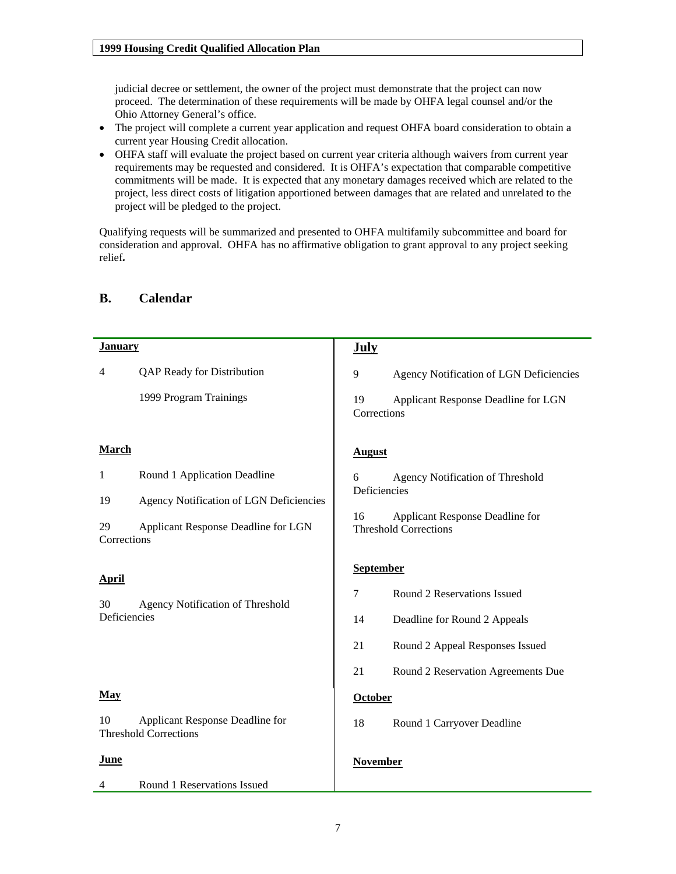<span id="page-6-0"></span>judicial decree or settlement, the owner of the project must demonstrate that the project can now proceed. The determination of these requirements will be made by OHFA legal counsel and/or the Ohio Attorney General's office.

- The project will complete a current year application and request OHFA board consideration to obtain a current year Housing Credit allocation.
- OHFA staff will evaluate the project based on current year criteria although waivers from current year requirements may be requested and considered. It is OHFA's expectation that comparable competitive commitments will be made. It is expected that any monetary damages received which are related to the project, less direct costs of litigation apportioned between damages that are related and unrelated to the project will be pledged to the project.

Qualifying requests will be summarized and presented to OHFA multifamily subcommittee and board for consideration and approval. OHFA has no affirmative obligation to grant approval to any project seeking relief*.* 

| <b>January</b>    |                                                                 | <b>July</b>       |                                                                 |
|-------------------|-----------------------------------------------------------------|-------------------|-----------------------------------------------------------------|
| 4                 | QAP Ready for Distribution                                      | 9                 | Agency Notification of LGN Deficiencies                         |
|                   | 1999 Program Trainings                                          | 19<br>Corrections | Applicant Response Deadline for LGN                             |
| <b>March</b>      |                                                                 | <b>August</b>     |                                                                 |
| 1                 | Round 1 Application Deadline                                    | 6                 | Agency Notification of Threshold                                |
| 19                | Agency Notification of LGN Deficiencies                         | Deficiencies      |                                                                 |
| 29<br>Corrections | Applicant Response Deadline for LGN                             | 16                | Applicant Response Deadline for<br><b>Threshold Corrections</b> |
| <b>April</b>      |                                                                 | <b>September</b>  |                                                                 |
| 30                | Agency Notification of Threshold                                | $\tau$            | Round 2 Reservations Issued                                     |
| Deficiencies      |                                                                 | 14                | Deadline for Round 2 Appeals                                    |
|                   |                                                                 | 21                | Round 2 Appeal Responses Issued                                 |
|                   |                                                                 | 21                | Round 2 Reservation Agreements Due                              |
| <b>May</b>        |                                                                 | <b>October</b>    |                                                                 |
| 10                | Applicant Response Deadline for<br><b>Threshold Corrections</b> | 18                | Round 1 Carryover Deadline                                      |
| June              |                                                                 | <b>November</b>   |                                                                 |
| 4                 | Round 1 Reservations Issued                                     |                   |                                                                 |

## **B. Calendar**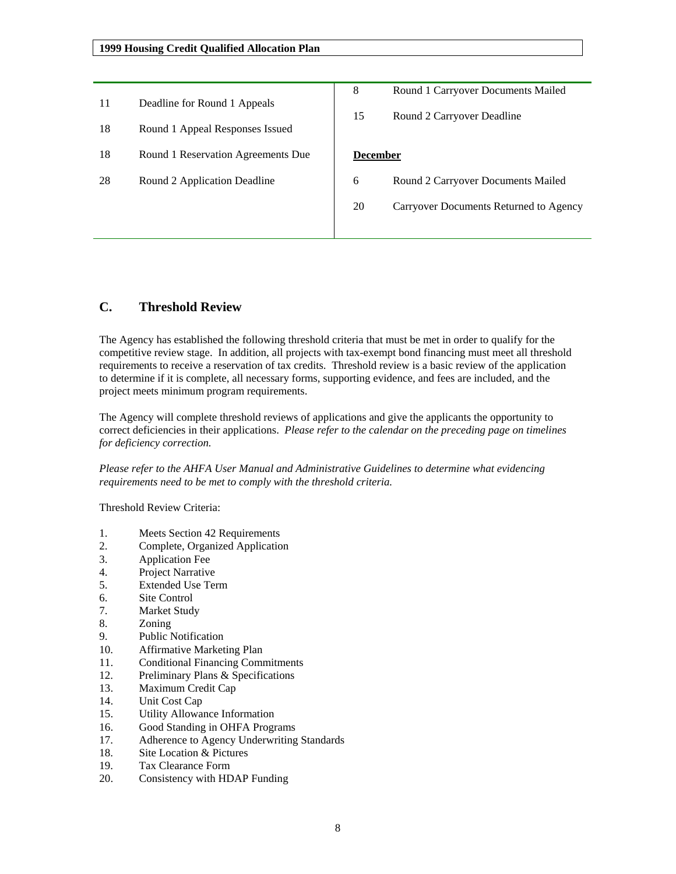<span id="page-7-0"></span>

| 11<br>18 | Deadline for Round 1 Appeals<br>Round 1 Appeal Responses Issued | 8<br>15         | Round 1 Carryover Documents Mailed<br>Round 2 Carryover Deadline |
|----------|-----------------------------------------------------------------|-----------------|------------------------------------------------------------------|
| 18       | Round 1 Reservation Agreements Due                              | <b>December</b> |                                                                  |
| 28       | Round 2 Application Deadline                                    | 6               | Round 2 Carryover Documents Mailed                               |
|          |                                                                 | 20              | Carryover Documents Returned to Agency                           |
|          |                                                                 |                 |                                                                  |

## **C. Threshold Review**

The Agency has established the following threshold criteria that must be met in order to qualify for the competitive review stage. In addition, all projects with tax-exempt bond financing must meet all threshold requirements to receive a reservation of tax credits. Threshold review is a basic review of the application to determine if it is complete, all necessary forms, supporting evidence, and fees are included, and the project meets minimum program requirements.

The Agency will complete threshold reviews of applications and give the applicants the opportunity to correct deficiencies in their applications. *Please refer to the calendar on the preceding page on timelines for deficiency correction.*

*Please refer to the AHFA User Manual and Administrative Guidelines to determine what evidencing requirements need to be met to comply with the threshold criteria.*

Threshold Review Criteria:

- 1. Meets Section 42 Requirements
- 2. Complete, Organized Application
- 3. Application Fee
- 4. Project Narrative
- 5. Extended Use Term
- 6. Site Control
- 7. Market Study
- 8. Zoning
- 9. Public Notification
- 10. Affirmative Marketing Plan
- 11. Conditional Financing Commitments
- 12. Preliminary Plans & Specifications
- 13. Maximum Credit Cap
- 14. Unit Cost Cap
- 15. Utility Allowance Information
- 16. Good Standing in OHFA Programs
- 17. Adherence to Agency Underwriting Standards
- 18. Site Location & Pictures
- 19. Tax Clearance Form
- 20. Consistency with HDAP Funding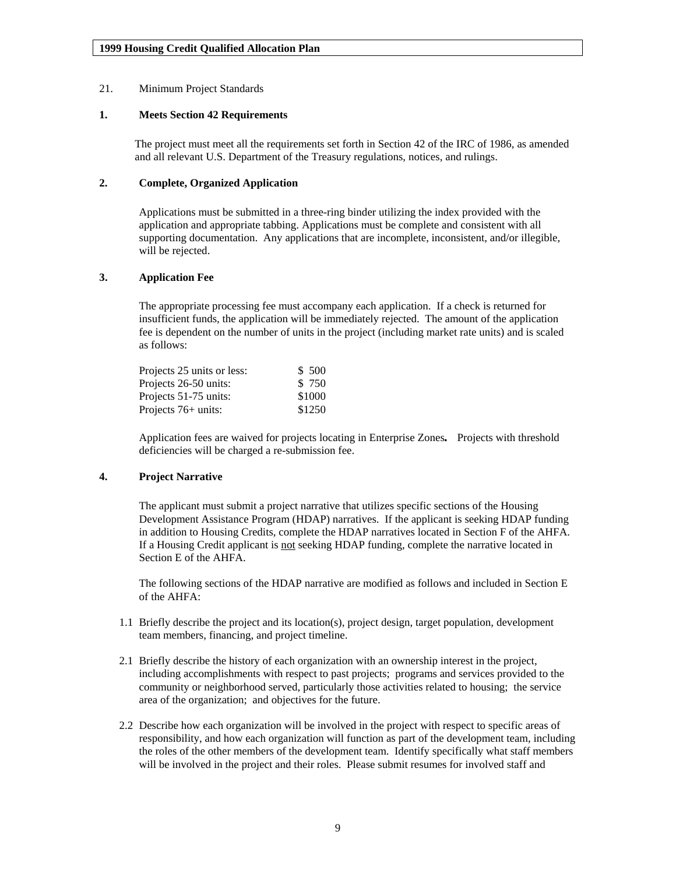#### <span id="page-8-0"></span>21. Minimum Project Standards

#### **1. Meets Section 42 Requirements**

The project must meet all the requirements set forth in Section 42 of the IRC of 1986, as amended and all relevant U.S. Department of the Treasury regulations, notices, and rulings.

### **2. Complete, Organized Application**

Applications must be submitted in a three-ring binder utilizing the index provided with the application and appropriate tabbing. Applications must be complete and consistent with all supporting documentation. Any applications that are incomplete, inconsistent, and/or illegible, will be rejected.

#### **3. Application Fee**

The appropriate processing fee must accompany each application. If a check is returned for insufficient funds, the application will be immediately rejected. The amount of the application fee is dependent on the number of units in the project (including market rate units) and is scaled as follows:

| Projects 25 units or less: | \$ 500 |
|----------------------------|--------|
| Projects 26-50 units:      | \$ 750 |
| Projects 51-75 units:      | \$1000 |
| Projects 76+ units:        | \$1250 |
|                            |        |

Application fees are waived for projects locating in Enterprise Zones*.* Projects with threshold deficiencies will be charged a re-submission fee.

#### **4. Project Narrative**

The applicant must submit a project narrative that utilizes specific sections of the Housing Development Assistance Program (HDAP) narratives. If the applicant is seeking HDAP funding in addition to Housing Credits, complete the HDAP narratives located in Section F of the AHFA. If a Housing Credit applicant is not seeking HDAP funding, complete the narrative located in Section E of the AHFA.

The following sections of the HDAP narrative are modified as follows and included in Section E of the AHFA:

- 1.1 Briefly describe the project and its location(s), project design, target population, development team members, financing, and project timeline.
- 2.1 Briefly describe the history of each organization with an ownership interest in the project, including accomplishments with respect to past projects; programs and services provided to the community or neighborhood served, particularly those activities related to housing; the service area of the organization; and objectives for the future.
- 2.2 Describe how each organization will be involved in the project with respect to specific areas of responsibility, and how each organization will function as part of the development team, including the roles of the other members of the development team. Identify specifically what staff members will be involved in the project and their roles. Please submit resumes for involved staff and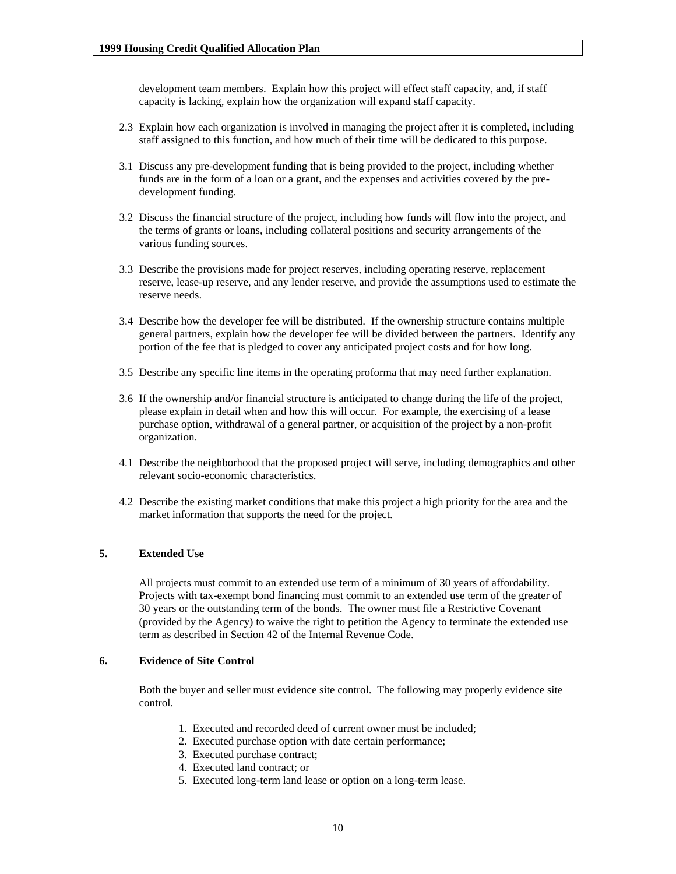<span id="page-9-0"></span>development team members. Explain how this project will effect staff capacity, and, if staff capacity is lacking, explain how the organization will expand staff capacity.

- 2.3 Explain how each organization is involved in managing the project after it is completed, including staff assigned to this function, and how much of their time will be dedicated to this purpose.
- 3.1 Discuss any pre-development funding that is being provided to the project, including whether funds are in the form of a loan or a grant, and the expenses and activities covered by the predevelopment funding.
- 3.2 Discuss the financial structure of the project, including how funds will flow into the project, and the terms of grants or loans, including collateral positions and security arrangements of the various funding sources.
- 3.3 Describe the provisions made for project reserves, including operating reserve, replacement reserve, lease-up reserve, and any lender reserve, and provide the assumptions used to estimate the reserve needs.
- 3.4 Describe how the developer fee will be distributed. If the ownership structure contains multiple general partners, explain how the developer fee will be divided between the partners. Identify any portion of the fee that is pledged to cover any anticipated project costs and for how long.
- 3.5 Describe any specific line items in the operating proforma that may need further explanation.
- 3.6 If the ownership and/or financial structure is anticipated to change during the life of the project, please explain in detail when and how this will occur. For example, the exercising of a lease purchase option, withdrawal of a general partner, or acquisition of the project by a non-profit organization.
- 4.1 Describe the neighborhood that the proposed project will serve, including demographics and other relevant socio-economic characteristics.
- 4.2 Describe the existing market conditions that make this project a high priority for the area and the market information that supports the need for the project.

#### **5. Extended Use**

All projects must commit to an extended use term of a minimum of 30 years of affordability. Projects with tax-exempt bond financing must commit to an extended use term of the greater of 30 years or the outstanding term of the bonds. The owner must file a Restrictive Covenant (provided by the Agency) to waive the right to petition the Agency to terminate the extended use term as described in Section 42 of the Internal Revenue Code.

#### **6. Evidence of Site Control**

Both the buyer and seller must evidence site control. The following may properly evidence site control.

- 1. Executed and recorded deed of current owner must be included;
- 2. Executed purchase option with date certain performance;
- 3. Executed purchase contract;
- 4. Executed land contract; or
- 5. Executed long-term land lease or option on a long-term lease.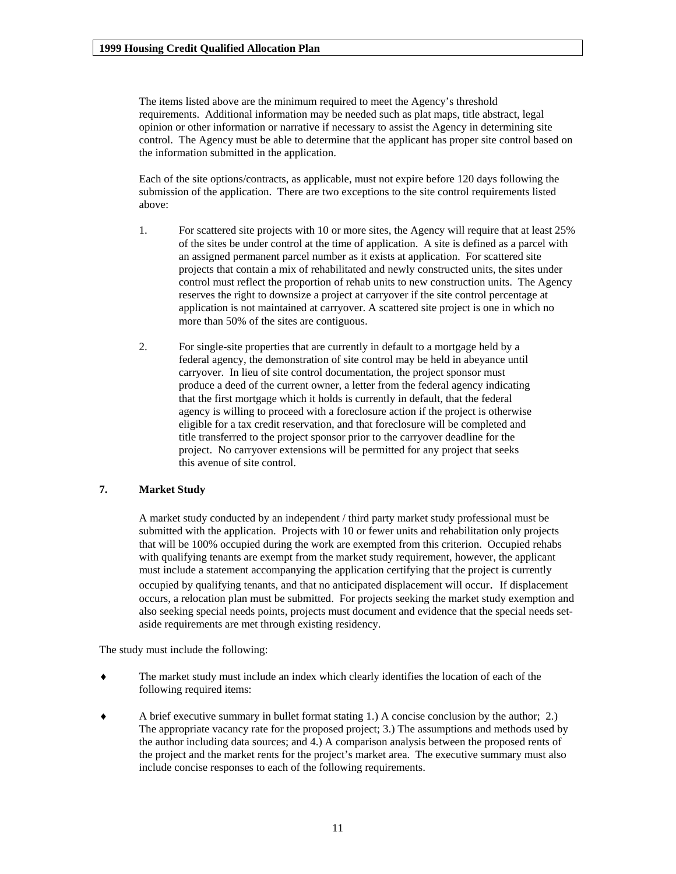<span id="page-10-0"></span>The items listed above are the minimum required to meet the Agency's threshold requirements. Additional information may be needed such as plat maps, title abstract, legal opinion or other information or narrative if necessary to assist the Agency in determining site control. The Agency must be able to determine that the applicant has proper site control based on the information submitted in the application.

Each of the site options/contracts, as applicable, must not expire before 120 days following the submission of the application. There are two exceptions to the site control requirements listed above:

- 1. For scattered site projects with 10 or more sites, the Agency will require that at least 25% of the sites be under control at the time of application. A site is defined as a parcel with an assigned permanent parcel number as it exists at application. For scattered site projects that contain a mix of rehabilitated and newly constructed units, the sites under control must reflect the proportion of rehab units to new construction units. The Agency reserves the right to downsize a project at carryover if the site control percentage at application is not maintained at carryover. A scattered site project is one in which no more than 50% of the sites are contiguous.
- 2. For single-site properties that are currently in default to a mortgage held by a federal agency, the demonstration of site control may be held in abeyance until carryover. In lieu of site control documentation, the project sponsor must produce a deed of the current owner, a letter from the federal agency indicating that the first mortgage which it holds is currently in default, that the federal agency is willing to proceed with a foreclosure action if the project is otherwise eligible for a tax credit reservation, and that foreclosure will be completed and title transferred to the project sponsor prior to the carryover deadline for the project. No carryover extensions will be permitted for any project that seeks this avenue of site control.

#### **7. Market Study**

A market study conducted by an independent / third party market study professional must be submitted with the application. Projects with 10 or fewer units and rehabilitation only projects that will be 100% occupied during the work are exempted from this criterion. Occupied rehabs with qualifying tenants are exempt from the market study requirement, however, the applicant must include a statement accompanying the application certifying that the project is currently occupied by qualifying tenants, and that no anticipated displacement will occur. If displacement occurs, a relocation plan must be submitted. For projects seeking the market study exemption and also seeking special needs points, projects must document and evidence that the special needs setaside requirements are met through existing residency.

The study must include the following:

- The market study must include an index which clearly identifies the location of each of the following required items:
- ♦ A brief executive summary in bullet format stating 1.) A concise conclusion by the author; 2.) The appropriate vacancy rate for the proposed project; 3.) The assumptions and methods used by the author including data sources; and 4.) A comparison analysis between the proposed rents of the project and the market rents for the project's market area. The executive summary must also include concise responses to each of the following requirements.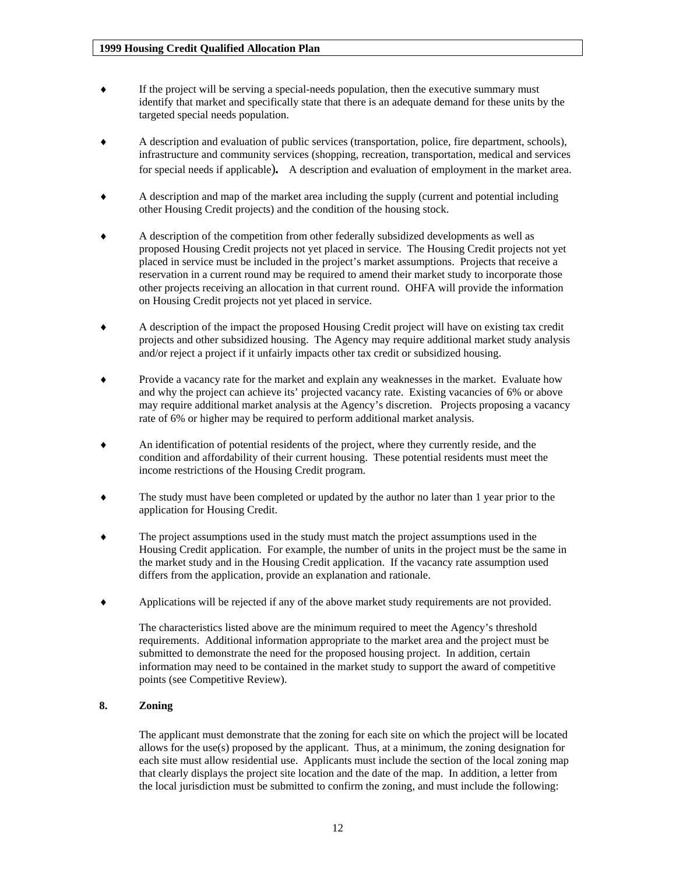- <span id="page-11-0"></span>♦ If the project will be serving a special-needs population, then the executive summary must identify that market and specifically state that there is an adequate demand for these units by the targeted special needs population.
- ♦ A description and evaluation of public services (transportation, police, fire department, schools), infrastructure and community services (shopping, recreation, transportation, medical and services for special needs if applicable)*.* A description and evaluation of employment in the market area.
- ♦ A description and map of the market area including the supply (current and potential including other Housing Credit projects) and the condition of the housing stock.
- ♦ A description of the competition from other federally subsidized developments as well as proposed Housing Credit projects not yet placed in service. The Housing Credit projects not yet placed in service must be included in the project's market assumptions. Projects that receive a reservation in a current round may be required to amend their market study to incorporate those other projects receiving an allocation in that current round. OHFA will provide the information on Housing Credit projects not yet placed in service.
- ♦ A description of the impact the proposed Housing Credit project will have on existing tax credit projects and other subsidized housing. The Agency may require additional market study analysis and/or reject a project if it unfairly impacts other tax credit or subsidized housing.
- ♦ Provide a vacancy rate for the market and explain any weaknesses in the market. Evaluate how and why the project can achieve its' projected vacancy rate. Existing vacancies of 6% or above may require additional market analysis at the Agency's discretion. Projects proposing a vacancy rate of 6% or higher may be required to perform additional market analysis.
- An identification of potential residents of the project, where they currently reside, and the condition and affordability of their current housing. These potential residents must meet the income restrictions of the Housing Credit program.
- The study must have been completed or updated by the author no later than 1 year prior to the application for Housing Credit.
- The project assumptions used in the study must match the project assumptions used in the Housing Credit application. For example, the number of units in the project must be the same in the market study and in the Housing Credit application. If the vacancy rate assumption used differs from the application, provide an explanation and rationale.
- ♦ Applications will be rejected if any of the above market study requirements are not provided.

The characteristics listed above are the minimum required to meet the Agency's threshold requirements. Additional information appropriate to the market area and the project must be submitted to demonstrate the need for the proposed housing project. In addition, certain information may need to be contained in the market study to support the award of competitive points (see Competitive Review).

#### **8. Zoning**

The applicant must demonstrate that the zoning for each site on which the project will be located allows for the use(s) proposed by the applicant. Thus, at a minimum, the zoning designation for each site must allow residential use. Applicants must include the section of the local zoning map that clearly displays the project site location and the date of the map. In addition, a letter from the local jurisdiction must be submitted to confirm the zoning, and must include the following: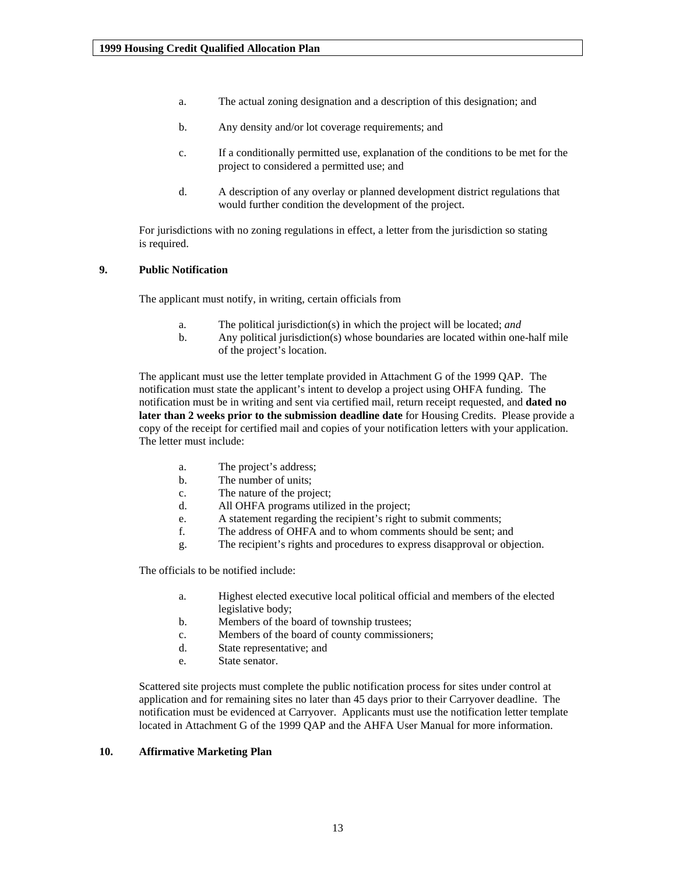- <span id="page-12-0"></span>a. The actual zoning designation and a description of this designation; and
- b. Any density and/or lot coverage requirements; and
- c. If a conditionally permitted use, explanation of the conditions to be met for the project to considered a permitted use; and
- d. A description of any overlay or planned development district regulations that would further condition the development of the project.

For jurisdictions with no zoning regulations in effect, a letter from the jurisdiction so stating is required.

#### **9. Public Notification**

The applicant must notify, in writing, certain officials from

- a. The political jurisdiction(s) in which the project will be located; *and*
- b. Any political jurisdiction(s) whose boundaries are located within one-half mile of the project's location.

The applicant must use the letter template provided in Attachment G of the 1999 QAP. The notification must state the applicant's intent to develop a project using OHFA funding. The notification must be in writing and sent via certified mail, return receipt requested, and **dated no later than 2 weeks prior to the submission deadline date** for Housing Credits. Please provide a copy of the receipt for certified mail and copies of your notification letters with your application. The letter must include:

- a. The project's address;
- b. The number of units;
- c. The nature of the project;
- d. All OHFA programs utilized in the project;
- e. A statement regarding the recipient's right to submit comments;
- f. The address of OHFA and to whom comments should be sent; and
- g. The recipient's rights and procedures to express disapproval or objection.

The officials to be notified include:

- a. Highest elected executive local political official and members of the elected legislative body;
- b. Members of the board of township trustees;
- c. Members of the board of county commissioners;
- d. State representative; and
- e. State senator.

Scattered site projects must complete the public notification process for sites under control at application and for remaining sites no later than 45 days prior to their Carryover deadline. The notification must be evidenced at Carryover. Applicants must use the notification letter template located in Attachment G of the 1999 QAP and the AHFA User Manual for more information.

#### **10. Affirmative Marketing Plan**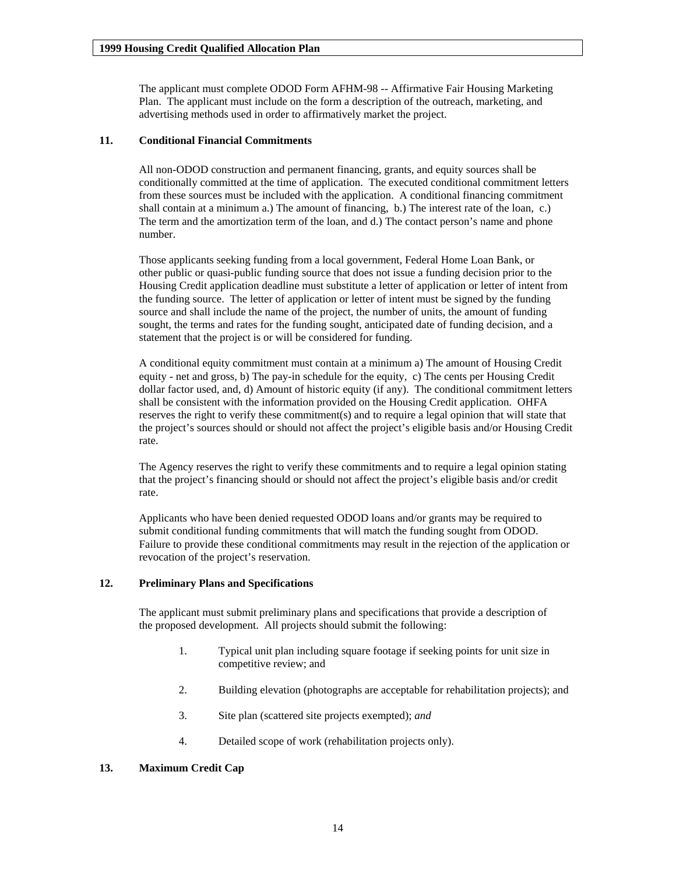<span id="page-13-0"></span>The applicant must complete ODOD Form AFHM-98 -- Affirmative Fair Housing Marketing Plan. The applicant must include on the form a description of the outreach, marketing, and advertising methods used in order to affirmatively market the project.

#### **11. Conditional Financial Commitments**

All non-ODOD construction and permanent financing, grants, and equity sources shall be conditionally committed at the time of application. The executed conditional commitment letters from these sources must be included with the application. A conditional financing commitment shall contain at a minimum a.) The amount of financing, b.) The interest rate of the loan, c.) The term and the amortization term of the loan, and d.) The contact person's name and phone number.

Those applicants seeking funding from a local government, Federal Home Loan Bank, or other public or quasi-public funding source that does not issue a funding decision prior to the Housing Credit application deadline must substitute a letter of application or letter of intent from the funding source. The letter of application or letter of intent must be signed by the funding source and shall include the name of the project, the number of units, the amount of funding sought, the terms and rates for the funding sought, anticipated date of funding decision, and a statement that the project is or will be considered for funding.

A conditional equity commitment must contain at a minimum a) The amount of Housing Credit equity - net and gross, b) The pay-in schedule for the equity, c) The cents per Housing Credit dollar factor used, and, d) Amount of historic equity (if any). The conditional commitment letters shall be consistent with the information provided on the Housing Credit application. OHFA reserves the right to verify these commitment(s) and to require a legal opinion that will state that the project's sources should or should not affect the project's eligible basis and/or Housing Credit rate.

The Agency reserves the right to verify these commitments and to require a legal opinion stating that the project's financing should or should not affect the project's eligible basis and/or credit rate.

Applicants who have been denied requested ODOD loans and/or grants may be required to submit conditional funding commitments that will match the funding sought from ODOD. Failure to provide these conditional commitments may result in the rejection of the application or revocation of the project's reservation.

#### **12. Preliminary Plans and Specifications**

The applicant must submit preliminary plans and specifications that provide a description of the proposed development. All projects should submit the following:

- 1. Typical unit plan including square footage if seeking points for unit size in competitive review; and
- 2. Building elevation (photographs are acceptable for rehabilitation projects); and
- 3. Site plan (scattered site projects exempted); *and*
- 4. Detailed scope of work (rehabilitation projects only).

#### **13. Maximum Credit Cap**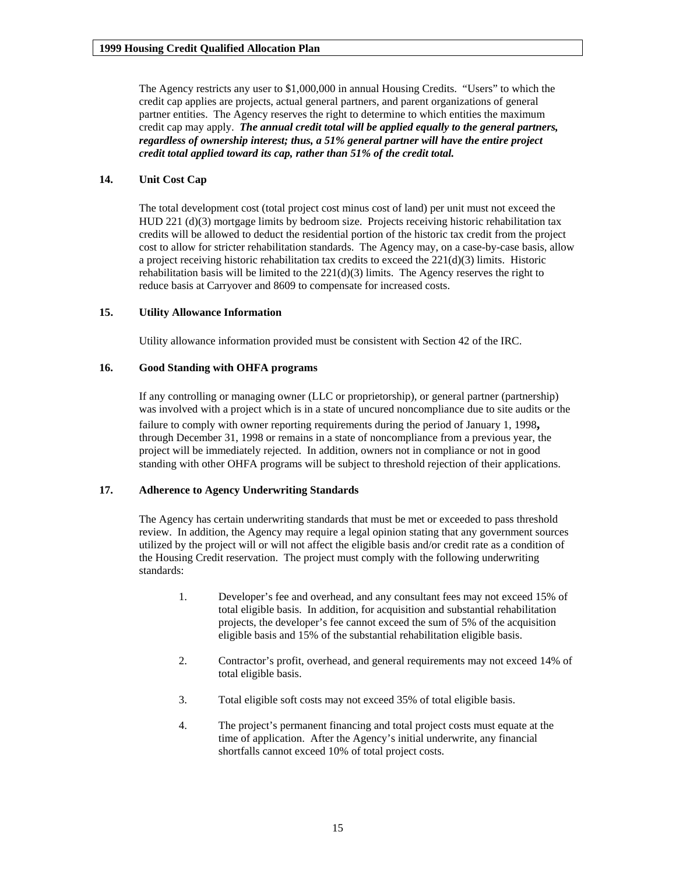<span id="page-14-0"></span>The Agency restricts any user to \$1,000,000 in annual Housing Credits. "Users" to which the credit cap applies are projects, actual general partners, and parent organizations of general partner entities. The Agency reserves the right to determine to which entities the maximum credit cap may apply. *The annual credit total will be applied equally to the general partners, regardless of ownership interest; thus, a 51% general partner will have the entire project credit total applied toward its cap, rather than 51% of the credit total.* 

#### **14. Unit Cost Cap**

The total development cost (total project cost minus cost of land) per unit must not exceed the HUD 221 (d)(3) mortgage limits by bedroom size. Projects receiving historic rehabilitation tax credits will be allowed to deduct the residential portion of the historic tax credit from the project cost to allow for stricter rehabilitation standards. The Agency may, on a case-by-case basis, allow a project receiving historic rehabilitation tax credits to exceed the 221(d)(3) limits. Historic rehabilitation basis will be limited to the 221(d)(3) limits. The Agency reserves the right to reduce basis at Carryover and 8609 to compensate for increased costs.

#### **15. Utility Allowance Information**

Utility allowance information provided must be consistent with Section 42 of the IRC.

#### **16. Good Standing with OHFA programs**

If any controlling or managing owner (LLC or proprietorship), or general partner (partnership) was involved with a project which is in a state of uncured noncompliance due to site audits or the failure to comply with owner reporting requirements during the period of January 1, 1998**,** through December 31, 1998 or remains in a state of noncompliance from a previous year, the project will be immediately rejected. In addition, owners not in compliance or not in good standing with other OHFA programs will be subject to threshold rejection of their applications.

#### **17. Adherence to Agency Underwriting Standards**

The Agency has certain underwriting standards that must be met or exceeded to pass threshold review. In addition, the Agency may require a legal opinion stating that any government sources utilized by the project will or will not affect the eligible basis and/or credit rate as a condition of the Housing Credit reservation. The project must comply with the following underwriting standards:

- 1. Developer's fee and overhead, and any consultant fees may not exceed 15% of total eligible basis. In addition, for acquisition and substantial rehabilitation projects, the developer's fee cannot exceed the sum of 5% of the acquisition eligible basis and 15% of the substantial rehabilitation eligible basis.
- 2. Contractor's profit, overhead, and general requirements may not exceed 14% of total eligible basis.
- 3. Total eligible soft costs may not exceed 35% of total eligible basis.
- 4. The project's permanent financing and total project costs must equate at the time of application. After the Agency's initial underwrite, any financial shortfalls cannot exceed 10% of total project costs.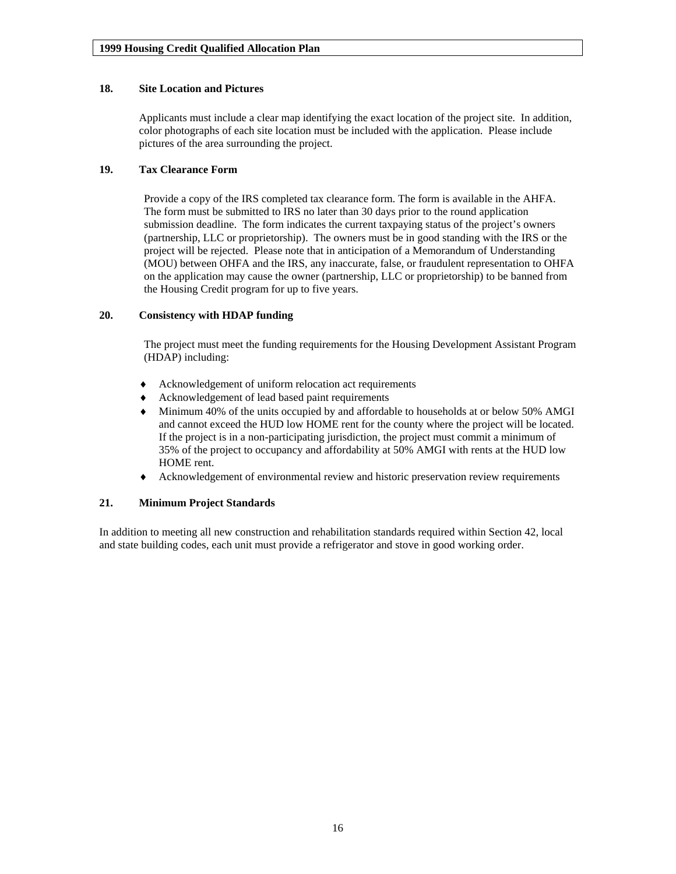#### <span id="page-15-0"></span>**18. Site Location and Pictures**

Applicants must include a clear map identifying the exact location of the project site. In addition, color photographs of each site location must be included with the application. Please include pictures of the area surrounding the project.

## **19. Tax Clearance Form**

Provide a copy of the IRS completed tax clearance form. The form is available in the AHFA. The form must be submitted to IRS no later than 30 days prior to the round application submission deadline. The form indicates the current taxpaying status of the project's owners (partnership, LLC or proprietorship). The owners must be in good standing with the IRS or the project will be rejected. Please note that in anticipation of a Memorandum of Understanding (MOU) between OHFA and the IRS, any inaccurate, false, or fraudulent representation to OHFA on the application may cause the owner (partnership, LLC or proprietorship) to be banned from the Housing Credit program for up to five years.

#### **20. Consistency with HDAP funding**

The project must meet the funding requirements for the Housing Development Assistant Program (HDAP) including:

- Acknowledgement of uniform relocation act requirements
- Acknowledgement of lead based paint requirements
- ♦ Minimum 40% of the units occupied by and affordable to households at or below 50% AMGI and cannot exceed the HUD low HOME rent for the county where the project will be located. If the project is in a non-participating jurisdiction, the project must commit a minimum of 35% of the project to occupancy and affordability at 50% AMGI with rents at the HUD low HOME rent.
- Acknowledgement of environmental review and historic preservation review requirements

#### **21. Minimum Project Standards**

In addition to meeting all new construction and rehabilitation standards required within Section 42, local and state building codes, each unit must provide a refrigerator and stove in good working order.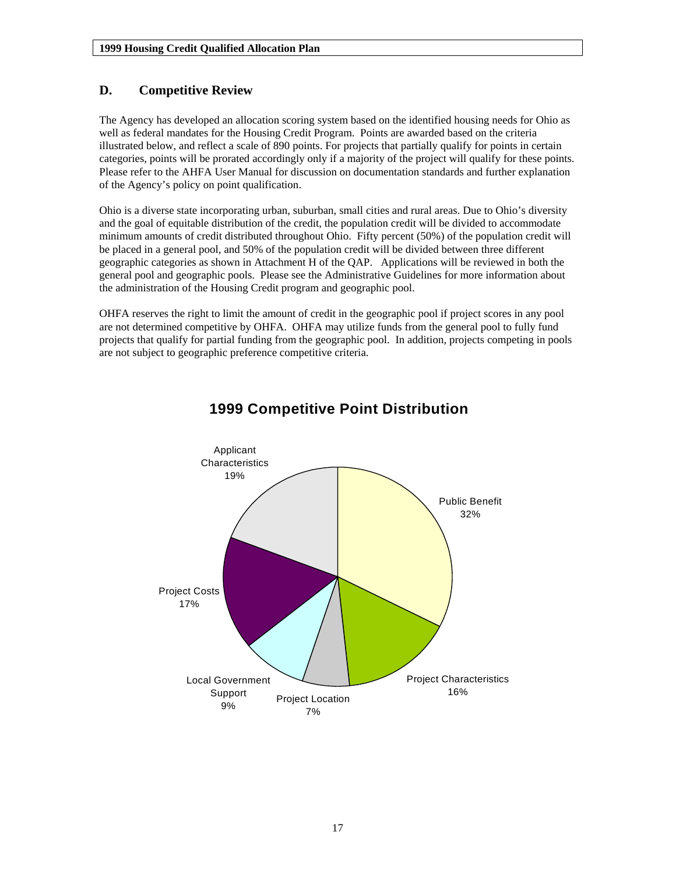## <span id="page-16-0"></span>**D. Competitive Review**

The Agency has developed an allocation scoring system based on the identified housing needs for Ohio as well as federal mandates for the Housing Credit Program. Points are awarded based on the criteria illustrated below, and reflect a scale of 890 points. For projects that partially qualify for points in certain categories, points will be prorated accordingly only if a majority of the project will qualify for these points. Please refer to the AHFA User Manual for discussion on documentation standards and further explanation of the Agency's policy on point qualification.

Ohio is a diverse state incorporating urban, suburban, small cities and rural areas. Due to Ohio's diversity and the goal of equitable distribution of the credit, the population credit will be divided to accommodate minimum amounts of credit distributed throughout Ohio. Fifty percent (50%) of the population credit will be placed in a general pool, and 50% of the population credit will be divided between three different geographic categories as shown in Attachment H of the QAP. Applications will be reviewed in both the general pool and geographic pools. Please see the Administrative Guidelines for more information about the administration of the Housing Credit program and geographic pool.

OHFA reserves the right to limit the amount of credit in the geographic pool if project scores in any pool are not determined competitive by OHFA. OHFA may utilize funds from the general pool to fully fund projects that qualify for partial funding from the geographic pool. In addition, projects competing in pools are not subject to geographic preference competitive criteria.



## **1999 Competitive Point Distribution**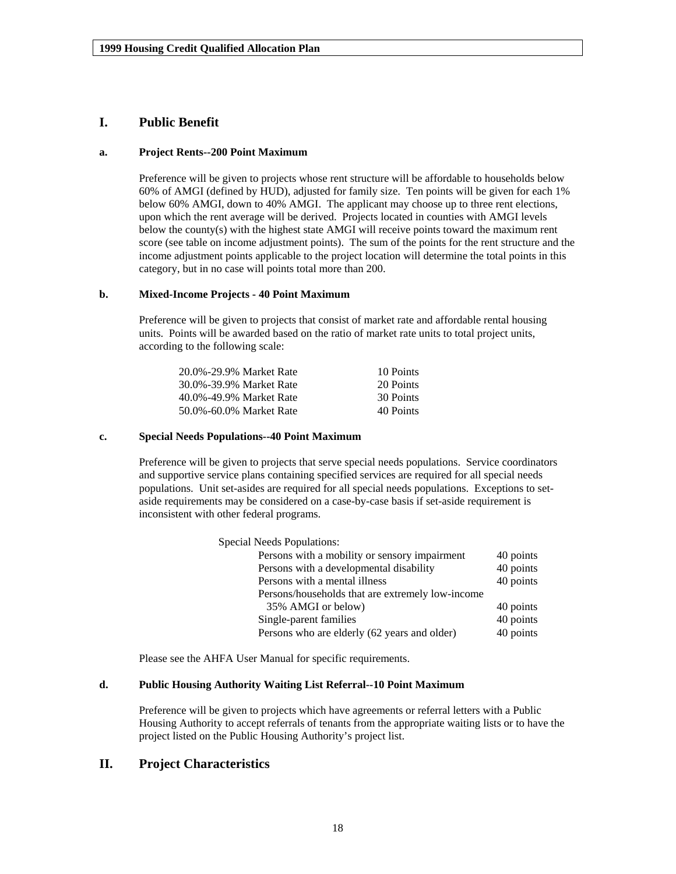## <span id="page-17-0"></span>**I. Public Benefit**

#### **a. Project Rents--200 Point Maximum**

Preference will be given to projects whose rent structure will be affordable to households below 60% of AMGI (defined by HUD), adjusted for family size. Ten points will be given for each 1% below 60% AMGI, down to 40% AMGI. The applicant may choose up to three rent elections, upon which the rent average will be derived. Projects located in counties with AMGI levels below the county(s) with the highest state AMGI will receive points toward the maximum rent score (see table on income adjustment points). The sum of the points for the rent structure and the income adjustment points applicable to the project location will determine the total points in this category, but in no case will points total more than 200.

#### **b. Mixed-Income Projects - 40 Point Maximum**

Preference will be given to projects that consist of market rate and affordable rental housing units. Points will be awarded based on the ratio of market rate units to total project units, according to the following scale:

| 20.0%-29.9% Market Rate | 10 Points |
|-------------------------|-----------|
| 30.0%-39.9% Market Rate | 20 Points |
| 40.0%-49.9% Market Rate | 30 Points |
| 50.0%-60.0% Market Rate | 40 Points |

#### **c. Special Needs Populations--40 Point Maximum**

Preference will be given to projects that serve special needs populations. Service coordinators and supportive service plans containing specified services are required for all special needs populations. Unit set-asides are required for all special needs populations. Exceptions to setaside requirements may be considered on a case-by-case basis if set-aside requirement is inconsistent with other federal programs.

| <b>Special Needs Populations:</b>                |           |
|--------------------------------------------------|-----------|
| Persons with a mobility or sensory impairment    | 40 points |
| Persons with a developmental disability          | 40 points |
| Persons with a mental illness                    | 40 points |
| Persons/households that are extremely low-income |           |
| 35% AMGI or below)                               | 40 points |
| Single-parent families                           | 40 points |
| Persons who are elderly (62 years and older)     | 40 points |

Please see the AHFA User Manual for specific requirements.

#### **d. Public Housing Authority Waiting List Referral--10 Point Maximum**

Preference will be given to projects which have agreements or referral letters with a Public Housing Authority to accept referrals of tenants from the appropriate waiting lists or to have the project listed on the Public Housing Authority's project list.

## **II. Project Characteristics**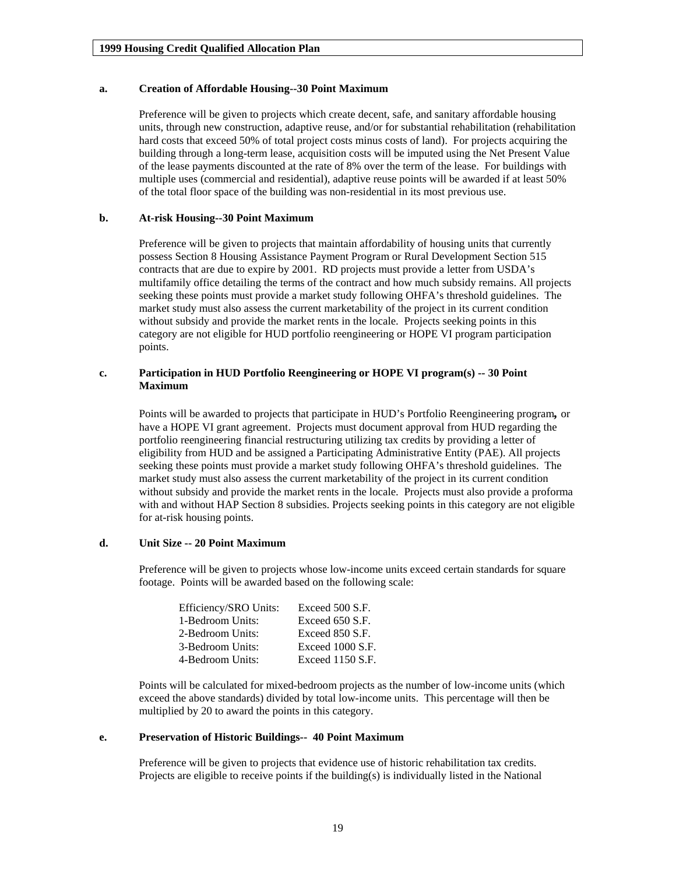#### <span id="page-18-0"></span>**a. Creation of Affordable Housing--30 Point Maximum**

Preference will be given to projects which create decent, safe, and sanitary affordable housing units, through new construction, adaptive reuse, and/or for substantial rehabilitation (rehabilitation hard costs that exceed 50% of total project costs minus costs of land). For projects acquiring the building through a long-term lease, acquisition costs will be imputed using the Net Present Value of the lease payments discounted at the rate of 8% over the term of the lease. For buildings with multiple uses (commercial and residential), adaptive reuse points will be awarded if at least 50% of the total floor space of the building was non-residential in its most previous use.

#### **b. At-risk Housing--30 Point Maximum**

Preference will be given to projects that maintain affordability of housing units that currently possess Section 8 Housing Assistance Payment Program or Rural Development Section 515 contracts that are due to expire by 2001. RD projects must provide a letter from USDA's multifamily office detailing the terms of the contract and how much subsidy remains. All projects seeking these points must provide a market study following OHFA's threshold guidelines. The market study must also assess the current marketability of the project in its current condition without subsidy and provide the market rents in the locale. Projects seeking points in this category are not eligible for HUD portfolio reengineering or HOPE VI program participation points.

#### **c. Participation in HUD Portfolio Reengineering or HOPE VI program(s) -- 30 Point Maximum**

Points will be awarded to projects that participate in HUD's Portfolio Reengineering program*,* or have a HOPE VI grant agreement. Projects must document approval from HUD regarding the portfolio reengineering financial restructuring utilizing tax credits by providing a letter of eligibility from HUD and be assigned a Participating Administrative Entity (PAE). All projects seeking these points must provide a market study following OHFA's threshold guidelines. The market study must also assess the current marketability of the project in its current condition without subsidy and provide the market rents in the locale. Projects must also provide a proforma with and without HAP Section 8 subsidies. Projects seeking points in this category are not eligible for at-risk housing points.

#### **d. Unit Size -- 20 Point Maximum**

Preference will be given to projects whose low-income units exceed certain standards for square footage. Points will be awarded based on the following scale:

| Efficiency/SRO Units: | Exceed 500 S.F.  |
|-----------------------|------------------|
| 1-Bedroom Units:      | Exceed 650 S.F.  |
| 2-Bedroom Units:      | Exceed 850 S.F.  |
| 3-Bedroom Units:      | Exceed 1000 S.F. |
| 4-Bedroom Units:      | Exceed 1150 S.F. |

Points will be calculated for mixed-bedroom projects as the number of low-income units (which exceed the above standards) divided by total low-income units. This percentage will then be multiplied by 20 to award the points in this category.

#### **e. Preservation of Historic Buildings-- 40 Point Maximum**

Preference will be given to projects that evidence use of historic rehabilitation tax credits. Projects are eligible to receive points if the building(s) is individually listed in the National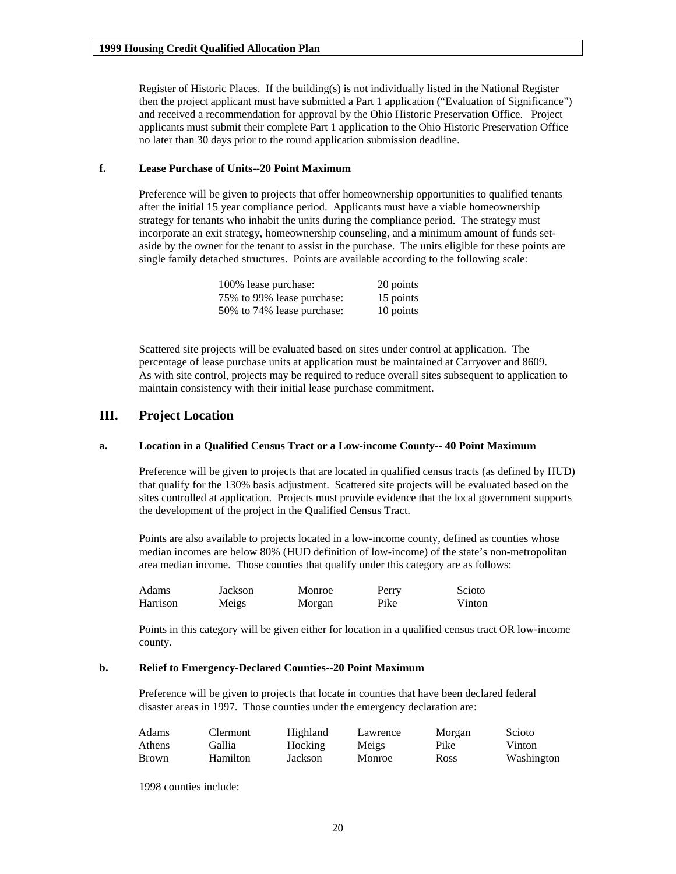<span id="page-19-0"></span>Register of Historic Places. If the building(s) is not individually listed in the National Register then the project applicant must have submitted a Part 1 application ("Evaluation of Significance") and received a recommendation for approval by the Ohio Historic Preservation Office. Project applicants must submit their complete Part 1 application to the Ohio Historic Preservation Office no later than 30 days prior to the round application submission deadline.

#### **f. Lease Purchase of Units--20 Point Maximum**

Preference will be given to projects that offer homeownership opportunities to qualified tenants after the initial 15 year compliance period. Applicants must have a viable homeownership strategy for tenants who inhabit the units during the compliance period. The strategy must incorporate an exit strategy, homeownership counseling, and a minimum amount of funds setaside by the owner for the tenant to assist in the purchase. The units eligible for these points are single family detached structures. Points are available according to the following scale:

| 100% lease purchase:       | 20 points |
|----------------------------|-----------|
| 75% to 99% lease purchase: | 15 points |
| 50% to 74% lease purchase: | 10 points |

Scattered site projects will be evaluated based on sites under control at application. The percentage of lease purchase units at application must be maintained at Carryover and 8609. As with site control, projects may be required to reduce overall sites subsequent to application to maintain consistency with their initial lease purchase commitment.

### **III. Project Location**

#### **a. Location in a Qualified Census Tract or a Low-income County-- 40 Point Maximum**

Preference will be given to projects that are located in qualified census tracts (as defined by HUD) that qualify for the 130% basis adjustment. Scattered site projects will be evaluated based on the sites controlled at application. Projects must provide evidence that the local government supports the development of the project in the Qualified Census Tract.

Points are also available to projects located in a low-income county, defined as counties whose median incomes are below 80% (HUD definition of low-income) of the state's non-metropolitan area median income. Those counties that qualify under this category are as follows:

| Adams .  | Jackson | Monroe | Perry | Scioto |
|----------|---------|--------|-------|--------|
| Harrison | Meigs   | Morgan | Pike  | Vinton |

Points in this category will be given either for location in a qualified census tract OR low-income county.

#### **b. Relief to Emergency-Declared Counties--20 Point Maximum**

Preference will be given to projects that locate in counties that have been declared federal disaster areas in 1997. Those counties under the emergency declaration are:

| Adams        | Clermont | Highland | Lawrence | Morgan | Scioto     |
|--------------|----------|----------|----------|--------|------------|
| Athens       | Gallia   | Hocking  | Meigs    | Pike   | Vinton     |
| <b>Brown</b> | Hamilton | Jackson  | Monroe   | Ross   | Washington |

1998 counties include: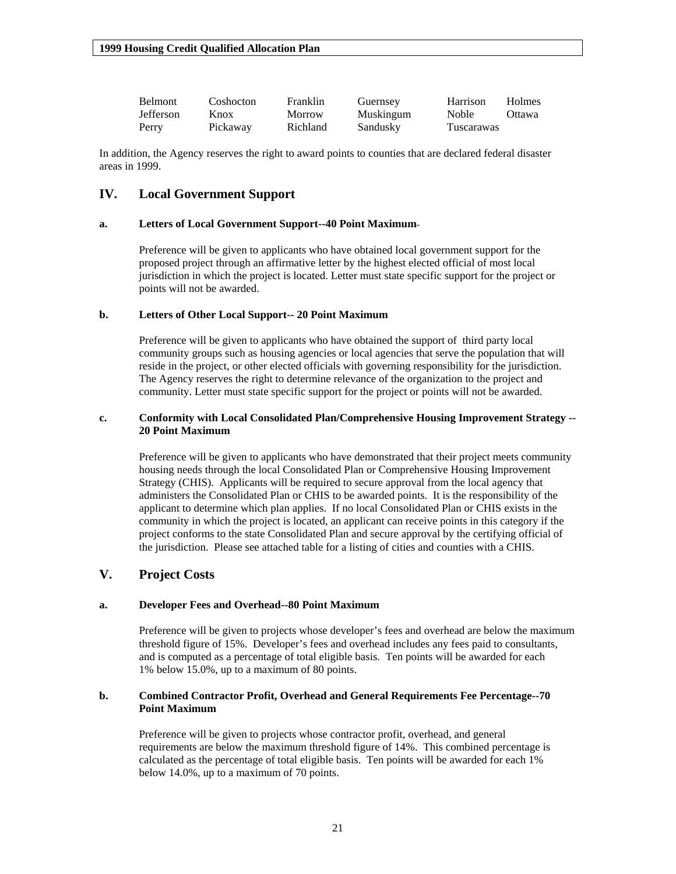<span id="page-20-0"></span>

| <b>Belmont</b>   | Coshocton | Franklin      | Guernsey  | Harrison     | Holmes |
|------------------|-----------|---------------|-----------|--------------|--------|
| <b>Jefferson</b> | Knox      | <b>Morrow</b> | Muskingum | <b>Noble</b> | Ottawa |
| Perry            | Pickaway  | Richland      | Sandusky  | Tuscarawas   |        |

In addition, the Agency reserves the right to award points to counties that are declared federal disaster areas in 1999.

## **IV. Local Government Support**

#### **a. Letters of Local Government Support--40 Point Maximum**

Preference will be given to applicants who have obtained local government support for the proposed project through an affirmative letter by the highest elected official of most local jurisdiction in which the project is located. Letter must state specific support for the project or points will not be awarded.

#### **b. Letters of Other Local Support-- 20 Point Maximum**

Preference will be given to applicants who have obtained the support of third party local community groups such as housing agencies or local agencies that serve the population that will reside in the project, or other elected officials with governing responsibility for the jurisdiction. The Agency reserves the right to determine relevance of the organization to the project and community. Letter must state specific support for the project or points will not be awarded.

#### **c. Conformity with Local Consolidated Plan/Comprehensive Housing Improvement Strategy -- 20 Point Maximum**

Preference will be given to applicants who have demonstrated that their project meets community housing needs through the local Consolidated Plan or Comprehensive Housing Improvement Strategy (CHIS). Applicants will be required to secure approval from the local agency that administers the Consolidated Plan or CHIS to be awarded points. It is the responsibility of the applicant to determine which plan applies. If no local Consolidated Plan or CHIS exists in the community in which the project is located, an applicant can receive points in this category if the project conforms to the state Consolidated Plan and secure approval by the certifying official of the jurisdiction. Please see attached table for a listing of cities and counties with a CHIS.

## **V. Project Costs**

#### **a. Developer Fees and Overhead--80 Point Maximum**

Preference will be given to projects whose developer's fees and overhead are below the maximum threshold figure of 15%. Developer's fees and overhead includes any fees paid to consultants, and is computed as a percentage of total eligible basis. Ten points will be awarded for each 1% below 15.0%, up to a maximum of 80 points.

#### **b. Combined Contractor Profit, Overhead and General Requirements Fee Percentage--70 Point Maximum**

Preference will be given to projects whose contractor profit, overhead, and general requirements are below the maximum threshold figure of 14%. This combined percentage is calculated as the percentage of total eligible basis. Ten points will be awarded for each 1% below 14.0%, up to a maximum of 70 points.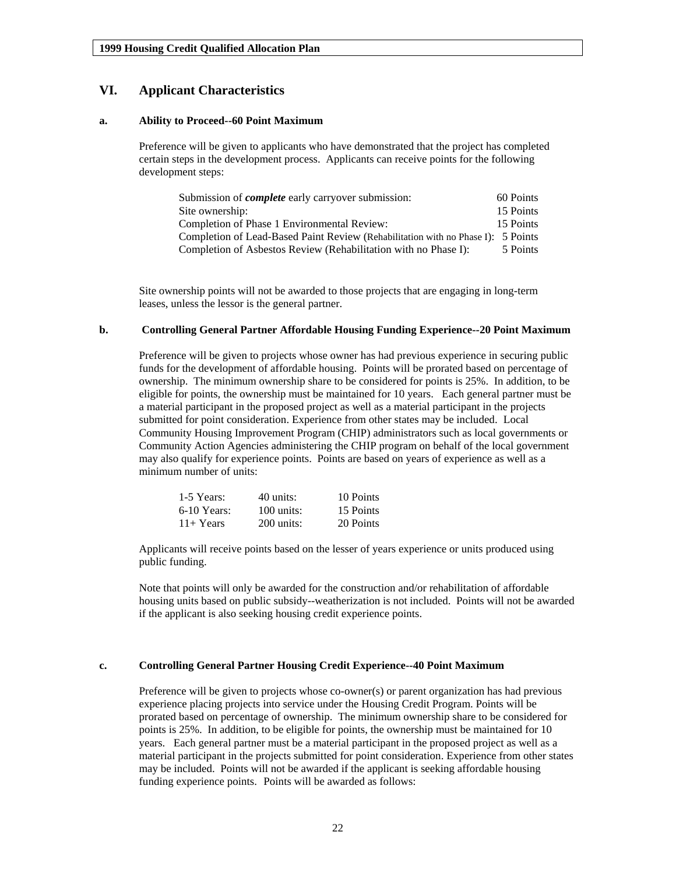## <span id="page-21-0"></span>**VI. Applicant Characteristics**

#### **a. Ability to Proceed--60 Point Maximum**

Preference will be given to applicants who have demonstrated that the project has completed certain steps in the development process. Applicants can receive points for the following development steps:

| Submission of <i>complete</i> early carryover submission:                        | 60 Points |
|----------------------------------------------------------------------------------|-----------|
| Site ownership:                                                                  | 15 Points |
| Completion of Phase 1 Environmental Review:                                      | 15 Points |
| Completion of Lead-Based Paint Review (Rehabilitation with no Phase I): 5 Points |           |
| Completion of Asbestos Review (Rehabilitation with no Phase I):                  | 5 Points  |

Site ownership points will not be awarded to those projects that are engaging in long-term leases, unless the lessor is the general partner.

#### **b. Controlling General Partner Affordable Housing Funding Experience--20 Point Maximum**

Preference will be given to projects whose owner has had previous experience in securing public funds for the development of affordable housing. Points will be prorated based on percentage of ownership. The minimum ownership share to be considered for points is 25%. In addition, to be eligible for points, the ownership must be maintained for 10 years. Each general partner must be a material participant in the proposed project as well as a material participant in the projects submitted for point consideration. Experience from other states may be included. Local Community Housing Improvement Program (CHIP) administrators such as local governments or Community Action Agencies administering the CHIP program on behalf of the local government may also qualify for experience points. Points are based on years of experience as well as a minimum number of units:

| 1-5 Years:    | 40 units:    | 10 Points |
|---------------|--------------|-----------|
| $6-10$ Years: | $100$ units: | 15 Points |
| $11+Years$    | $200$ units: | 20 Points |

Applicants will receive points based on the lesser of years experience or units produced using public funding.

Note that points will only be awarded for the construction and/or rehabilitation of affordable housing units based on public subsidy--weatherization is not included. Points will not be awarded if the applicant is also seeking housing credit experience points.

#### **c. Controlling General Partner Housing Credit Experience--40 Point Maximum**

Preference will be given to projects whose co-owner(s) or parent organization has had previous experience placing projects into service under the Housing Credit Program. Points will be prorated based on percentage of ownership. The minimum ownership share to be considered for points is 25%. In addition, to be eligible for points, the ownership must be maintained for 10 years. Each general partner must be a material participant in the proposed project as well as a material participant in the projects submitted for point consideration. Experience from other states may be included. Points will not be awarded if the applicant is seeking affordable housing funding experience points.Points will be awarded as follows: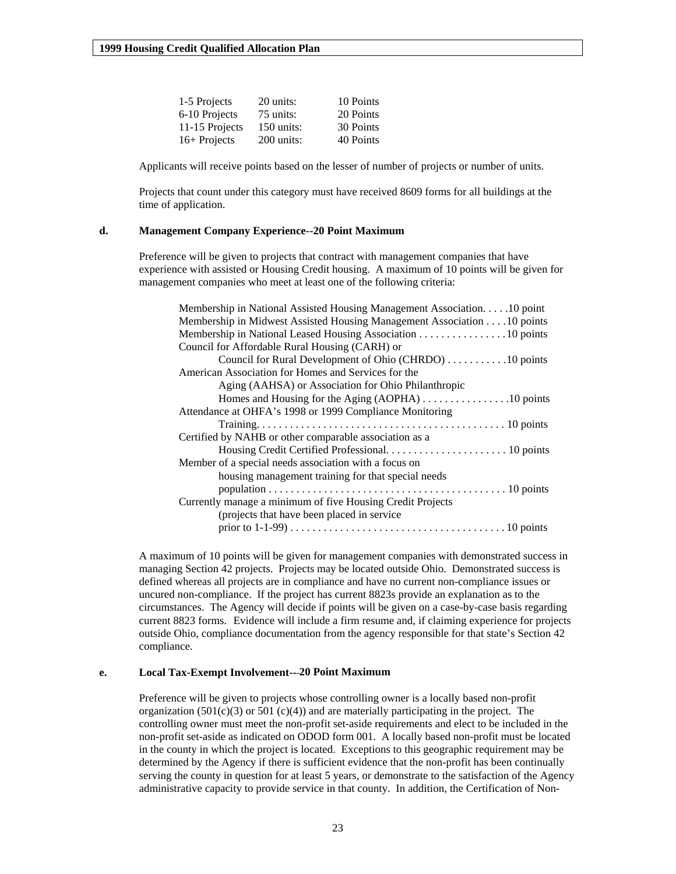<span id="page-22-0"></span>

| 1-5 Projects   | 20 units:    | 10 Points |
|----------------|--------------|-----------|
| 6-10 Projects  | 75 units:    | 20 Points |
| 11-15 Projects | $150$ units: | 30 Points |
| 16+ Projects   | $200$ units: | 40 Points |

Applicants will receive points based on the lesser of number of projects or number of units.

Projects that count under this category must have received 8609 forms for all buildings at the time of application.

#### **d. Management Company Experience--20 Point Maximum**

Preference will be given to projects that contract with management companies that have experience with assisted or Housing Credit housing. A maximum of 10 points will be given for management companies who meet at least one of the following criteria:

| Membership in National Assisted Housing Management Association. 10 point |
|--------------------------------------------------------------------------|
| Membership in Midwest Assisted Housing Management Association 10 points  |
| Membership in National Leased Housing Association 10 points              |
| Council for Affordable Rural Housing (CARH) or                           |
| Council for Rural Development of Ohio (CHRDO) 10 points                  |
| American Association for Homes and Services for the                      |
| Aging (AAHSA) or Association for Ohio Philanthropic                      |
|                                                                          |
| Attendance at OHFA's 1998 or 1999 Compliance Monitoring                  |
|                                                                          |
| Certified by NAHB or other comparable association as a                   |
|                                                                          |
| Member of a special needs association with a focus on                    |
| housing management training for that special needs                       |
|                                                                          |
| Currently manage a minimum of five Housing Credit Projects               |
| (projects that have been placed in service)                              |
|                                                                          |
|                                                                          |

A maximum of 10 points will be given for management companies with demonstrated success in managing Section 42 projects. Projects may be located outside Ohio. Demonstrated success is defined whereas all projects are in compliance and have no current non-compliance issues or uncured non-compliance. If the project has current 8823s provide an explanation as to the circumstances. The Agency will decide if points will be given on a case-by-case basis regarding current 8823 forms.Evidence will include a firm resume and, if claiming experience for projects outside Ohio, compliance documentation from the agency responsible for that state's Section 42 compliance.

#### **e. Local Tax-Exempt Involvement-- 20 Point Maximum**

Preference will be given to projects whose controlling owner is a locally based non-profit organization  $(501(c)(3)$  or  $501(c)(4)$ ) and are materially participating in the project. The controlling owner must meet the non-profit set-aside requirements and elect to be included in the non-profit set-aside as indicated on ODOD form 001. A locally based non-profit must be located in the county in which the project is located. Exceptions to this geographic requirement may be determined by the Agency if there is sufficient evidence that the non-profit has been continually serving the county in question for at least 5 years, or demonstrate to the satisfaction of the Agency administrative capacity to provide service in that county. In addition, the Certification of Non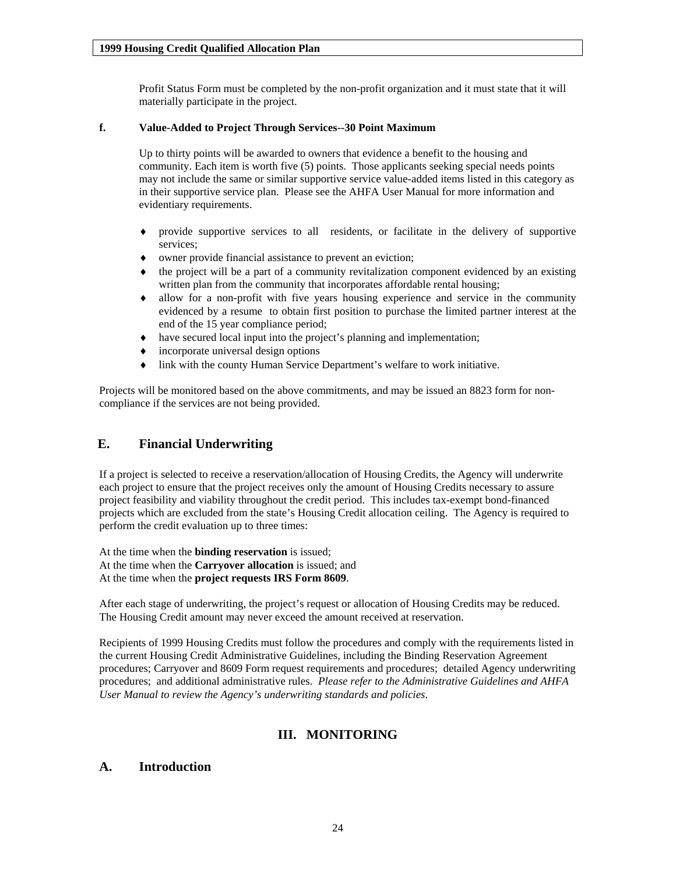Profit Status Form must be completed by the non-profit organization and it must state that it will materially participate in the project.

#### <span id="page-23-0"></span>**f. Value-Added to Project Through Services--30 Point Maximum**

Up to thirty points will be awarded to owners that evidence a benefit to the housing and community. Each item is worth five (5) points. Those applicants seeking special needs points may not include the same or similar supportive service value-added items listed in this category as in their supportive service plan. Please see the AHFA User Manual for more information and evidentiary requirements.

- ♦ provide supportive services to all residents, or facilitate in the delivery of supportive services;
- owner provide financial assistance to prevent an eviction;
- the project will be a part of a community revitalization component evidenced by an existing written plan from the community that incorporates affordable rental housing;
- ♦ allow for a non-profit with five years housing experience and service in the community evidenced by a resume to obtain first position to purchase the limited partner interest at the end of the 15 year compliance period;
- ♦ have secured local input into the project's planning and implementation;
- incorporate universal design options
- link with the county Human Service Department's welfare to work initiative.

Projects will be monitored based on the above commitments, and may be issued an 8823 form for noncompliance if the services are not being provided.

## **E. Financial Underwriting**

If a project is selected to receive a reservation/allocation of Housing Credits, the Agency will underwrite each project to ensure that the project receives only the amount of Housing Credits necessary to assure project feasibility and viability throughout the credit period. This includes tax-exempt bond-financed projects which are excluded from the state's Housing Credit allocation ceiling. The Agency is required to perform the credit evaluation up to three times:

At the time when the **binding reservation** is issued; At the time when the **Carryover allocation** is issued; and At the time when the **project requests IRS Form 8609**.

After each stage of underwriting, the project's request or allocation of Housing Credits may be reduced. The Housing Credit amount may never exceed the amount received at reservation.

Recipients of 1999 Housing Credits must follow the procedures and comply with the requirements listed in the current Housing Credit Administrative Guidelines, including the Binding Reservation Agreement procedures; Carryover and 8609 Form request requirements and procedures; detailed Agency underwriting procedures; and additional administrative rules. *Please refer to the Administrative Guidelines and AHFA User Manual to review the Agency's underwriting standards and policies*.

## **III. MONITORING**

## **A. Introduction**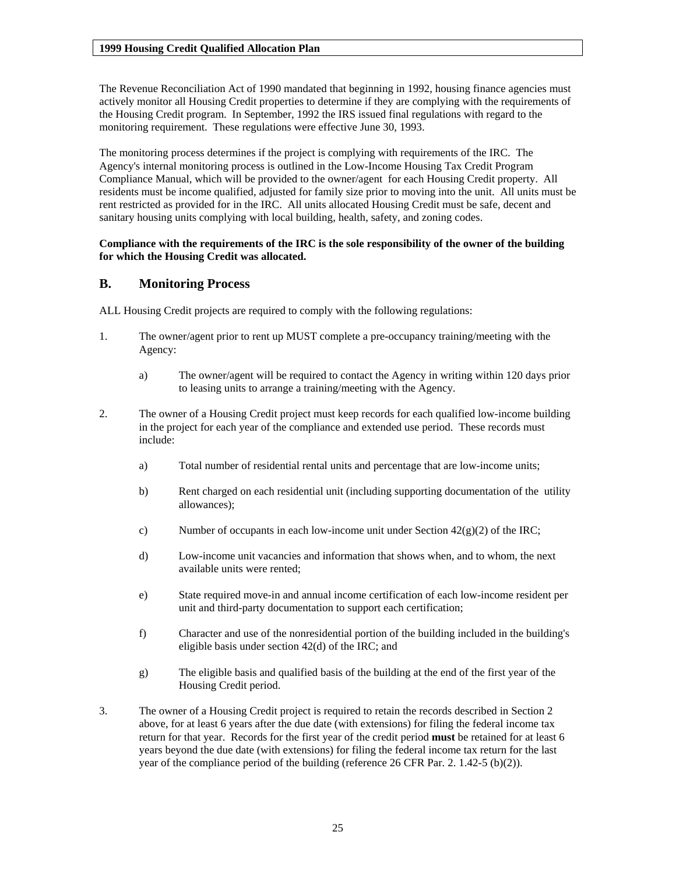The Revenue Reconciliation Act of 1990 mandated that beginning in 1992, housing finance agencies must actively monitor all Housing Credit properties to determine if they are complying with the requirements of the Housing Credit program. In September, 1992 the IRS issued final regulations with regard to the monitoring requirement. These regulations were effective June 30, 1993.

The monitoring process determines if the project is complying with requirements of the IRC. The Agency's internal monitoring process is outlined in the Low-Income Housing Tax Credit Program Compliance Manual, which will be provided to the owner/agent for each Housing Credit property. All residents must be income qualified, adjusted for family size prior to moving into the unit. All units must be rent restricted as provided for in the IRC. All units allocated Housing Credit must be safe, decent and sanitary housing units complying with local building, health, safety, and zoning codes.

#### **Compliance with the requirements of the IRC is the sole responsibility of the owner of the building for which the Housing Credit was allocated.**

## **B. Monitoring Process**

ALL Housing Credit projects are required to comply with the following regulations:

- 1. The owner/agent prior to rent up MUST complete a pre-occupancy training/meeting with the Agency:
	- a) The owner/agent will be required to contact the Agency in writing within 120 days prior to leasing units to arrange a training/meeting with the Agency.
- 2. The owner of a Housing Credit project must keep records for each qualified low-income building in the project for each year of the compliance and extended use period. These records must include:
	- a) Total number of residential rental units and percentage that are low-income units;
	- b) Rent charged on each residential unit (including supporting documentation of the utility allowances);
	- c) Number of occupants in each low-income unit under Section  $42(g)(2)$  of the IRC;
	- d) Low-income unit vacancies and information that shows when, and to whom, the next available units were rented;
	- e) State required move-in and annual income certification of each low-income resident per unit and third-party documentation to support each certification;
	- f) Character and use of the nonresidential portion of the building included in the building's eligible basis under section 42(d) of the IRC; and
	- g) The eligible basis and qualified basis of the building at the end of the first year of the Housing Credit period.
- 3. The owner of a Housing Credit project is required to retain the records described in Section 2 above, for at least 6 years after the due date (with extensions) for filing the federal income tax return for that year. Records for the first year of the credit period **must** be retained for at least 6 years beyond the due date (with extensions) for filing the federal income tax return for the last year of the compliance period of the building (reference 26 CFR Par. 2. 1.42-5 (b)(2)).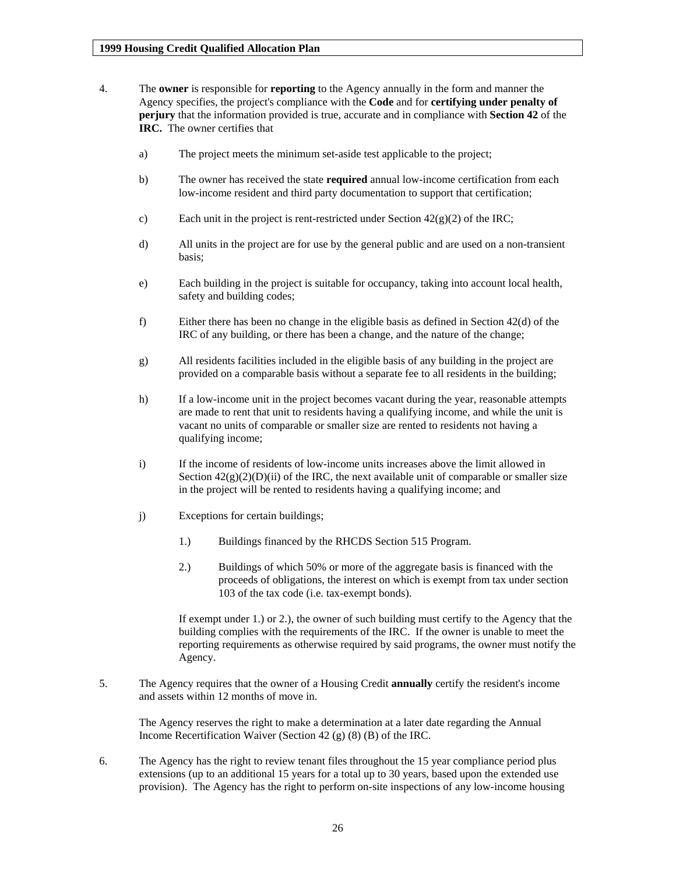- 4. The **owner** is responsible for **reporting** to the Agency annually in the form and manner the Agency specifies, the project's compliance with the **Code** and for **certifying under penalty of perjury** that the information provided is true, accurate and in compliance with **Section 42** of the **IRC.** The owner certifies that
	- a) The project meets the minimum set-aside test applicable to the project;
	- b) The owner has received the state **required** annual low-income certification from each low-income resident and third party documentation to support that certification;
	- c) Each unit in the project is rent-restricted under Section  $42(g)(2)$  of the IRC;
	- d) All units in the project are for use by the general public and are used on a non-transient basis;
	- e) Each building in the project is suitable for occupancy, taking into account local health, safety and building codes;
	- f) Either there has been no change in the eligible basis as defined in Section 42(d) of the IRC of any building, or there has been a change, and the nature of the change;
	- g) All residents facilities included in the eligible basis of any building in the project are provided on a comparable basis without a separate fee to all residents in the building;
	- h) If a low-income unit in the project becomes vacant during the year, reasonable attempts are made to rent that unit to residents having a qualifying income, and while the unit is vacant no units of comparable or smaller size are rented to residents not having a qualifying income;
	- i) If the income of residents of low-income units increases above the limit allowed in Section  $42(g)(2)(D)(ii)$  of the IRC, the next available unit of comparable or smaller size in the project will be rented to residents having a qualifying income; and
	- j) Exceptions for certain buildings;
		- 1.) Buildings financed by the RHCDS Section 515 Program.
		- 2.) Buildings of which 50% or more of the aggregate basis is financed with the proceeds of obligations, the interest on which is exempt from tax under section 103 of the tax code (i.e. tax-exempt bonds).

If exempt under 1.) or 2.), the owner of such building must certify to the Agency that the building complies with the requirements of the IRC. If the owner is unable to meet the reporting requirements as otherwise required by said programs, the owner must notify the Agency.

5. The Agency requires that the owner of a Housing Credit **annually** certify the resident's income and assets within 12 months of move in.

The Agency reserves the right to make a determination at a later date regarding the Annual Income Recertification Waiver (Section 42 (g) (8) (B) of the IRC.

6. The Agency has the right to review tenant files throughout the 15 year compliance period plus extensions (up to an additional 15 years for a total up to 30 years, based upon the extended use provision). The Agency has the right to perform on-site inspections of any low-income housing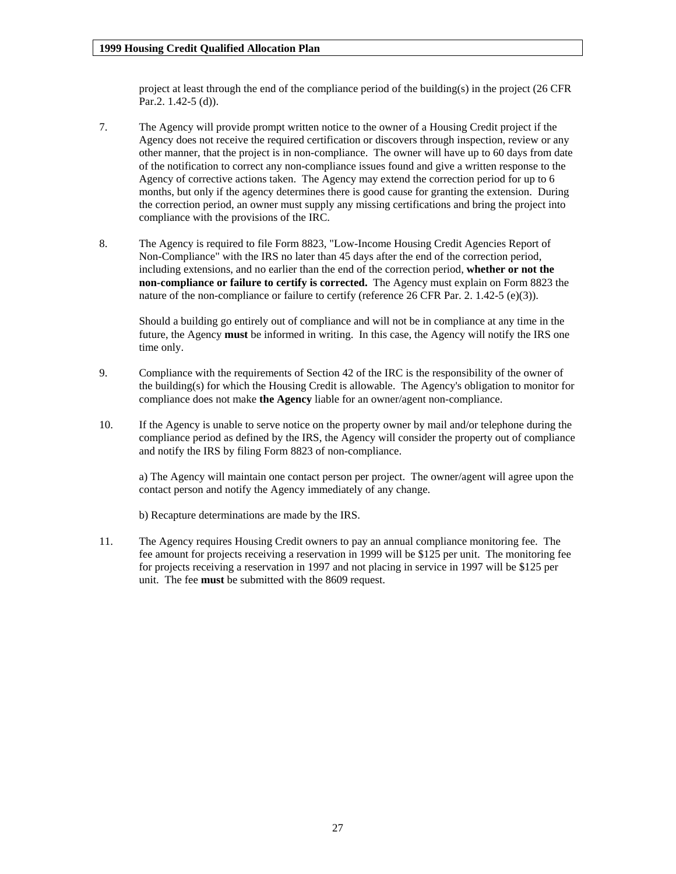project at least through the end of the compliance period of the building(s) in the project (26 CFR Par.2. 1.42-5 (d)).

- 7. The Agency will provide prompt written notice to the owner of a Housing Credit project if the Agency does not receive the required certification or discovers through inspection, review or any other manner, that the project is in non-compliance. The owner will have up to 60 days from date of the notification to correct any non-compliance issues found and give a written response to the Agency of corrective actions taken. The Agency may extend the correction period for up to 6 months, but only if the agency determines there is good cause for granting the extension. During the correction period, an owner must supply any missing certifications and bring the project into compliance with the provisions of the IRC.
- 8. The Agency is required to file Form 8823, "Low-Income Housing Credit Agencies Report of Non-Compliance" with the IRS no later than 45 days after the end of the correction period, including extensions, and no earlier than the end of the correction period, **whether or not the non-compliance or failure to certify is corrected.** The Agency must explain on Form 8823 the nature of the non-compliance or failure to certify (reference 26 CFR Par. 2. 1.42-5 (e)(3)).

Should a building go entirely out of compliance and will not be in compliance at any time in the future, the Agency **must** be informed in writing. In this case, the Agency will notify the IRS one time only.

- 9. Compliance with the requirements of Section 42 of the IRC is the responsibility of the owner of the building(s) for which the Housing Credit is allowable. The Agency's obligation to monitor for compliance does not make **the Agency** liable for an owner/agent non-compliance.
- 10. If the Agency is unable to serve notice on the property owner by mail and/or telephone during the compliance period as defined by the IRS, the Agency will consider the property out of compliance and notify the IRS by filing Form 8823 of non-compliance.

a) The Agency will maintain one contact person per project. The owner/agent will agree upon the contact person and notify the Agency immediately of any change.

b) Recapture determinations are made by the IRS.

11. The Agency requires Housing Credit owners to pay an annual compliance monitoring fee. The fee amount for projects receiving a reservation in 1999 will be \$125 per unit. The monitoring fee for projects receiving a reservation in 1997 and not placing in service in 1997 will be \$125 per unit. The fee **must** be submitted with the 8609 request.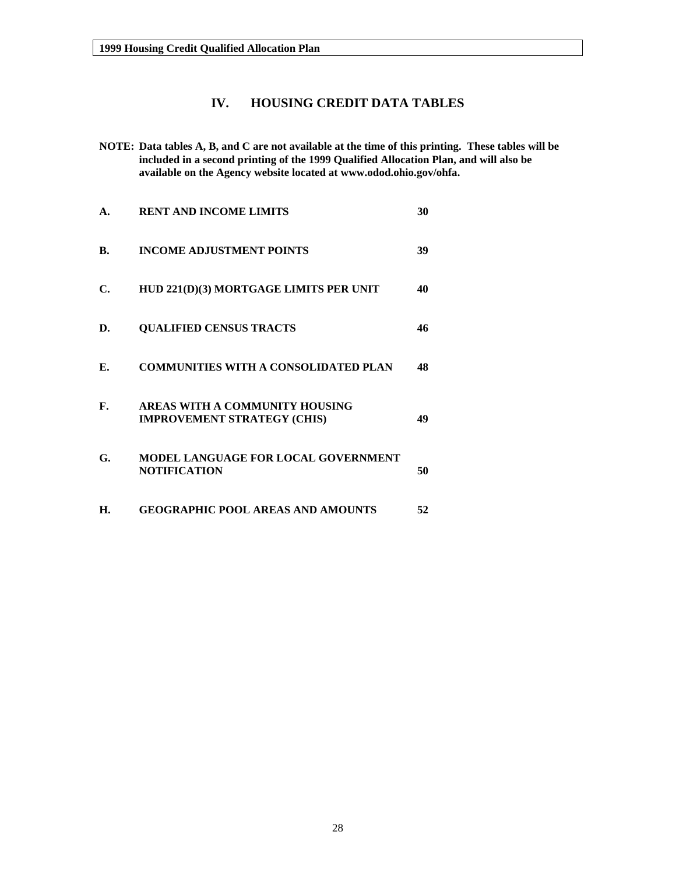## **IV. HOUSING CREDIT DATA TABLES**

<span id="page-27-0"></span>**NOTE: Data tables A, B, and C are not available at the time of this printing. These tables will be included in a second printing of the 1999 Qualified Allocation Plan, and will also be available on the Agency website located at [www.odod.ohio.gov/ohfa](http://www.odod.ohio.gov/ohfa).** 

| A. | <b>RENT AND INCOME LIMITS</b>                                        | 30 |
|----|----------------------------------------------------------------------|----|
| B. | <b>INCOME ADJUSTMENT POINTS</b>                                      | 39 |
| С. | HUD 221(D)(3) MORTGAGE LIMITS PER UNIT                               | 40 |
| D. | <b>QUALIFIED CENSUS TRACTS</b>                                       | 46 |
| Е. | <b>COMMUNITIES WITH A CONSOLIDATED PLAN</b>                          | 48 |
| F. | AREAS WITH A COMMUNITY HOUSING<br><b>IMPROVEMENT STRATEGY (CHIS)</b> | 49 |
| G. | MODEL LANGUAGE FOR LOCAL GOVERNMENT<br><b>NOTIFICATION</b>           | 50 |
| Н. | <b>GEOGRAPHIC POOL AREAS AND AMOUNTS</b>                             | 52 |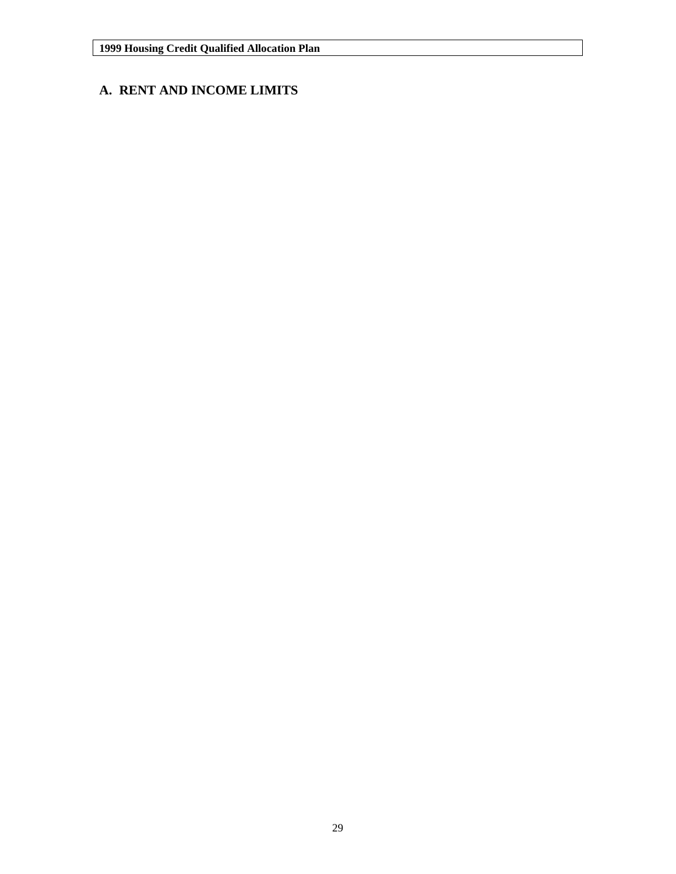## **A. RENT AND INCOME LIMITS**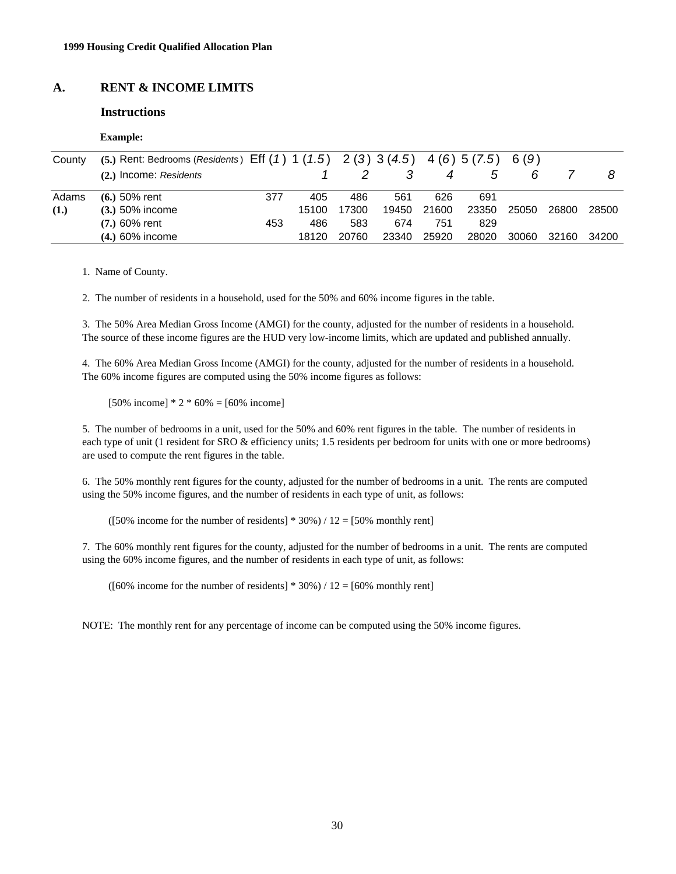## **A. RENT & INCOME LIMITS**

#### **Instructions**

| uxample. |
|----------|
|----------|

| County | (5.) Rent: Bedrooms (Residents) Eff $(1)$ 1 $(1.5)$ 2 $(3)$ 3 $(4.5)$ 4 $(6)$ 5 $(7.5)$ 6 $(9)$ |     |       |       |       |       |       |       |       |       |
|--------|-------------------------------------------------------------------------------------------------|-----|-------|-------|-------|-------|-------|-------|-------|-------|
|        | (2.) Income: Residents                                                                          |     |       |       |       |       | 5     |       |       |       |
| Adams  | $(6.) 50%$ rent                                                                                 | 377 | 405   | 486   | 561   | 626   | 691   |       |       |       |
| (1.)   | $(3.) 50\%$ income                                                                              |     | 15100 | 17300 | 19450 | 21600 | 23350 | 25050 | 26800 | 28500 |
|        | $(7.) 60%$ rent                                                                                 | 453 | 486   | 583   | 674   | 751   | 829   |       |       |       |
|        | $(4.) 60\%$ income                                                                              |     | 18120 | 20760 | 23340 | 25920 | 28020 | 30060 | 32160 | 34200 |

1. Name of County.

2. The number of residents in a household, used for the 50% and 60% income figures in the table.

3. The 50% Area Median Gross Income (AMGI) for the county, adjusted for the number of residents in a household. The source of these income figures are the HUD very low-income limits, which are updated and published annually.

4. The 60% Area Median Gross Income (AMGI) for the county, adjusted for the number of residents in a household. The 60% income figures are computed using the 50% income figures as follows:

 $[50\% \text{ income}] * 2 * 60\% = [60\% \text{ income}]$ 

5. The number of bedrooms in a unit, used for the 50% and 60% rent figures in the table. The number of residents in each type of unit (1 resident for SRO & efficiency units; 1.5 residents per bedroom for units with one or more bedrooms) are used to compute the rent figures in the table.

6. The 50% monthly rent figures for the county, adjusted for the number of bedrooms in a unit. The rents are computed using the 50% income figures, and the number of residents in each type of unit, as follows:

( $[50\%$  income for the number of residents] \* 30%) / 12 =  $[50\%$  monthly rent]

7. The 60% monthly rent figures for the county, adjusted for the number of bedrooms in a unit. The rents are computed using the 60% income figures, and the number of residents in each type of unit, as follows:

( $[60\%$  income for the number of residents] \* 30%) / 12 =  $[60\%$  monthly rent]

NOTE: The monthly rent for any percentage of income can be computed using the 50% income figures.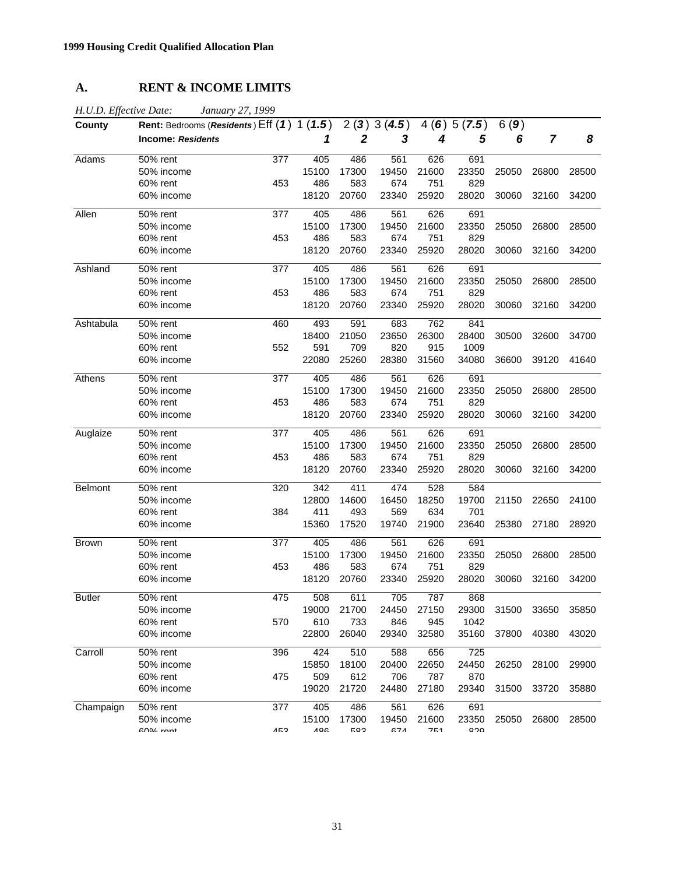## **A. RENT & INCOME LIMITS**

| H.U.D. Effective Date: | January 27, 1999                           |     |       |       |            |       |            |       |       |       |
|------------------------|--------------------------------------------|-----|-------|-------|------------|-------|------------|-------|-------|-------|
| County                 | Rent: Bedrooms (Residents) Eff (1) 1 (1.5) |     |       |       | 2(3)3(4.5) |       | 4(6)5(7.5) | 6(9)  |       |       |
|                        | <b>Income: Residents</b>                   |     | 1     | 2     | 3          | 4     | 5          | 6     | 7     | 8     |
| Adams                  | 50% rent                                   | 377 | 405   | 486   | 561        | 626   | 691        |       |       |       |
|                        | 50% income                                 |     | 15100 | 17300 | 19450      | 21600 | 23350      | 25050 | 26800 | 28500 |
|                        | 60% rent                                   | 453 | 486   | 583   | 674        | 751   | 829        |       |       |       |
|                        | 60% income                                 |     | 18120 | 20760 | 23340      | 25920 | 28020      | 30060 | 32160 | 34200 |
| Allen                  | 50% rent                                   | 377 | 405   | 486   | 561        | 626   | 691        |       |       |       |
|                        | 50% income                                 |     | 15100 | 17300 | 19450      | 21600 | 23350      | 25050 | 26800 | 28500 |
|                        | 60% rent                                   | 453 | 486   | 583   | 674        | 751   | 829        |       |       |       |
|                        | 60% income                                 |     | 18120 | 20760 | 23340      | 25920 | 28020      | 30060 | 32160 | 34200 |
| Ashland                | 50% rent                                   | 377 | 405   | 486   | 561        | 626   | 691        |       |       |       |
|                        | 50% income                                 |     | 15100 | 17300 | 19450      | 21600 | 23350      | 25050 | 26800 | 28500 |
|                        | 60% rent                                   | 453 | 486   | 583   | 674        | 751   | 829        |       |       |       |
|                        | 60% income                                 |     | 18120 | 20760 | 23340      | 25920 | 28020      | 30060 | 32160 | 34200 |
| Ashtabula              | 50% rent                                   | 460 | 493   | 591   | 683        | 762   | 841        |       |       |       |
|                        | 50% income                                 |     | 18400 | 21050 | 23650      | 26300 | 28400      | 30500 | 32600 | 34700 |
|                        | 60% rent                                   | 552 | 591   | 709   | 820        | 915   | 1009       |       |       |       |
|                        | 60% income                                 |     | 22080 | 25260 | 28380      | 31560 | 34080      | 36600 | 39120 | 41640 |
| Athens                 | 50% rent                                   | 377 | 405   | 486   | 561        | 626   | 691        |       |       |       |
|                        | 50% income                                 |     | 15100 | 17300 | 19450      | 21600 | 23350      | 25050 | 26800 | 28500 |
|                        | 60% rent                                   | 453 | 486   | 583   | 674        | 751   | 829        |       |       |       |
|                        | 60% income                                 |     | 18120 | 20760 | 23340      | 25920 | 28020      | 30060 | 32160 | 34200 |
| Auglaize               | 50% rent                                   | 377 | 405   | 486   | 561        | 626   | 691        |       |       |       |
|                        | 50% income                                 |     | 15100 | 17300 | 19450      | 21600 | 23350      | 25050 | 26800 | 28500 |
|                        | 60% rent                                   | 453 | 486   | 583   | 674        | 751   | 829        |       |       |       |
|                        | 60% income                                 |     | 18120 | 20760 | 23340      | 25920 | 28020      | 30060 | 32160 | 34200 |
| <b>Belmont</b>         | 50% rent                                   | 320 | 342   | 411   | 474        | 528   | 584        |       |       |       |
|                        | 50% income                                 |     | 12800 | 14600 | 16450      | 18250 | 19700      | 21150 | 22650 | 24100 |
|                        | 60% rent                                   | 384 | 411   | 493   | 569        | 634   | 701        |       |       |       |
|                        | 60% income                                 |     | 15360 | 17520 | 19740      | 21900 | 23640      | 25380 | 27180 | 28920 |
| <b>Brown</b>           | 50% rent                                   | 377 | 405   | 486   | 561        | 626   | 691        |       |       |       |
|                        | 50% income                                 |     | 15100 | 17300 | 19450      | 21600 | 23350      | 25050 | 26800 | 28500 |
|                        | 60% rent                                   | 453 | 486   | 583   | 674        | 751   | 829        |       |       |       |
|                        | 60% income                                 |     | 18120 | 20760 | 23340      | 25920 | 28020      | 30060 | 32160 | 34200 |
| <b>Butler</b>          | 50% rent                                   | 475 | 508   | 611   | 705        | 787   | 868        |       |       |       |
|                        | 50% income                                 |     | 19000 | 21700 | 24450      | 27150 | 29300      | 31500 | 33650 | 35850 |
|                        | 60% rent                                   | 570 | 610   | 733   | 846        | 945   | 1042       |       |       |       |
|                        | 60% income                                 |     | 22800 | 26040 | 29340      | 32580 | 35160      | 37800 | 40380 | 43020 |
| Carroll                | 50% rent                                   | 396 | 424   | 510   | 588        | 656   | 725        |       |       |       |
|                        | 50% income                                 |     | 15850 | 18100 | 20400      | 22650 | 24450      | 26250 | 28100 | 29900 |
|                        | 60% rent                                   | 475 | 509   | 612   | 706        | 787   | 870        |       |       |       |
|                        | 60% income                                 |     | 19020 | 21720 | 24480      | 27180 | 29340      | 31500 | 33720 | 35880 |
| Champaign              | 50% rent                                   | 377 | 405   | 486   | 561        | 626   | 691        |       |       |       |
|                        | 50% income                                 |     | 15100 | 17300 | 19450      | 21600 | 23350      | 25050 | 26800 | 28500 |
|                        | $C10$ $C20$                                | ハにつ | 100   | coa   | <b>G71</b> | 754   | חרס        |       |       |       |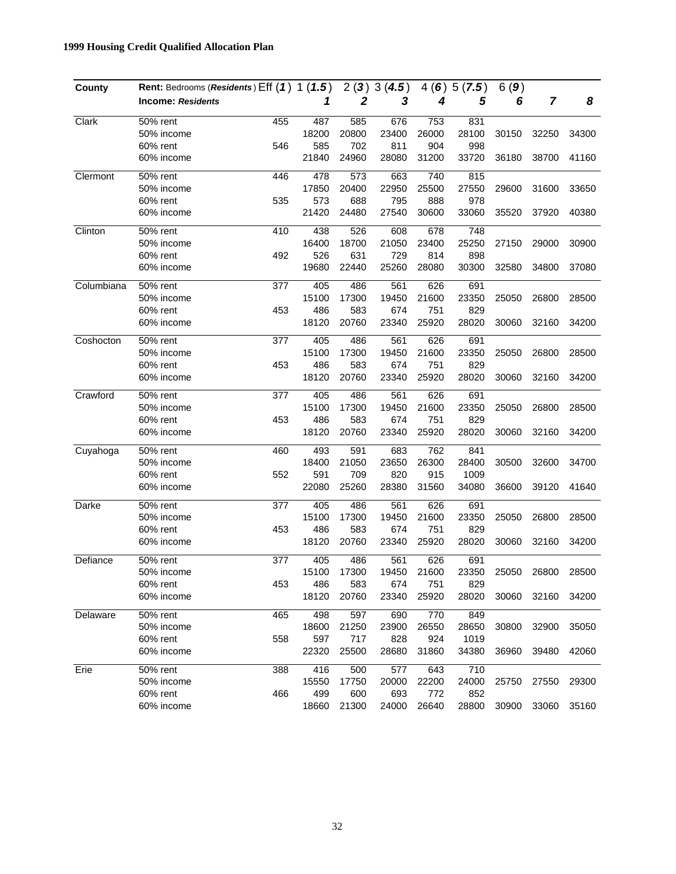| County     | Rent: Bedrooms (Residents) Eff (1) 1 (1.5) |     |       | 2(3)             | 3(4.5) |       | 4(6)5(7.5)       | 6(9)  |       |       |
|------------|--------------------------------------------|-----|-------|------------------|--------|-------|------------------|-------|-------|-------|
|            | <b>Income: Residents</b>                   |     | 1     | $\boldsymbol{2}$ | 3      | 4     | 5                | 6     | 7     | 8     |
| Clark      | 50% rent                                   | 455 | 487   | 585              | 676    | 753   | 831              |       |       |       |
|            | 50% income                                 |     | 18200 | 20800            | 23400  | 26000 | 28100            | 30150 | 32250 | 34300 |
|            | 60% rent                                   | 546 | 585   | 702              | 811    | 904   | 998              |       |       |       |
|            | 60% income                                 |     | 21840 | 24960            | 28080  | 31200 | 33720            | 36180 | 38700 | 41160 |
| Clermont   | 50% rent                                   | 446 | 478   | 573              | 663    | 740   | 815              |       |       |       |
|            | 50% income                                 |     | 17850 | 20400            | 22950  | 25500 | 27550            | 29600 | 31600 | 33650 |
|            | 60% rent                                   | 535 | 573   | 688              | 795    | 888   | 978              |       |       |       |
|            | 60% income                                 |     | 21420 | 24480            | 27540  | 30600 | 33060            | 35520 | 37920 | 40380 |
| Clinton    | 50% rent                                   | 410 | 438   | 526              | 608    | 678   | $\overline{748}$ |       |       |       |
|            | 50% income                                 |     | 16400 | 18700            | 21050  | 23400 | 25250            | 27150 | 29000 | 30900 |
|            | 60% rent                                   | 492 | 526   | 631              | 729    | 814   | 898              |       |       |       |
|            | 60% income                                 |     | 19680 | 22440            | 25260  | 28080 | 30300            | 32580 | 34800 | 37080 |
| Columbiana | 50% rent                                   | 377 | 405   | 486              | 561    | 626   | 691              |       |       |       |
|            | 50% income                                 |     | 15100 | 17300            | 19450  | 21600 | 23350            | 25050 | 26800 | 28500 |
|            | 60% rent                                   | 453 | 486   | 583              | 674    | 751   | 829              |       |       |       |
|            | 60% income                                 |     | 18120 | 20760            | 23340  | 25920 | 28020            | 30060 | 32160 | 34200 |
| Coshocton  | 50% rent                                   | 377 | 405   | 486              | 561    | 626   | 691              |       |       |       |
|            | 50% income                                 |     | 15100 | 17300            | 19450  | 21600 | 23350            | 25050 | 26800 | 28500 |
|            | 60% rent                                   | 453 | 486   | 583              | 674    | 751   | 829              |       |       |       |
|            | 60% income                                 |     | 18120 | 20760            | 23340  | 25920 | 28020            | 30060 | 32160 | 34200 |
| Crawford   | 50% rent                                   | 377 | 405   | 486              | 561    | 626   | 691              |       |       |       |
|            | 50% income                                 |     | 15100 | 17300            | 19450  | 21600 | 23350            | 25050 | 26800 | 28500 |
|            | 60% rent                                   | 453 | 486   | 583              | 674    | 751   | 829              |       |       |       |
|            | 60% income                                 |     | 18120 | 20760            | 23340  | 25920 | 28020            | 30060 | 32160 | 34200 |
| Cuyahoga   | 50% rent                                   | 460 | 493   | 591              | 683    | 762   | 841              |       |       |       |
|            | 50% income                                 |     | 18400 | 21050            | 23650  | 26300 | 28400            | 30500 | 32600 | 34700 |
|            | 60% rent                                   | 552 | 591   | 709              | 820    | 915   | 1009             |       |       |       |
|            | 60% income                                 |     | 22080 | 25260            | 28380  | 31560 | 34080            | 36600 | 39120 | 41640 |
| Darke      | 50% rent                                   | 377 | 405   | 486              | 561    | 626   | 691              |       |       |       |
|            | 50% income                                 |     | 15100 | 17300            | 19450  | 21600 | 23350            | 25050 | 26800 | 28500 |
|            | 60% rent                                   | 453 | 486   | 583              | 674    | 751   | 829              |       |       |       |
|            | 60% income                                 |     | 18120 | 20760            | 23340  | 25920 | 28020            | 30060 | 32160 | 34200 |
| Defiance   | 50% rent                                   | 377 | 405   | 486              | 561    | 626   | 691              |       |       |       |
|            | 50% income                                 |     | 15100 | 17300            | 19450  | 21600 | 23350            | 25050 | 26800 | 28500 |
|            | 60% rent                                   | 453 | 486   | 583              | 674    | 751   | 829              |       |       |       |
|            | 60% income                                 |     | 18120 | 20760            | 23340  | 25920 | 28020            | 30060 | 32160 | 34200 |
| Delaware   | 50% rent                                   | 465 | 498   | 597              | 690    | 770   | 849              |       |       |       |
|            | 50% income                                 |     | 18600 | 21250            | 23900  | 26550 | 28650            | 30800 | 32900 | 35050 |
|            | 60% rent                                   | 558 | 597   | 717              | 828    | 924   | 1019             |       |       |       |
|            | 60% income                                 |     | 22320 | 25500            | 28680  | 31860 | 34380            | 36960 | 39480 | 42060 |
| Erie       | 50% rent                                   | 388 | 416   | 500              | 577    | 643   | 710              |       |       |       |
|            | 50% income                                 |     | 15550 | 17750            | 20000  | 22200 | 24000            | 25750 | 27550 | 29300 |
|            | 60% rent                                   | 466 | 499   | 600              | 693    | 772   | 852              |       |       |       |
|            | 60% income                                 |     | 18660 | 21300            | 24000  | 26640 | 28800            | 30900 | 33060 | 35160 |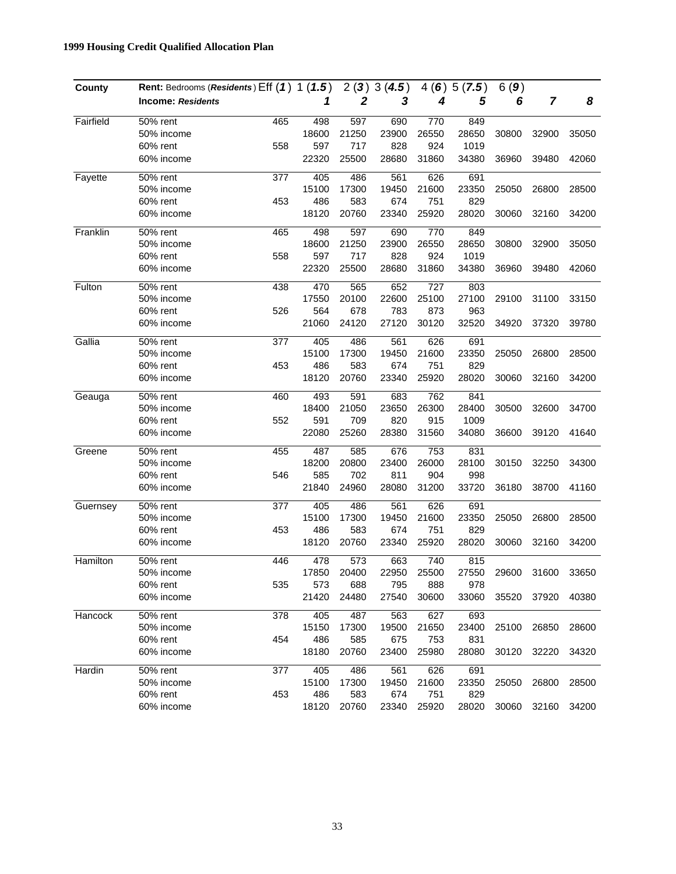| County    | Rent: Bedrooms (Residents) Eff (1) 1 (1.5) |     |       | 2(3)         | 3(4.5) |       | 4(6)5(7.5) | 6(9)  |       |       |
|-----------|--------------------------------------------|-----|-------|--------------|--------|-------|------------|-------|-------|-------|
|           | <b>Income: Residents</b>                   |     | 1     | $\mathbf{2}$ | 3      | 4     | 5          | 6     | 7     | 8     |
| Fairfield | 50% rent                                   | 465 | 498   | 597          | 690    | 770   | 849        |       |       |       |
|           | 50% income                                 |     | 18600 | 21250        | 23900  | 26550 | 28650      | 30800 | 32900 | 35050 |
|           | 60% rent                                   | 558 | 597   | 717          | 828    | 924   | 1019       |       |       |       |
|           | 60% income                                 |     | 22320 | 25500        | 28680  | 31860 | 34380      | 36960 | 39480 | 42060 |
| Fayette   | 50% rent                                   | 377 | 405   | 486          | 561    | 626   | 691        |       |       |       |
|           | 50% income                                 |     | 15100 | 17300        | 19450  | 21600 | 23350      | 25050 | 26800 | 28500 |
|           | 60% rent                                   | 453 | 486   | 583          | 674    | 751   | 829        |       |       |       |
|           | 60% income                                 |     | 18120 | 20760        | 23340  | 25920 | 28020      | 30060 | 32160 | 34200 |
| Franklin  | 50% rent                                   | 465 | 498   | 597          | 690    | 770   | 849        |       |       |       |
|           | 50% income                                 |     | 18600 | 21250        | 23900  | 26550 | 28650      | 30800 | 32900 | 35050 |
|           | 60% rent                                   | 558 | 597   | 717          | 828    | 924   | 1019       |       |       |       |
|           | 60% income                                 |     | 22320 | 25500        | 28680  | 31860 | 34380      | 36960 | 39480 | 42060 |
| Fulton    | 50% rent                                   | 438 | 470   | 565          | 652    | 727   | 803        |       |       |       |
|           | 50% income                                 |     | 17550 | 20100        | 22600  | 25100 | 27100      | 29100 | 31100 | 33150 |
|           | 60% rent                                   | 526 | 564   | 678          | 783    | 873   | 963        |       |       |       |
|           | 60% income                                 |     | 21060 | 24120        | 27120  | 30120 | 32520      | 34920 | 37320 | 39780 |
| Gallia    | 50% rent                                   | 377 | 405   | 486          | 561    | 626   | 691        |       |       |       |
|           | 50% income                                 |     | 15100 | 17300        | 19450  | 21600 | 23350      | 25050 | 26800 | 28500 |
|           | 60% rent                                   | 453 | 486   | 583          | 674    | 751   | 829        |       |       |       |
|           | 60% income                                 |     | 18120 | 20760        | 23340  | 25920 | 28020      | 30060 | 32160 | 34200 |
| Geauga    | 50% rent                                   | 460 | 493   | 591          | 683    | 762   | 841        |       |       |       |
|           | 50% income                                 |     | 18400 | 21050        | 23650  | 26300 | 28400      | 30500 | 32600 | 34700 |
|           | 60% rent                                   | 552 | 591   | 709          | 820    | 915   | 1009       |       |       |       |
|           | 60% income                                 |     | 22080 | 25260        | 28380  | 31560 | 34080      | 36600 | 39120 | 41640 |
| Greene    | 50% rent                                   | 455 | 487   | 585          | 676    | 753   | 831        |       |       |       |
|           | 50% income                                 |     | 18200 | 20800        | 23400  | 26000 | 28100      | 30150 | 32250 | 34300 |
|           | 60% rent                                   | 546 | 585   | 702          | 811    | 904   | 998        |       |       |       |
|           | 60% income                                 |     | 21840 | 24960        | 28080  | 31200 | 33720      | 36180 | 38700 | 41160 |
| Guernsey  | 50% rent                                   | 377 | 405   | 486          | 561    | 626   | 691        |       |       |       |
|           | 50% income                                 |     | 15100 | 17300        | 19450  | 21600 | 23350      | 25050 | 26800 | 28500 |
|           | 60% rent                                   | 453 | 486   | 583          | 674    | 751   | 829        |       |       |       |
|           | 60% income                                 |     | 18120 | 20760        | 23340  | 25920 | 28020      | 30060 | 32160 | 34200 |
| Hamilton  | 50% rent                                   | 446 | 478   | 573          | 663    | 740   | 815        |       |       |       |
|           | 50% income                                 |     | 17850 | 20400        | 22950  | 25500 | 27550      | 29600 | 31600 | 33650 |
|           | 60% rent                                   | 535 | 573   | 688          | 795    | 888   | 978        |       |       |       |
|           | 60% income                                 |     | 21420 | 24480        | 27540  | 30600 | 33060      | 35520 | 37920 | 40380 |
| Hancock   | 50% rent                                   | 378 | 405   | 487          | 563    | 627   | 693        |       |       |       |
|           | 50% income                                 |     | 15150 | 17300        | 19500  | 21650 | 23400      | 25100 | 26850 | 28600 |
|           | 60% rent                                   | 454 | 486   | 585          | 675    | 753   | 831        |       |       |       |
|           | 60% income                                 |     | 18180 | 20760        | 23400  | 25980 | 28080      | 30120 | 32220 | 34320 |
| Hardin    | 50% rent                                   | 377 | 405   | 486          | 561    | 626   | 691        |       |       |       |
|           | 50% income                                 |     | 15100 | 17300        | 19450  | 21600 | 23350      | 25050 | 26800 | 28500 |
|           | 60% rent                                   | 453 | 486   | 583          | 674    | 751   | 829        |       |       |       |
|           | 60% income                                 |     | 18120 | 20760        | 23340  | 25920 | 28020      | 30060 | 32160 | 34200 |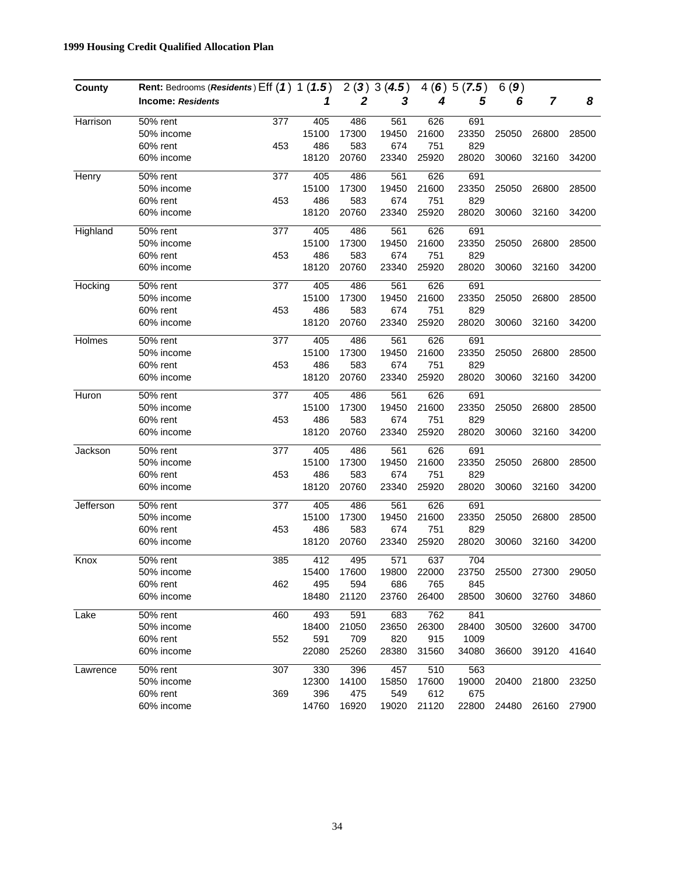| County    | Rent: Bedrooms (Residents) Eff (1) 1 (1.5) |     |       |              | 2(3)3(4.5) |       | 4(6)5(7.5) | 6(9)  |       |       |
|-----------|--------------------------------------------|-----|-------|--------------|------------|-------|------------|-------|-------|-------|
|           | <b>Income: Residents</b>                   |     | 1     | $\mathbf{2}$ | 3          | 4     | 5          | 6     | 7     | 8     |
| Harrison  | 50% rent                                   | 377 | 405   | 486          | 561        | 626   | 691        |       |       |       |
|           | 50% income                                 |     | 15100 | 17300        | 19450      | 21600 | 23350      | 25050 | 26800 | 28500 |
|           | 60% rent                                   | 453 | 486   | 583          | 674        | 751   | 829        |       |       |       |
|           | 60% income                                 |     | 18120 | 20760        | 23340      | 25920 | 28020      | 30060 | 32160 | 34200 |
| Henry     | 50% rent                                   | 377 | 405   | 486          | 561        | 626   | 691        |       |       |       |
|           | 50% income                                 |     | 15100 | 17300        | 19450      | 21600 | 23350      | 25050 | 26800 | 28500 |
|           | 60% rent                                   | 453 | 486   | 583          | 674        | 751   | 829        |       |       |       |
|           | 60% income                                 |     | 18120 | 20760        | 23340      | 25920 | 28020      | 30060 | 32160 | 34200 |
| Highland  | 50% rent                                   | 377 | 405   | 486          | 561        | 626   | 691        |       |       |       |
|           | 50% income                                 |     | 15100 | 17300        | 19450      | 21600 | 23350      | 25050 | 26800 | 28500 |
|           | 60% rent                                   | 453 | 486   | 583          | 674        | 751   | 829        |       |       |       |
|           | 60% income                                 |     | 18120 | 20760        | 23340      | 25920 | 28020      | 30060 | 32160 | 34200 |
| Hocking   | 50% rent                                   | 377 | 405   | 486          | 561        | 626   | 691        |       |       |       |
|           | 50% income                                 |     | 15100 | 17300        | 19450      | 21600 | 23350      | 25050 | 26800 | 28500 |
|           | 60% rent                                   | 453 | 486   | 583          | 674        | 751   | 829        |       |       |       |
|           | 60% income                                 |     | 18120 | 20760        | 23340      | 25920 | 28020      | 30060 | 32160 | 34200 |
| Holmes    | 50% rent                                   | 377 | 405   | 486          | 561        | 626   | 691        |       |       |       |
|           | 50% income                                 |     | 15100 | 17300        | 19450      | 21600 | 23350      | 25050 | 26800 | 28500 |
|           | 60% rent                                   | 453 | 486   | 583          | 674        | 751   | 829        |       |       |       |
|           | 60% income                                 |     | 18120 | 20760        | 23340      | 25920 | 28020      | 30060 | 32160 | 34200 |
| Huron     | 50% rent                                   | 377 | 405   | 486          | 561        | 626   | 691        |       |       |       |
|           | 50% income                                 |     | 15100 | 17300        | 19450      | 21600 | 23350      | 25050 | 26800 | 28500 |
|           | 60% rent                                   | 453 | 486   | 583          | 674        | 751   | 829        |       |       |       |
|           | 60% income                                 |     | 18120 | 20760        | 23340      | 25920 | 28020      | 30060 | 32160 | 34200 |
| Jackson   | 50% rent                                   | 377 | 405   | 486          | 561        | 626   | 691        |       |       |       |
|           | 50% income                                 |     | 15100 | 17300        | 19450      | 21600 | 23350      | 25050 | 26800 | 28500 |
|           | 60% rent                                   | 453 | 486   | 583          | 674        | 751   | 829        |       |       |       |
|           | 60% income                                 |     | 18120 | 20760        | 23340      | 25920 | 28020      | 30060 | 32160 | 34200 |
| Jefferson | 50% rent                                   | 377 | 405   | 486          | 561        | 626   | 691        |       |       |       |
|           | 50% income                                 |     | 15100 | 17300        | 19450      | 21600 | 23350      | 25050 | 26800 | 28500 |
|           | 60% rent                                   | 453 | 486   | 583          | 674        | 751   | 829        |       |       |       |
|           | 60% income                                 |     | 18120 | 20760        | 23340      | 25920 | 28020      | 30060 | 32160 | 34200 |
| Knox      | 50% rent                                   | 385 | 412   | 495          | 571        | 637   | 704        |       |       |       |
|           | 50% income                                 |     | 15400 | 17600        | 19800      | 22000 | 23750      | 25500 | 27300 | 29050 |
|           | 60% rent                                   | 462 | 495   | 594          | 686        | 765   | 845        |       |       |       |
|           | 60% income                                 |     | 18480 | 21120        | 23760      | 26400 | 28500      | 30600 | 32760 | 34860 |
| Lake      | 50% rent                                   | 460 | 493   | 591          | 683        | 762   | 841        |       |       |       |
|           | 50% income                                 |     | 18400 | 21050        | 23650      | 26300 | 28400      | 30500 | 32600 | 34700 |
|           | 60% rent                                   | 552 | 591   | 709          | 820        | 915   | 1009       |       |       |       |
|           | 60% income                                 |     | 22080 | 25260        | 28380      | 31560 | 34080      | 36600 | 39120 | 41640 |
| Lawrence  | 50% rent                                   | 307 | 330   | 396          | 457        | 510   | 563        |       |       |       |
|           | 50% income                                 |     | 12300 | 14100        | 15850      | 17600 | 19000      | 20400 | 21800 | 23250 |
|           | 60% rent                                   | 369 | 396   | 475          | 549        | 612   | 675        |       |       |       |
|           | 60% income                                 |     | 14760 | 16920        | 19020      | 21120 | 22800      | 24480 | 26160 | 27900 |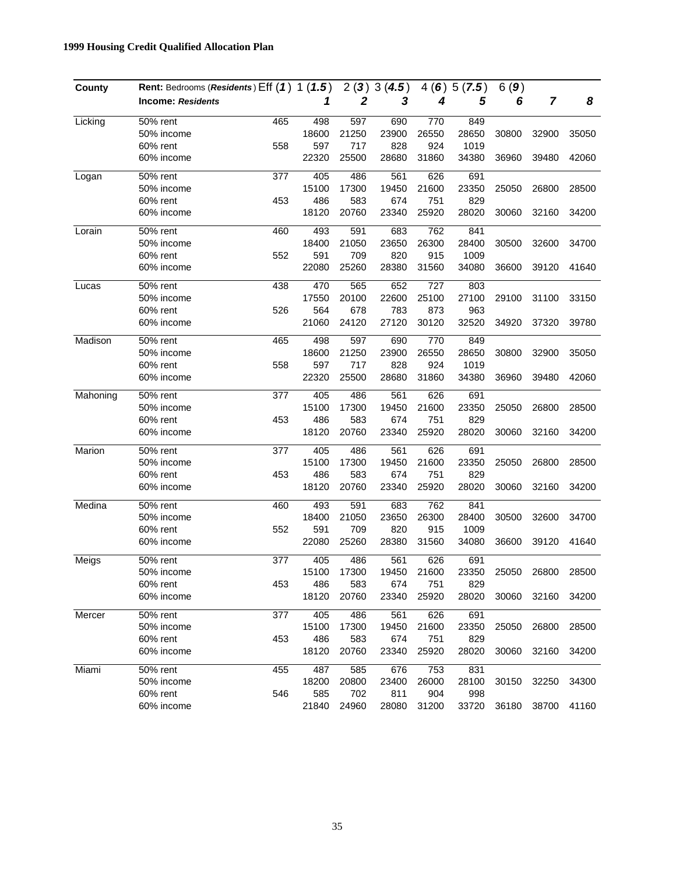| County   | Rent: Bedrooms (Residents) Eff (1) 1 (1.5) |     |       |              | 2(3)3(4.5) |       | 4(6)5(7.5) | 6(9)  |                |       |
|----------|--------------------------------------------|-----|-------|--------------|------------|-------|------------|-------|----------------|-------|
|          | <b>Income: Residents</b>                   |     | 1     | $\mathbf{2}$ | 3          | 4     | 5          | 6     | $\overline{7}$ | 8     |
| Licking  | 50% rent                                   | 465 | 498   | 597          | 690        | 770   | 849        |       |                |       |
|          | 50% income                                 |     | 18600 | 21250        | 23900      | 26550 | 28650      | 30800 | 32900          | 35050 |
|          | 60% rent                                   | 558 | 597   | 717          | 828        | 924   | 1019       |       |                |       |
|          | 60% income                                 |     | 22320 | 25500        | 28680      | 31860 | 34380      | 36960 | 39480          | 42060 |
| Logan    | 50% rent                                   | 377 | 405   | 486          | 561        | 626   | 691        |       |                |       |
|          | 50% income                                 |     | 15100 | 17300        | 19450      | 21600 | 23350      | 25050 | 26800          | 28500 |
|          | 60% rent                                   | 453 | 486   | 583          | 674        | 751   | 829        |       |                |       |
|          | 60% income                                 |     | 18120 | 20760        | 23340      | 25920 | 28020      | 30060 | 32160          | 34200 |
| Lorain   | 50% rent                                   | 460 | 493   | 591          | 683        | 762   | 841        |       |                |       |
|          | 50% income                                 |     | 18400 | 21050        | 23650      | 26300 | 28400      | 30500 | 32600          | 34700 |
|          | 60% rent                                   | 552 | 591   | 709          | 820        | 915   | 1009       |       |                |       |
|          | 60% income                                 |     | 22080 | 25260        | 28380      | 31560 | 34080      | 36600 | 39120          | 41640 |
| Lucas    | 50% rent                                   | 438 | 470   | 565          | 652        | 727   | 803        |       |                |       |
|          | 50% income                                 |     | 17550 | 20100        | 22600      | 25100 | 27100      | 29100 | 31100          | 33150 |
|          | 60% rent                                   | 526 | 564   | 678          | 783        | 873   | 963        |       |                |       |
|          | 60% income                                 |     | 21060 | 24120        | 27120      | 30120 | 32520      | 34920 | 37320          | 39780 |
| Madison  | 50% rent                                   | 465 | 498   | 597          | 690        | 770   | 849        |       |                |       |
|          | 50% income                                 |     | 18600 | 21250        | 23900      | 26550 | 28650      | 30800 | 32900          | 35050 |
|          | 60% rent                                   | 558 | 597   | 717          | 828        | 924   | 1019       |       |                |       |
|          | 60% income                                 |     | 22320 | 25500        | 28680      | 31860 | 34380      | 36960 | 39480          | 42060 |
| Mahoning | 50% rent                                   | 377 | 405   | 486          | 561        | 626   | 691        |       |                |       |
|          | 50% income                                 |     | 15100 | 17300        | 19450      | 21600 | 23350      | 25050 | 26800          | 28500 |
|          | 60% rent                                   | 453 | 486   | 583          | 674        | 751   | 829        |       |                |       |
|          | 60% income                                 |     | 18120 | 20760        | 23340      | 25920 | 28020      | 30060 | 32160          | 34200 |
| Marion   | 50% rent                                   | 377 | 405   | 486          | 561        | 626   | 691        |       |                |       |
|          | 50% income                                 |     | 15100 | 17300        | 19450      | 21600 | 23350      | 25050 | 26800          | 28500 |
|          | 60% rent                                   | 453 | 486   | 583          | 674        | 751   | 829        |       |                |       |
|          | 60% income                                 |     | 18120 | 20760        | 23340      | 25920 | 28020      | 30060 | 32160          | 34200 |
| Medina   | 50% rent                                   | 460 | 493   | 591          | 683        | 762   | 841        |       |                |       |
|          | 50% income                                 |     | 18400 | 21050        | 23650      | 26300 | 28400      | 30500 | 32600          | 34700 |
|          | 60% rent                                   | 552 | 591   | 709          | 820        | 915   | 1009       |       |                |       |
|          | 60% income                                 |     | 22080 | 25260        | 28380      | 31560 | 34080      | 36600 | 39120          | 41640 |
| Meigs    | 50% rent                                   | 377 | 405   | 486          | 561        | 626   | 691        |       |                |       |
|          | 50% income                                 |     | 15100 | 17300        | 19450      | 21600 | 23350      | 25050 | 26800          | 28500 |
|          | 60% rent                                   | 453 | 486   | 583          | 674        | 751   | 829        |       |                |       |
|          | 60% income                                 |     | 18120 | 20760        | 23340      | 25920 | 28020      | 30060 | 32160          | 34200 |
| Mercer   | 50% rent                                   | 377 | 405   | 486          | 561        | 626   | 691        |       |                |       |
|          | 50% income                                 |     | 15100 | 17300        | 19450      | 21600 | 23350      | 25050 | 26800          | 28500 |
|          | 60% rent                                   | 453 | 486   | 583          | 674        | 751   | 829        |       |                |       |
|          | 60% income                                 |     | 18120 | 20760        | 23340      | 25920 | 28020      | 30060 | 32160          | 34200 |
| Miami    | 50% rent                                   | 455 | 487   | 585          | 676        | 753   | 831        |       |                |       |
|          | 50% income                                 |     | 18200 | 20800        | 23400      | 26000 | 28100      | 30150 | 32250          | 34300 |
|          | 60% rent                                   | 546 | 585   | 702          | 811        | 904   | 998        |       |                |       |
|          | 60% income                                 |     | 21840 | 24960        | 28080      | 31200 | 33720      | 36180 | 38700          | 41160 |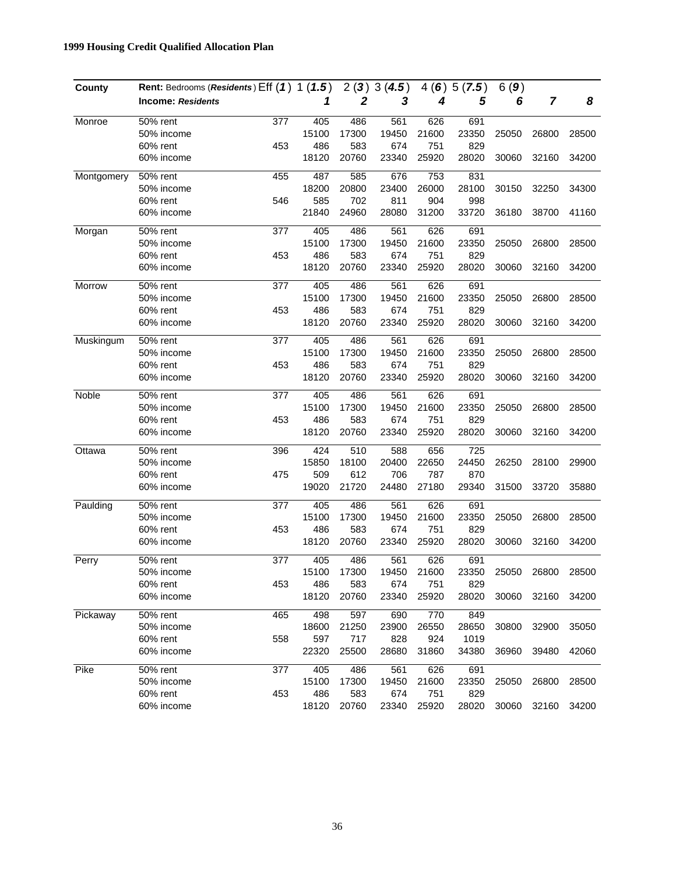| County     | Rent: Bedrooms (Residents) Eff (1) 1 (1.5) |     |       |       | 2(3)3(4.5) |       | 4(6)5(7.5) | 6(9)  |       |       |
|------------|--------------------------------------------|-----|-------|-------|------------|-------|------------|-------|-------|-------|
|            | <b>Income: Residents</b>                   |     | 1     | 2     | 3          | 4     | 5          | 6     | 7     | 8     |
| Monroe     | 50% rent                                   | 377 | 405   | 486   | 561        | 626   | 691        |       |       |       |
|            | 50% income                                 |     | 15100 | 17300 | 19450      | 21600 | 23350      | 25050 | 26800 | 28500 |
|            | 60% rent                                   | 453 | 486   | 583   | 674        | 751   | 829        |       |       |       |
|            | 60% income                                 |     | 18120 | 20760 | 23340      | 25920 | 28020      | 30060 | 32160 | 34200 |
| Montgomery | 50% rent                                   | 455 | 487   | 585   | 676        | 753   | 831        |       |       |       |
|            | 50% income                                 |     | 18200 | 20800 | 23400      | 26000 | 28100      | 30150 | 32250 | 34300 |
|            | 60% rent                                   | 546 | 585   | 702   | 811        | 904   | 998        |       |       |       |
|            | 60% income                                 |     | 21840 | 24960 | 28080      | 31200 | 33720      | 36180 | 38700 | 41160 |
| Morgan     | 50% rent                                   | 377 | 405   | 486   | 561        | 626   | 691        |       |       |       |
|            | 50% income                                 |     | 15100 | 17300 | 19450      | 21600 | 23350      | 25050 | 26800 | 28500 |
|            | 60% rent                                   | 453 | 486   | 583   | 674        | 751   | 829        |       |       |       |
|            | 60% income                                 |     | 18120 | 20760 | 23340      | 25920 | 28020      | 30060 | 32160 | 34200 |
| Morrow     | 50% rent                                   | 377 | 405   | 486   | 561        | 626   | 691        |       |       |       |
|            | 50% income                                 |     | 15100 | 17300 | 19450      | 21600 | 23350      | 25050 | 26800 | 28500 |
|            | 60% rent                                   | 453 | 486   | 583   | 674        | 751   | 829        |       |       |       |
|            | 60% income                                 |     | 18120 | 20760 | 23340      | 25920 | 28020      | 30060 | 32160 | 34200 |
| Muskingum  | 50% rent                                   | 377 | 405   | 486   | 561        | 626   | 691        |       |       |       |
|            | 50% income                                 |     | 15100 | 17300 | 19450      | 21600 | 23350      | 25050 | 26800 | 28500 |
|            | 60% rent                                   | 453 | 486   | 583   | 674        | 751   | 829        |       |       |       |
|            | 60% income                                 |     | 18120 | 20760 | 23340      | 25920 | 28020      | 30060 | 32160 | 34200 |
| Noble      | 50% rent                                   | 377 | 405   | 486   | 561        | 626   | 691        |       |       |       |
|            | 50% income                                 |     | 15100 | 17300 | 19450      | 21600 | 23350      | 25050 | 26800 | 28500 |
|            | 60% rent                                   | 453 | 486   | 583   | 674        | 751   | 829        |       |       |       |
|            | 60% income                                 |     | 18120 | 20760 | 23340      | 25920 | 28020      | 30060 | 32160 | 34200 |
| Ottawa     | 50% rent                                   | 396 | 424   | 510   | 588        | 656   | 725        |       |       |       |
|            | 50% income                                 |     | 15850 | 18100 | 20400      | 22650 | 24450      | 26250 | 28100 | 29900 |
|            | 60% rent                                   | 475 | 509   | 612   | 706        | 787   | 870        |       |       |       |
|            | 60% income                                 |     | 19020 | 21720 | 24480      | 27180 | 29340      | 31500 | 33720 | 35880 |
| Paulding   | 50% rent                                   | 377 | 405   | 486   | 561        | 626   | 691        |       |       |       |
|            | 50% income                                 |     | 15100 | 17300 | 19450      | 21600 | 23350      | 25050 | 26800 | 28500 |
|            | 60% rent                                   | 453 | 486   | 583   | 674        | 751   | 829        |       |       |       |
|            | 60% income                                 |     | 18120 | 20760 | 23340      | 25920 | 28020      | 30060 | 32160 | 34200 |
| Perry      | 50% rent                                   | 377 | 405   | 486   | 561        | 626   | 691        |       |       |       |
|            | 50% income                                 |     | 15100 | 17300 | 19450      | 21600 | 23350      | 25050 | 26800 | 28500 |
|            | 60% rent                                   | 453 | 486   | 583   | 674        | 751   | 829        |       |       |       |
|            | 60% income                                 |     | 18120 | 20760 | 23340      | 25920 | 28020      | 30060 | 32160 | 34200 |
| Pickaway   | $\overline{5}0\%$ rent                     | 465 | 498   | 597   | 690        | 770   | 849        |       |       |       |
|            | 50% income                                 |     | 18600 | 21250 | 23900      | 26550 | 28650      | 30800 | 32900 | 35050 |
|            | 60% rent                                   | 558 | 597   | 717   | 828        | 924   | 1019       |       |       |       |
|            | 60% income                                 |     | 22320 | 25500 | 28680      | 31860 | 34380      | 36960 | 39480 | 42060 |
| Pike       | 50% rent                                   | 377 | 405   | 486   | 561        | 626   | 691        |       |       |       |
|            | 50% income                                 |     | 15100 | 17300 | 19450      | 21600 | 23350      | 25050 | 26800 | 28500 |
|            | 60% rent                                   | 453 | 486   | 583   | 674        | 751   | 829        |       |       |       |
|            | 60% income                                 |     | 18120 | 20760 | 23340      | 25920 | 28020      | 30060 | 32160 | 34200 |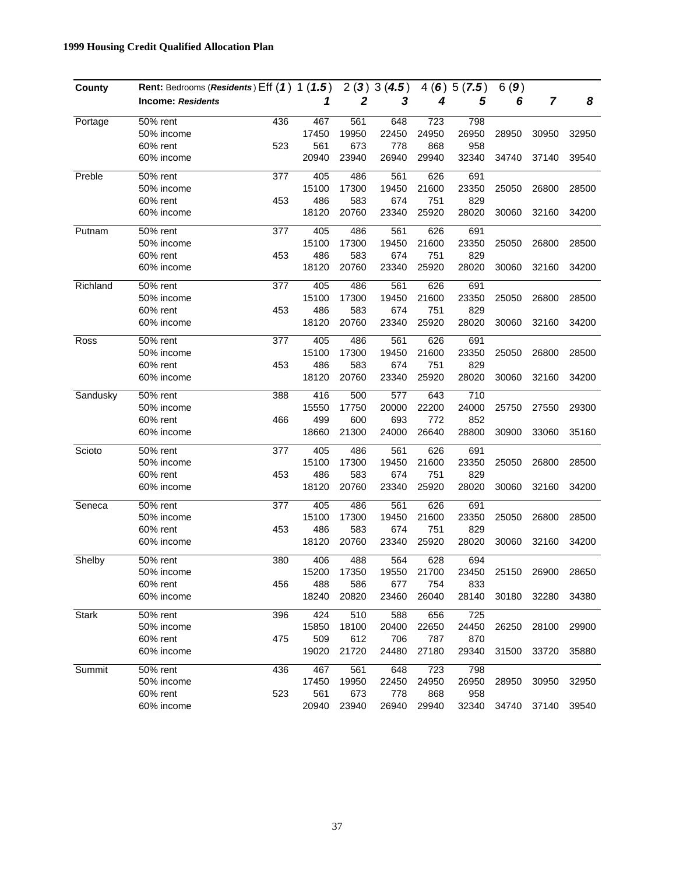| County       | Rent: Bedrooms (Residents) Eff (1) 1 (1.5) |     |       |       | 2(3)3(4.5) | 4(6)  | 5(7.5) | 6(9)  |       |       |
|--------------|--------------------------------------------|-----|-------|-------|------------|-------|--------|-------|-------|-------|
|              | <b>Income: Residents</b>                   |     | 1     | 2     | 3          | 4     | 5      | 6     | 7     | 8     |
| Portage      | 50% rent                                   | 436 | 467   | 561   | 648        | 723   | 798    |       |       |       |
|              | 50% income                                 |     | 17450 | 19950 | 22450      | 24950 | 26950  | 28950 | 30950 | 32950 |
|              | 60% rent                                   | 523 | 561   | 673   | 778        | 868   | 958    |       |       |       |
|              | 60% income                                 |     | 20940 | 23940 | 26940      | 29940 | 32340  | 34740 | 37140 | 39540 |
| Preble       | 50% rent                                   | 377 | 405   | 486   | 561        | 626   | 691    |       |       |       |
|              | 50% income                                 |     | 15100 | 17300 | 19450      | 21600 | 23350  | 25050 | 26800 | 28500 |
|              | 60% rent                                   | 453 | 486   | 583   | 674        | 751   | 829    |       |       |       |
|              | 60% income                                 |     | 18120 | 20760 | 23340      | 25920 | 28020  | 30060 | 32160 | 34200 |
| Putnam       | 50% rent                                   | 377 | 405   | 486   | 561        | 626   | 691    |       |       |       |
|              | 50% income                                 |     | 15100 | 17300 | 19450      | 21600 | 23350  | 25050 | 26800 | 28500 |
|              | 60% rent                                   | 453 | 486   | 583   | 674        | 751   | 829    |       |       |       |
|              | 60% income                                 |     | 18120 | 20760 | 23340      | 25920 | 28020  | 30060 | 32160 | 34200 |
| Richland     | 50% rent                                   | 377 | 405   | 486   | 561        | 626   | 691    |       |       |       |
|              | 50% income                                 |     | 15100 | 17300 | 19450      | 21600 | 23350  | 25050 | 26800 | 28500 |
|              | 60% rent                                   | 453 | 486   | 583   | 674        | 751   | 829    |       |       |       |
|              | 60% income                                 |     | 18120 | 20760 | 23340      | 25920 | 28020  | 30060 | 32160 | 34200 |
| Ross         | 50% rent                                   | 377 | 405   | 486   | 561        | 626   | 691    |       |       |       |
|              | 50% income                                 |     | 15100 | 17300 | 19450      | 21600 | 23350  | 25050 | 26800 | 28500 |
|              | 60% rent                                   | 453 | 486   | 583   | 674        | 751   | 829    |       |       |       |
|              | 60% income                                 |     | 18120 | 20760 | 23340      | 25920 | 28020  | 30060 | 32160 | 34200 |
| Sandusky     | 50% rent                                   | 388 | 416   | 500   | 577        | 643   | 710    |       |       |       |
|              | 50% income                                 |     | 15550 | 17750 | 20000      | 22200 | 24000  | 25750 | 27550 | 29300 |
|              | 60% rent                                   | 466 | 499   | 600   | 693        | 772   | 852    |       |       |       |
|              | 60% income                                 |     | 18660 | 21300 | 24000      | 26640 | 28800  | 30900 | 33060 | 35160 |
| Scioto       | 50% rent                                   | 377 | 405   | 486   | 561        | 626   | 691    |       |       |       |
|              | 50% income                                 |     | 15100 | 17300 | 19450      | 21600 | 23350  | 25050 | 26800 | 28500 |
|              | 60% rent                                   | 453 | 486   | 583   | 674        | 751   | 829    |       |       |       |
|              | 60% income                                 |     | 18120 | 20760 | 23340      | 25920 | 28020  | 30060 | 32160 | 34200 |
| Seneca       | 50% rent                                   | 377 | 405   | 486   | 561        | 626   | 691    |       |       |       |
|              | 50% income                                 |     | 15100 | 17300 | 19450      | 21600 | 23350  | 25050 | 26800 | 28500 |
|              | 60% rent                                   | 453 | 486   | 583   | 674        | 751   | 829    |       |       |       |
|              | 60% income                                 |     | 18120 | 20760 | 23340      | 25920 | 28020  | 30060 | 32160 | 34200 |
| Shelby       | 50% rent                                   | 380 | 406   | 488   | 564        | 628   | 694    |       |       |       |
|              | 50% income                                 |     | 15200 | 17350 | 19550      | 21700 | 23450  | 25150 | 26900 | 28650 |
|              | 60% rent                                   | 456 | 488   | 586   | 677        | 754   | 833    |       |       |       |
|              | 60% income                                 |     | 18240 | 20820 | 23460      | 26040 | 28140  | 30180 | 32280 | 34380 |
| <b>Stark</b> | 50% rent                                   | 396 | 424   | 510   | 588        | 656   | 725    |       |       |       |
|              | 50% income                                 |     | 15850 | 18100 | 20400      | 22650 | 24450  | 26250 | 28100 | 29900 |
|              | 60% rent                                   | 475 | 509   | 612   | 706        | 787   | 870    |       |       |       |
|              | 60% income                                 |     | 19020 | 21720 | 24480      | 27180 | 29340  | 31500 | 33720 | 35880 |
| Summit       | 50% rent                                   | 436 | 467   | 561   | 648        | 723   | 798    |       |       |       |
|              | 50% income                                 |     | 17450 | 19950 | 22450      | 24950 | 26950  | 28950 | 30950 | 32950 |
|              | 60% rent                                   | 523 | 561   | 673   | 778        | 868   | 958    |       |       |       |
|              | 60% income                                 |     | 20940 | 23940 | 26940      | 29940 | 32340  | 34740 | 37140 | 39540 |
|              |                                            |     |       |       |            |       |        |       |       |       |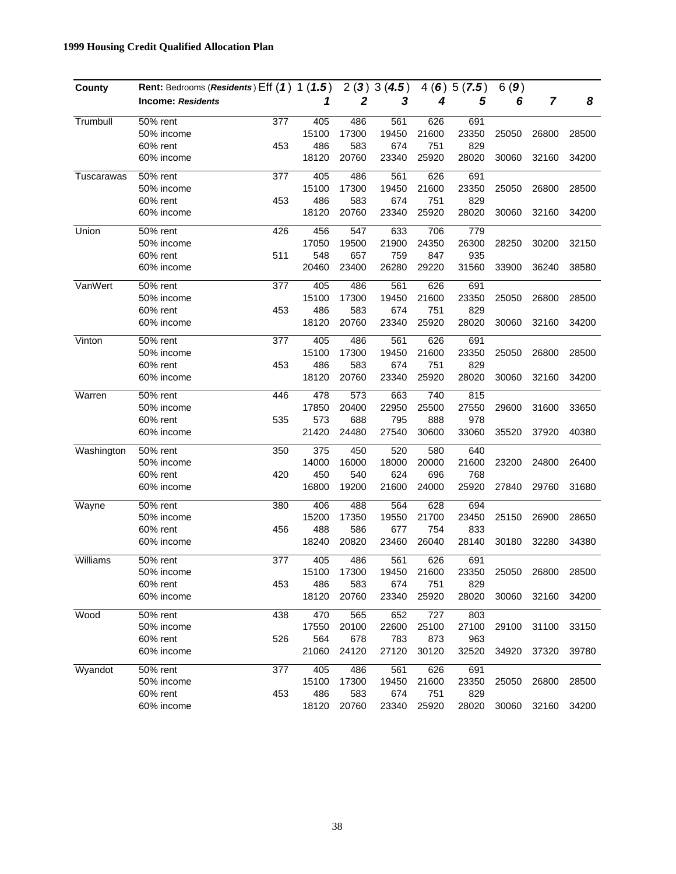| County     | Rent: Bedrooms (Residents) Eff (1) 1 (1.5) |     |       |       | 2(3)3(4.5) |       | 4(6)5(7.5) | 6(9)  |                |       |
|------------|--------------------------------------------|-----|-------|-------|------------|-------|------------|-------|----------------|-------|
|            | <b>Income: Residents</b>                   |     | 1     | 2     | 3          | 4     | 5          | 6     | $\overline{7}$ | 8     |
| Trumbull   | 50% rent                                   | 377 | 405   | 486   | 561        | 626   | 691        |       |                |       |
|            | 50% income                                 |     | 15100 | 17300 | 19450      | 21600 | 23350      | 25050 | 26800          | 28500 |
|            | 60% rent                                   | 453 | 486   | 583   | 674        | 751   | 829        |       |                |       |
|            | 60% income                                 |     | 18120 | 20760 | 23340      | 25920 | 28020      | 30060 | 32160          | 34200 |
| Tuscarawas | 50% rent                                   | 377 | 405   | 486   | 561        | 626   | 691        |       |                |       |
|            | 50% income                                 |     | 15100 | 17300 | 19450      | 21600 | 23350      | 25050 | 26800          | 28500 |
|            | 60% rent                                   | 453 | 486   | 583   | 674        | 751   | 829        |       |                |       |
|            | 60% income                                 |     | 18120 | 20760 | 23340      | 25920 | 28020      | 30060 | 32160          | 34200 |
| Union      | 50% rent                                   | 426 | 456   | 547   | 633        | 706   | 779        |       |                |       |
|            | 50% income                                 |     | 17050 | 19500 | 21900      | 24350 | 26300      | 28250 | 30200          | 32150 |
|            | 60% rent                                   | 511 | 548   | 657   | 759        | 847   | 935        |       |                |       |
|            | 60% income                                 |     | 20460 | 23400 | 26280      | 29220 | 31560      | 33900 | 36240          | 38580 |
| VanWert    | 50% rent                                   | 377 | 405   | 486   | 561        | 626   | 691        |       |                |       |
|            | 50% income                                 |     | 15100 | 17300 | 19450      | 21600 | 23350      | 25050 | 26800          | 28500 |
|            | 60% rent                                   | 453 | 486   | 583   | 674        | 751   | 829        |       |                |       |
|            | 60% income                                 |     | 18120 | 20760 | 23340      | 25920 | 28020      | 30060 | 32160          | 34200 |
| Vinton     | 50% rent                                   | 377 | 405   | 486   | 561        | 626   | 691        |       |                |       |
|            | 50% income                                 |     | 15100 | 17300 | 19450      | 21600 | 23350      | 25050 | 26800          | 28500 |
|            | 60% rent                                   | 453 | 486   | 583   | 674        | 751   | 829        |       |                |       |
|            | 60% income                                 |     | 18120 | 20760 | 23340      | 25920 | 28020      | 30060 | 32160          | 34200 |
| Warren     | 50% rent                                   | 446 | 478   | 573   | 663        | 740   | 815        |       |                |       |
|            | 50% income                                 |     | 17850 | 20400 | 22950      | 25500 | 27550      | 29600 | 31600          | 33650 |
|            | 60% rent                                   | 535 | 573   | 688   | 795        | 888   | 978        |       |                |       |
|            | 60% income                                 |     | 21420 | 24480 | 27540      | 30600 | 33060      | 35520 | 37920          | 40380 |
| Washington | 50% rent                                   | 350 | 375   | 450   | 520        | 580   | 640        |       |                |       |
|            | 50% income                                 |     | 14000 | 16000 | 18000      | 20000 | 21600      | 23200 | 24800          | 26400 |
|            | 60% rent                                   | 420 | 450   | 540   | 624        | 696   | 768        |       |                |       |
|            | 60% income                                 |     | 16800 | 19200 | 21600      | 24000 | 25920      | 27840 | 29760          | 31680 |
| Wayne      | 50% rent                                   | 380 | 406   | 488   | 564        | 628   | 694        |       |                |       |
|            | 50% income                                 |     | 15200 | 17350 | 19550      | 21700 | 23450      | 25150 | 26900          | 28650 |
|            | 60% rent                                   | 456 | 488   | 586   | 677        | 754   | 833        |       |                |       |
|            | 60% income                                 |     | 18240 | 20820 | 23460      | 26040 | 28140      | 30180 | 32280          | 34380 |
| Williams   | 50% rent                                   | 377 | 405   | 486   | 561        | 626   | 691        |       |                |       |
|            | 50% income                                 |     | 15100 | 17300 | 19450      | 21600 | 23350      | 25050 | 26800          | 28500 |
|            | 60% rent                                   | 453 | 486   | 583   | 674        | 751   | 829        |       |                |       |
|            | 60% income                                 |     | 18120 | 20760 | 23340      | 25920 | 28020      | 30060 | 32160          | 34200 |
| Wood       | 50% rent                                   | 438 | 470   | 565   | 652        | 727   | 803        |       |                |       |
|            | 50% income                                 |     | 17550 | 20100 | 22600      | 25100 | 27100      | 29100 | 31100          | 33150 |
|            | 60% rent                                   | 526 | 564   | 678   | 783        | 873   | 963        |       |                |       |
|            | 60% income                                 |     | 21060 | 24120 | 27120      | 30120 | 32520      | 34920 | 37320          | 39780 |
| Wyandot    | 50% rent                                   | 377 | 405   | 486   | 561        | 626   | 691        |       |                |       |
|            | 50% income                                 |     | 15100 | 17300 | 19450      | 21600 | 23350      | 25050 | 26800          | 28500 |
|            | 60% rent                                   | 453 | 486   | 583   | 674        | 751   | 829        |       |                |       |
|            | 60% income                                 |     | 18120 | 20760 | 23340      | 25920 | 28020      | 30060 | 32160          | 34200 |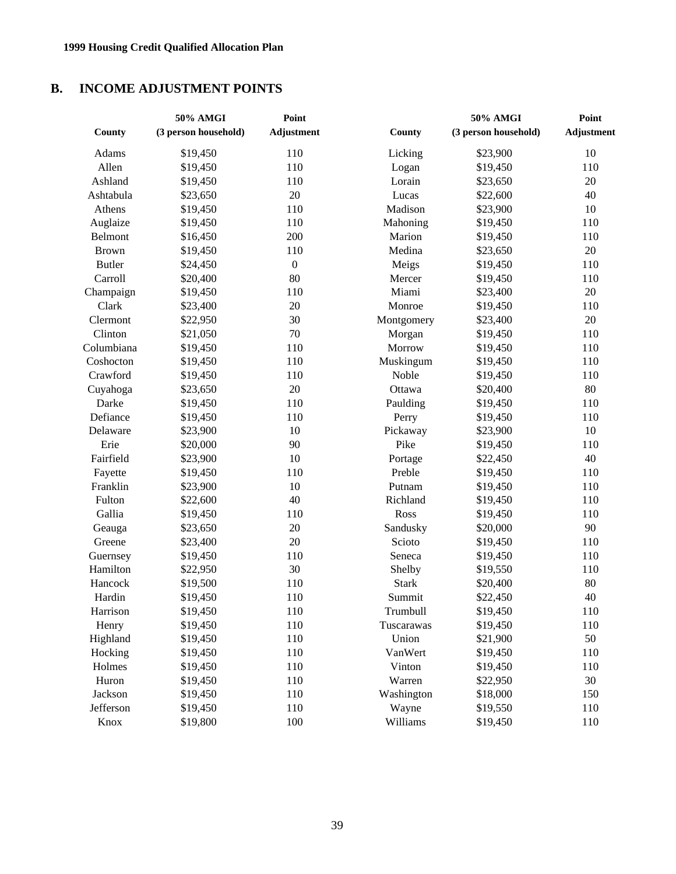## **B. INCOME ADJUSTMENT POINTS**

|               | 50% AMGI             | Point             |              | 50% AMGI             | Point             |
|---------------|----------------------|-------------------|--------------|----------------------|-------------------|
| County        | (3 person household) | <b>Adjustment</b> | County       | (3 person household) | <b>Adjustment</b> |
| Adams         | \$19,450             | 110               | Licking      | \$23,900             | $10\,$            |
| Allen         | \$19,450             | 110               | Logan        | \$19,450             | 110               |
| Ashland       | \$19,450             | 110               | Lorain       | \$23,650             | $20\,$            |
| Ashtabula     | \$23,650             | 20                | Lucas        | \$22,600             | 40                |
| Athens        | \$19,450             | 110               | Madison      | \$23,900             | $10\,$            |
| Auglaize      | \$19,450             | 110               | Mahoning     | \$19,450             | 110               |
| Belmont       | \$16,450             | 200               | Marion       | \$19,450             | 110               |
| <b>Brown</b>  | \$19,450             | 110               | Medina       | \$23,650             | $20\,$            |
| <b>Butler</b> | \$24,450             | $\boldsymbol{0}$  | Meigs        | \$19,450             | 110               |
| Carroll       | \$20,400             | 80                | Mercer       | \$19,450             | 110               |
| Champaign     | \$19,450             | 110               | Miami        | \$23,400             | $20\,$            |
| Clark         | \$23,400             | 20                | Monroe       | \$19,450             | 110               |
| Clermont      | \$22,950             | 30                | Montgomery   | \$23,400             | 20                |
| Clinton       | \$21,050             | 70                | Morgan       | \$19,450             | 110               |
| Columbiana    | \$19,450             | 110               | Morrow       | \$19,450             | 110               |
| Coshocton     | \$19,450             | 110               | Muskingum    | \$19,450             | 110               |
| Crawford      | \$19,450             | 110               | Noble        | \$19,450             | 110               |
| Cuyahoga      | \$23,650             | 20                | Ottawa       | \$20,400             | $80\,$            |
| Darke         | \$19,450             | 110               | Paulding     | \$19,450             | 110               |
| Defiance      | \$19,450             | 110               | Perry        | \$19,450             | 110               |
| Delaware      | \$23,900             | 10                | Pickaway     | \$23,900             | 10                |
| Erie          | \$20,000             | 90                | Pike         | \$19,450             | 110               |
| Fairfield     | \$23,900             | 10                | Portage      | \$22,450             | 40                |
| Fayette       | \$19,450             | 110               | Preble       | \$19,450             | 110               |
| Franklin      | \$23,900             | 10                | Putnam       | \$19,450             | 110               |
| Fulton        | \$22,600             | 40                | Richland     | \$19,450             | 110               |
| Gallia        | \$19,450             | 110               | Ross         | \$19,450             | 110               |
| Geauga        | \$23,650             | 20                | Sandusky     | \$20,000             | 90                |
| Greene        | \$23,400             | 20                | Scioto       | \$19,450             | 110               |
| Guernsey      | \$19,450             | 110               | Seneca       | \$19,450             | 110               |
| Hamilton      | \$22,950             | 30                | Shelby       | \$19,550             | 110               |
| Hancock       | \$19,500             | 110               | <b>Stark</b> | \$20,400             | 80                |
| Hardin        | \$19,450             | 110               | Summit       | \$22,450             | 40                |
| Harrison      | \$19,450             | 110               | Trumbull     | \$19,450             | 110               |
| Henry         | \$19,450             | 110               | Tuscarawas   | \$19,450             | 110               |
| Highland      | \$19,450             | 110               | Union        | \$21,900             | 50                |
| Hocking       | \$19,450             | 110               | VanWert      | \$19,450             | 110               |
| Holmes        | \$19,450             | 110               | Vinton       | \$19,450             | 110               |
| Huron         | \$19,450             | 110               | Warren       | \$22,950             | 30                |
| Jackson       | \$19,450             | 110               | Washington   | \$18,000             | 150               |
| Jefferson     | \$19,450             | 110               | Wayne        | \$19,550             | 110               |
| Knox          | \$19,800             | 100               | Williams     | \$19,450             | 110               |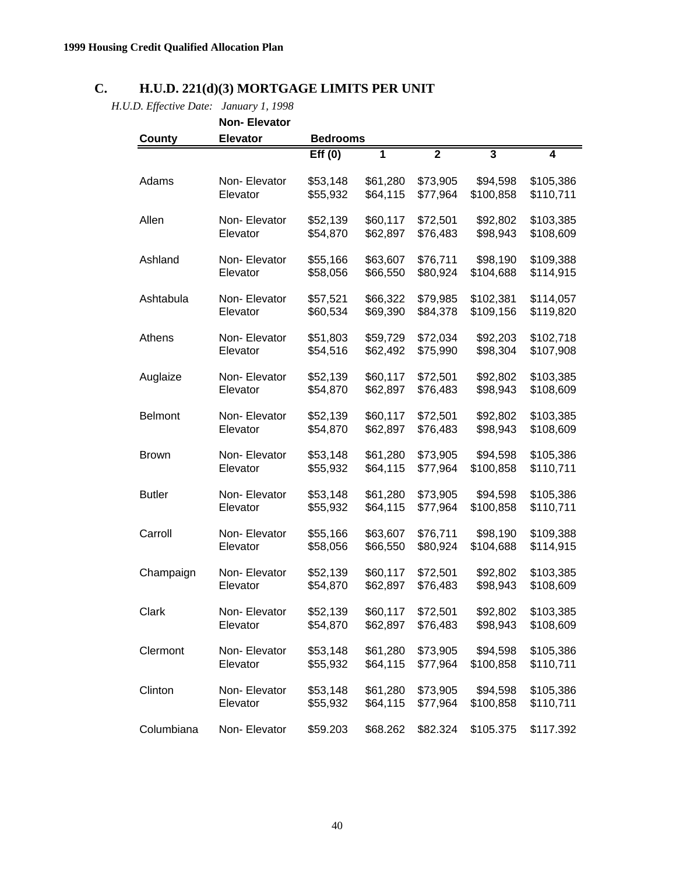## **C. H.U.D. 221(d)(3) MORTGAGE LIMITS PER UNIT**

*H.U.D. Effective Date: January 1, 1998*

|                | <b>Non-Elevator</b> |                 |                |                |                         |                |
|----------------|---------------------|-----------------|----------------|----------------|-------------------------|----------------|
| County         | <b>Elevator</b>     | <b>Bedrooms</b> |                |                |                         |                |
|                |                     | Eff(0)          | $\overline{1}$ | $\overline{2}$ | $\overline{\mathbf{3}}$ | $\overline{4}$ |
| Adams          | Non-Elevator        | \$53,148        | \$61,280       | \$73,905       | \$94,598                | \$105,386      |
|                | Elevator            | \$55,932        | \$64,115       | \$77,964       | \$100,858               | \$110,711      |
| Allen          | Non-Elevator        | \$52,139        | \$60,117       | \$72,501       | \$92,802                | \$103,385      |
|                | Elevator            | \$54,870        | \$62,897       | \$76,483       | \$98,943                | \$108,609      |
| Ashland        | Non-Elevator        | \$55,166        | \$63,607       | \$76,711       | \$98,190                | \$109,388      |
|                | Elevator            | \$58,056        | \$66,550       | \$80,924       | \$104,688               | \$114,915      |
| Ashtabula      | Non-Elevator        | \$57,521        | \$66,322       | \$79,985       | \$102,381               | \$114,057      |
|                | Elevator            | \$60,534        | \$69,390       | \$84,378       | \$109,156               | \$119,820      |
| Athens         | Non-Elevator        | \$51,803        | \$59,729       | \$72,034       | \$92,203                | \$102,718      |
|                | Elevator            | \$54,516        | \$62,492       | \$75,990       | \$98,304                | \$107,908      |
| Auglaize       | Non-Elevator        | \$52,139        | \$60,117       | \$72,501       | \$92,802                | \$103,385      |
|                | Elevator            | \$54,870        | \$62,897       | \$76,483       | \$98,943                | \$108,609      |
| <b>Belmont</b> | Non-Elevator        | \$52,139        | \$60,117       | \$72,501       | \$92,802                | \$103,385      |
|                | Elevator            | \$54,870        | \$62,897       | \$76,483       | \$98,943                | \$108,609      |
| <b>Brown</b>   | Non-Elevator        | \$53,148        | \$61,280       | \$73,905       | \$94,598                | \$105,386      |
|                | Elevator            | \$55,932        | \$64,115       | \$77,964       | \$100,858               | \$110,711      |
| <b>Butler</b>  | Non-Elevator        | \$53,148        | \$61,280       | \$73,905       | \$94,598                | \$105,386      |
|                | Elevator            | \$55,932        | \$64,115       | \$77,964       | \$100,858               | \$110,711      |
| Carroll        | Non-Elevator        | \$55,166        | \$63,607       | \$76,711       | \$98,190                | \$109,388      |
|                | Elevator            | \$58,056        | \$66,550       | \$80,924       | \$104,688               | \$114,915      |
| Champaign      | Non-Elevator        | \$52,139        | \$60,117       | \$72,501       | \$92,802                | \$103,385      |
|                | Elevator            | \$54,870        | \$62,897       | \$76,483       | \$98,943                | \$108,609      |
| Clark          | Non- Elevator       | \$52,139        | \$60,117       | \$72,501       | \$92,802                | \$103,385      |
|                | Elevator            | \$54,870        | \$62,897       | \$76,483       | \$98,943                | \$108,609      |
| Clermont       | Non-Elevator        | \$53,148        | \$61,280       | \$73,905       | \$94,598                | \$105,386      |
|                | Elevator            | \$55,932        | \$64,115       | \$77,964       | \$100,858               | \$110,711      |
| Clinton        | Non-Elevator        | \$53,148        | \$61,280       | \$73,905       | \$94,598                | \$105,386      |
|                | Elevator            | \$55,932        | \$64,115       | \$77,964       | \$100,858               | \$110,711      |
| Columbiana     | Non-Elevator        | \$59.203        | \$68.262       | \$82.324       | \$105.375               | \$117.392      |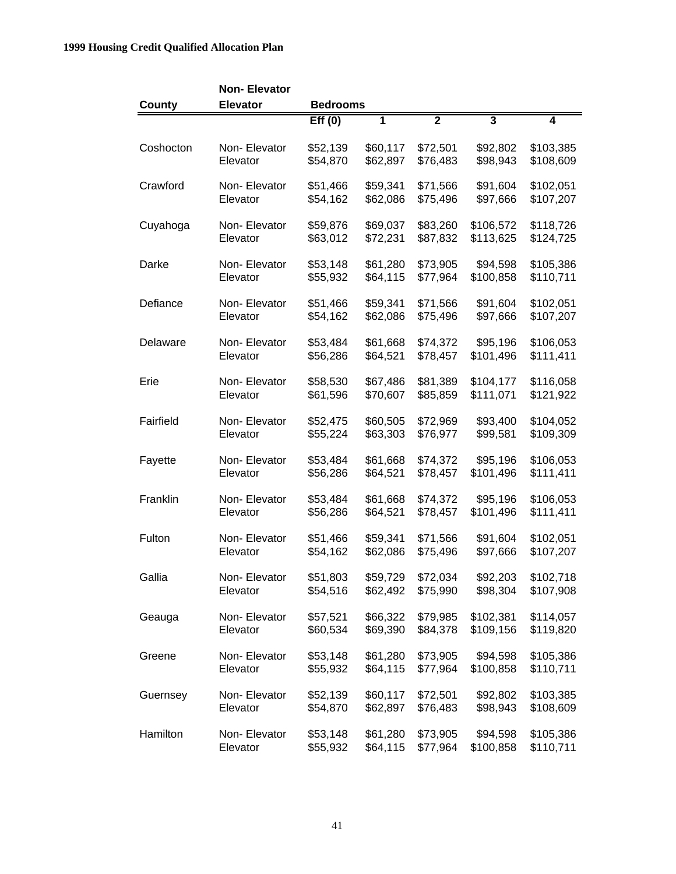|           | <b>Non-Elevator</b> |                 |                         |                |                         |                |
|-----------|---------------------|-----------------|-------------------------|----------------|-------------------------|----------------|
| County    | <b>Elevator</b>     | <b>Bedrooms</b> |                         |                |                         |                |
|           |                     | Eff(0)          | $\overline{\mathbf{1}}$ | $\overline{2}$ | $\overline{\mathbf{3}}$ | $\overline{4}$ |
| Coshocton | Non-Elevator        | \$52,139        | \$60,117                | \$72,501       | \$92,802                | \$103,385      |
|           | Elevator            | \$54,870        | \$62,897                | \$76,483       | \$98,943                | \$108,609      |
| Crawford  | Non-Elevator        | \$51,466        | \$59,341                | \$71,566       | \$91,604                | \$102,051      |
|           | Elevator            | \$54,162        | \$62,086                | \$75,496       | \$97,666                | \$107,207      |
| Cuyahoga  | Non-Elevator        | \$59,876        | \$69,037                | \$83,260       | \$106,572               | \$118,726      |
|           | Elevator            | \$63,012        | \$72,231                | \$87,832       | \$113,625               | \$124,725      |
| Darke     | Non-Elevator        | \$53,148        | \$61,280                | \$73,905       | \$94,598                | \$105,386      |
|           | Elevator            | \$55,932        | \$64,115                | \$77,964       | \$100,858               | \$110,711      |
| Defiance  | Non-Elevator        | \$51,466        | \$59,341                | \$71,566       | \$91,604                | \$102,051      |
|           | Elevator            | \$54,162        | \$62,086                | \$75,496       | \$97,666                | \$107,207      |
| Delaware  | Non-Elevator        | \$53,484        | \$61,668                | \$74,372       | \$95,196                | \$106,053      |
|           | Elevator            | \$56,286        | \$64,521                | \$78,457       | \$101,496               | \$111,411      |
| Erie      | Non-Elevator        | \$58,530        | \$67,486                | \$81,389       | \$104,177               | \$116,058      |
|           | Elevator            | \$61,596        | \$70,607                | \$85,859       | \$111,071               | \$121,922      |
| Fairfield | Non-Elevator        | \$52,475        | \$60,505                | \$72,969       | \$93,400                | \$104,052      |
|           | Elevator            | \$55,224        | \$63,303                | \$76,977       | \$99,581                | \$109,309      |
| Fayette   | Non-Elevator        | \$53,484        | \$61,668                | \$74,372       | \$95,196                | \$106,053      |
|           | Elevator            | \$56,286        | \$64,521                | \$78,457       | \$101,496               | \$111,411      |
| Franklin  | Non-Elevator        | \$53,484        | \$61,668                | \$74,372       | \$95,196                | \$106,053      |
|           | Elevator            | \$56,286        | \$64,521                | \$78,457       | \$101,496               | \$111,411      |
| Fulton    | Non-Elevator        | \$51,466        | \$59,341                | \$71,566       | \$91,604                | \$102,051      |
|           | Elevator            | \$54,162        | \$62,086                | \$75,496       | \$97,666                | \$107,207      |
| Gallia    | Non- Elevator       | \$51,803        | \$59,729                | \$72,034       | \$92,203                | \$102,718      |
|           | Elevator            | \$54,516        | \$62,492                | \$75,990       | \$98,304                | \$107,908      |
| Geauga    | Non-Elevator        | \$57,521        | \$66,322                | \$79,985       | \$102,381               | \$114,057      |
|           | Elevator            | \$60,534        | \$69,390                | \$84,378       | \$109,156               | \$119,820      |
| Greene    | Non-Elevator        | \$53,148        | \$61,280                | \$73,905       | \$94,598                | \$105,386      |
|           | Elevator            | \$55,932        | \$64,115                | \$77,964       | \$100,858               | \$110,711      |
| Guernsey  | Non-Elevator        | \$52,139        | \$60,117                | \$72,501       | \$92,802                | \$103,385      |
|           | Elevator            | \$54,870        | \$62,897                | \$76,483       | \$98,943                | \$108,609      |
| Hamilton  | Non-Elevator        | \$53,148        | \$61,280                | \$73,905       | \$94,598                | \$105,386      |
|           | Elevator            | \$55,932        | \$64,115                | \$77,964       | \$100,858               | \$110,711      |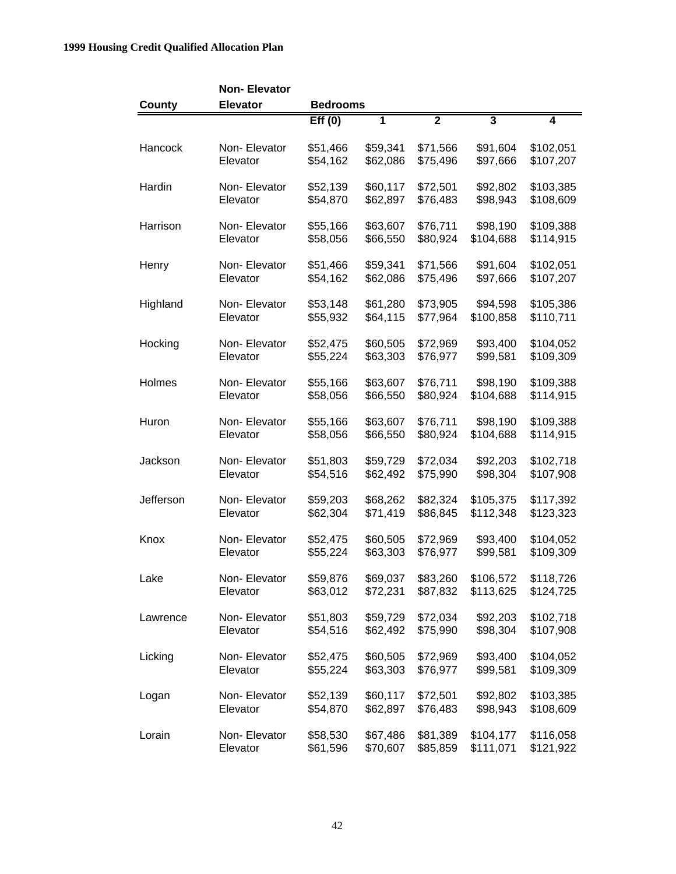|           | <b>Non-Elevator</b> |                 |          |                |                         |                |
|-----------|---------------------|-----------------|----------|----------------|-------------------------|----------------|
| County    | <b>Elevator</b>     | <b>Bedrooms</b> |          |                |                         |                |
|           |                     | Eff(0)          | 1        | $\overline{2}$ | $\overline{\mathbf{3}}$ | $\overline{4}$ |
| Hancock   | Non-Elevator        | \$51,466        | \$59,341 | \$71,566       | \$91,604                | \$102,051      |
|           | Elevator            | \$54,162        | \$62,086 | \$75,496       | \$97,666                | \$107,207      |
| Hardin    | Non-Elevator        | \$52,139        | \$60,117 | \$72,501       | \$92,802                | \$103,385      |
|           | Elevator            | \$54,870        | \$62,897 | \$76,483       | \$98,943                | \$108,609      |
| Harrison  | Non-Elevator        | \$55,166        | \$63,607 | \$76,711       | \$98,190                | \$109,388      |
|           | Elevator            | \$58,056        | \$66,550 | \$80,924       | \$104,688               | \$114,915      |
| Henry     | Non-Elevator        | \$51,466        | \$59,341 | \$71,566       | \$91,604                | \$102,051      |
|           | Elevator            | \$54,162        | \$62,086 | \$75,496       | \$97,666                | \$107,207      |
| Highland  | Non-Elevator        | \$53,148        | \$61,280 | \$73,905       | \$94,598                | \$105,386      |
|           | Elevator            | \$55,932        | \$64,115 | \$77,964       | \$100,858               | \$110,711      |
| Hocking   | Non-Elevator        | \$52,475        | \$60,505 | \$72,969       | \$93,400                | \$104,052      |
|           | Elevator            | \$55,224        | \$63,303 | \$76,977       | \$99,581                | \$109,309      |
| Holmes    | Non-Elevator        | \$55,166        | \$63,607 | \$76,711       | \$98,190                | \$109,388      |
|           | Elevator            | \$58,056        | \$66,550 | \$80,924       | \$104,688               | \$114,915      |
| Huron     | Non-Elevator        | \$55,166        | \$63,607 | \$76,711       | \$98,190                | \$109,388      |
|           | Elevator            | \$58,056        | \$66,550 | \$80,924       | \$104,688               | \$114,915      |
| Jackson   | Non-Elevator        | \$51,803        | \$59,729 | \$72,034       | \$92,203                | \$102,718      |
|           | Elevator            | \$54,516        | \$62,492 | \$75,990       | \$98,304                | \$107,908      |
| Jefferson | Non-Elevator        | \$59,203        | \$68,262 | \$82,324       | \$105,375               | \$117,392      |
|           | Elevator            | \$62,304        | \$71,419 | \$86,845       | \$112,348               | \$123,323      |
| Knox      | Non-Elevator        | \$52,475        | \$60,505 | \$72,969       | \$93,400                | \$104,052      |
|           | Elevator            | \$55,224        | \$63,303 | \$76,977       | \$99,581                | \$109,309      |
| Lake      | Non-Elevator        | \$59,876        | \$69,037 | \$83,260       | \$106,572               | \$118,726      |
|           | Elevator            | \$63,012        | \$72,231 | \$87,832       | \$113,625               | \$124,725      |
| Lawrence  | Non-Elevator        | \$51,803        | \$59,729 | \$72,034       | \$92,203                | \$102,718      |
|           | Elevator            | \$54,516        | \$62,492 | \$75,990       | \$98,304                | \$107,908      |
| Licking   | Non- Elevator       | \$52,475        | \$60,505 | \$72,969       | \$93,400                | \$104,052      |
|           | Elevator            | \$55,224        | \$63,303 | \$76,977       | \$99,581                | \$109,309      |
| Logan     | Non-Elevator        | \$52,139        | \$60,117 | \$72,501       | \$92,802                | \$103,385      |
|           | Elevator            | \$54,870        | \$62,897 | \$76,483       | \$98,943                | \$108,609      |
| Lorain    | Non-Elevator        | \$58,530        | \$67,486 | \$81,389       | \$104,177               | \$116,058      |
|           | Elevator            | \$61,596        | \$70,607 | \$85,859       | \$111,071               | \$121,922      |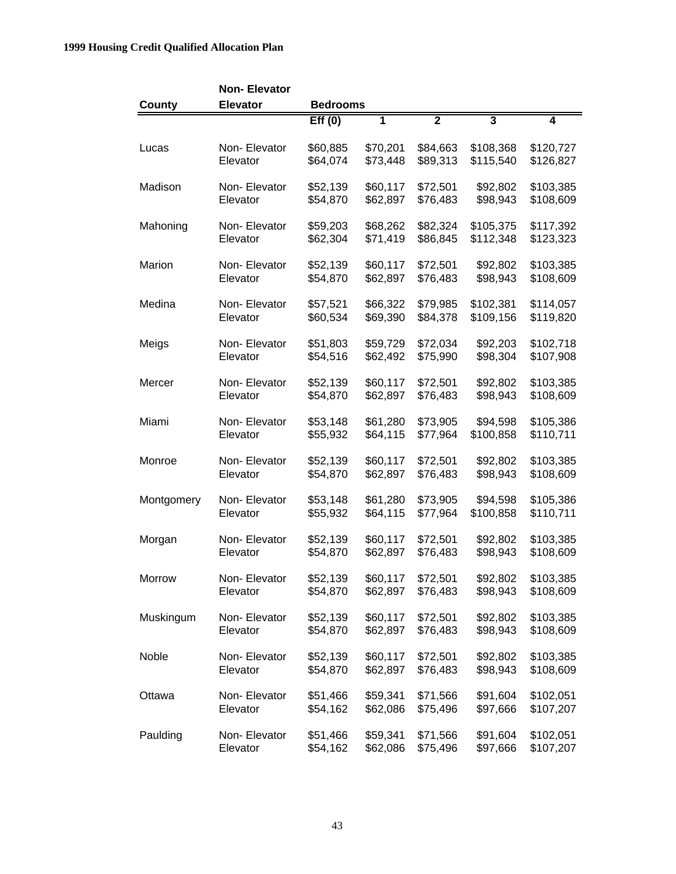|            | <b>Non-Elevator</b> |                 |          |                |                         |           |
|------------|---------------------|-----------------|----------|----------------|-------------------------|-----------|
| County     | <b>Elevator</b>     | <b>Bedrooms</b> |          |                |                         |           |
|            |                     | Eff(0)          | 1        | $\overline{2}$ | $\overline{\mathbf{3}}$ | 4         |
| Lucas      | Non-Elevator        | \$60,885        | \$70,201 | \$84,663       | \$108,368               | \$120,727 |
|            | Elevator            | \$64,074        | \$73,448 | \$89,313       | \$115,540               | \$126,827 |
| Madison    | Non-Elevator        | \$52,139        | \$60,117 | \$72,501       | \$92,802                | \$103,385 |
|            | Elevator            | \$54,870        | \$62,897 | \$76,483       | \$98,943                | \$108,609 |
| Mahoning   | Non-Elevator        | \$59,203        | \$68,262 | \$82,324       | \$105,375               | \$117,392 |
|            | Elevator            | \$62,304        | \$71,419 | \$86,845       | \$112,348               | \$123,323 |
| Marion     | Non-Elevator        | \$52,139        | \$60,117 | \$72,501       | \$92,802                | \$103,385 |
|            | Elevator            | \$54,870        | \$62,897 | \$76,483       | \$98,943                | \$108,609 |
| Medina     | Non-Elevator        | \$57,521        | \$66,322 | \$79,985       | \$102,381               | \$114,057 |
|            | Elevator            | \$60,534        | \$69,390 | \$84,378       | \$109,156               | \$119,820 |
| Meigs      | Non-Elevator        | \$51,803        | \$59,729 | \$72,034       | \$92,203                | \$102,718 |
|            | Elevator            | \$54,516        | \$62,492 | \$75,990       | \$98,304                | \$107,908 |
| Mercer     | Non-Elevator        | \$52,139        | \$60,117 | \$72,501       | \$92,802                | \$103,385 |
|            | Elevator            | \$54,870        | \$62,897 | \$76,483       | \$98,943                | \$108,609 |
| Miami      | Non-Elevator        | \$53,148        | \$61,280 | \$73,905       | \$94,598                | \$105,386 |
|            | Elevator            | \$55,932        | \$64,115 | \$77,964       | \$100,858               | \$110,711 |
| Monroe     | Non-Elevator        | \$52,139        | \$60,117 | \$72,501       | \$92,802                | \$103,385 |
|            | Elevator            | \$54,870        | \$62,897 | \$76,483       | \$98,943                | \$108,609 |
| Montgomery | Non-Elevator        | \$53,148        | \$61,280 | \$73,905       | \$94,598                | \$105,386 |
|            | Elevator            | \$55,932        | \$64,115 | \$77,964       | \$100,858               | \$110,711 |
| Morgan     | Non-Elevator        | \$52,139        | \$60,117 | \$72,501       | \$92,802                | \$103,385 |
|            | Elevator            | \$54,870        | \$62,897 | \$76,483       | \$98,943                | \$108,609 |
| Morrow     | Non-Elevator        | \$52,139        | \$60,117 | \$72,501       | \$92,802                | \$103,385 |
|            | Elevator            | \$54,870        | \$62,897 | \$76,483       | \$98,943                | \$108,609 |
| Muskingum  | Non-Elevator        | \$52,139        | \$60,117 | \$72,501       | \$92,802                | \$103,385 |
|            | Elevator            | \$54,870        | \$62,897 | \$76,483       | \$98,943                | \$108,609 |
| Noble      | Non-Elevator        | \$52,139        | \$60,117 | \$72,501       | \$92,802                | \$103,385 |
|            | Elevator            | \$54,870        | \$62,897 | \$76,483       | \$98,943                | \$108,609 |
| Ottawa     | Non-Elevator        | \$51,466        | \$59,341 | \$71,566       | \$91,604                | \$102,051 |
|            | Elevator            | \$54,162        | \$62,086 | \$75,496       | \$97,666                | \$107,207 |
| Paulding   | Non-Elevator        | \$51,466        | \$59,341 | \$71,566       | \$91,604                | \$102,051 |
|            | Elevator            | \$54,162        | \$62,086 | \$75,496       | \$97,666                | \$107,207 |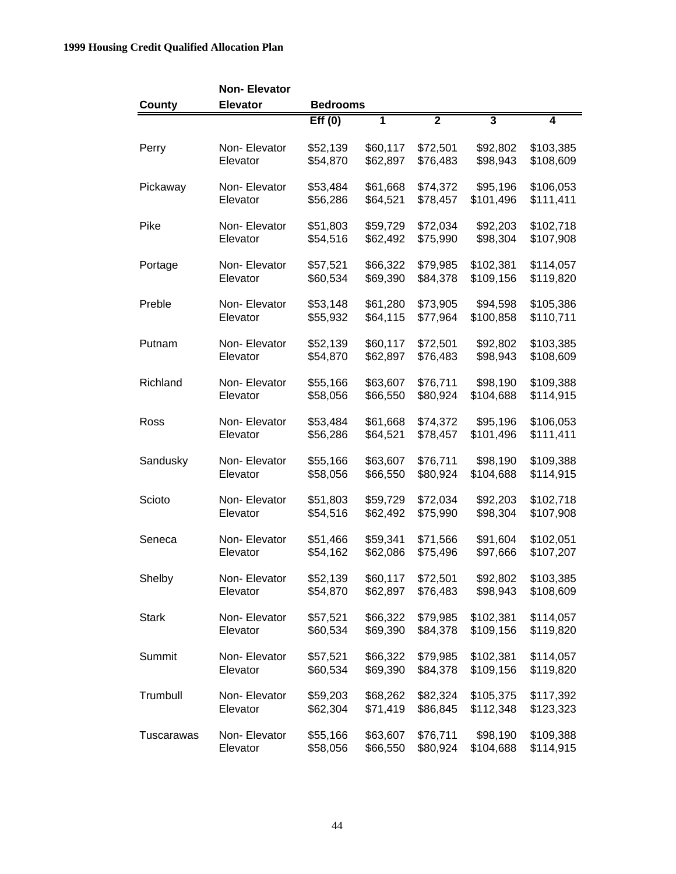|              | <b>Non-Elevator</b> |                 |          |                |                         |           |
|--------------|---------------------|-----------------|----------|----------------|-------------------------|-----------|
| County       | <b>Elevator</b>     | <b>Bedrooms</b> |          |                |                         |           |
|              |                     | Eff(0)          | 1        | $\overline{2}$ | $\overline{\mathbf{3}}$ | 4         |
| Perry        | Non-Elevator        | \$52,139        | \$60,117 | \$72,501       | \$92,802                | \$103,385 |
|              | Elevator            | \$54,870        | \$62,897 | \$76,483       | \$98,943                | \$108,609 |
| Pickaway     | Non-Elevator        | \$53,484        | \$61,668 | \$74,372       | \$95,196                | \$106,053 |
|              | Elevator            | \$56,286        | \$64,521 | \$78,457       | \$101,496               | \$111,411 |
| Pike         | Non-Elevator        | \$51,803        | \$59,729 | \$72,034       | \$92,203                | \$102,718 |
|              | Elevator            | \$54,516        | \$62,492 | \$75,990       | \$98,304                | \$107,908 |
| Portage      | Non-Elevator        | \$57,521        | \$66,322 | \$79,985       | \$102,381               | \$114,057 |
|              | Elevator            | \$60,534        | \$69,390 | \$84,378       | \$109,156               | \$119,820 |
| Preble       | Non-Elevator        | \$53,148        | \$61,280 | \$73,905       | \$94,598                | \$105,386 |
|              | Elevator            | \$55,932        | \$64,115 | \$77,964       | \$100,858               | \$110,711 |
| Putnam       | Non-Elevator        | \$52,139        | \$60,117 | \$72,501       | \$92,802                | \$103,385 |
|              | Elevator            | \$54,870        | \$62,897 | \$76,483       | \$98,943                | \$108,609 |
| Richland     | Non-Elevator        | \$55,166        | \$63,607 | \$76,711       | \$98,190                | \$109,388 |
|              | Elevator            | \$58,056        | \$66,550 | \$80,924       | \$104,688               | \$114,915 |
| Ross         | Non-Elevator        | \$53,484        | \$61,668 | \$74,372       | \$95,196                | \$106,053 |
|              | Elevator            | \$56,286        | \$64,521 | \$78,457       | \$101,496               | \$111,411 |
| Sandusky     | Non-Elevator        | \$55,166        | \$63,607 | \$76,711       | \$98,190                | \$109,388 |
|              | Elevator            | \$58,056        | \$66,550 | \$80,924       | \$104,688               | \$114,915 |
| Scioto       | Non-Elevator        | \$51,803        | \$59,729 | \$72,034       | \$92,203                | \$102,718 |
|              | Elevator            | \$54,516        | \$62,492 | \$75,990       | \$98,304                | \$107,908 |
| Seneca       | Non-Elevator        | \$51,466        | \$59,341 | \$71,566       | \$91,604                | \$102,051 |
|              | Elevator            | \$54,162        | \$62,086 | \$75,496       | \$97,666                | \$107,207 |
| Shelby       | Non-Elevator        | \$52,139        | \$60,117 | \$72,501       | \$92,802                | \$103,385 |
|              | Elevator            | \$54,870        | \$62,897 | \$76,483       | \$98,943                | \$108,609 |
| <b>Stark</b> | Non-Elevator        | \$57,521        | \$66,322 | \$79,985       | \$102,381               | \$114,057 |
|              | Elevator            | \$60,534        | \$69,390 | \$84,378       | \$109,156               | \$119,820 |
| Summit       | Non-Elevator        | \$57,521        | \$66,322 | \$79,985       | \$102,381               | \$114,057 |
|              | Elevator            | \$60,534        | \$69,390 | \$84,378       | \$109,156               | \$119,820 |
| Trumbull     | Non-Elevator        | \$59,203        | \$68,262 | \$82,324       | \$105,375               | \$117,392 |
|              | Elevator            | \$62,304        | \$71,419 | \$86,845       | \$112,348               | \$123,323 |
| Tuscarawas   | Non-Elevator        | \$55,166        | \$63,607 | \$76,711       | \$98,190                | \$109,388 |
|              | Elevator            | \$58,056        | \$66,550 | \$80,924       | \$104,688               | \$114,915 |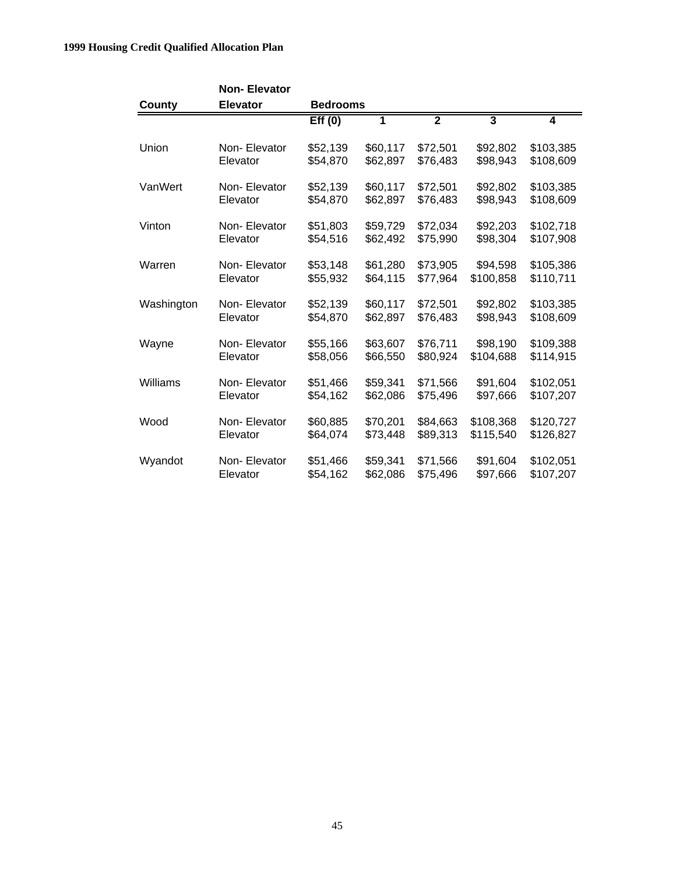|            | <b>Non-Elevator</b><br><b>Elevator</b> | <b>Bedrooms</b> |          |                |                         |           |
|------------|----------------------------------------|-----------------|----------|----------------|-------------------------|-----------|
| County     |                                        | Eff(0)          | 1        | $\overline{2}$ | $\overline{\mathbf{3}}$ | 4         |
|            |                                        |                 |          |                |                         |           |
| Union      | Non-Elevator                           | \$52,139        | \$60,117 | \$72,501       | \$92,802                | \$103,385 |
|            | Elevator                               | \$54,870        | \$62,897 | \$76,483       | \$98,943                | \$108,609 |
| VanWert    | Non-Elevator                           | \$52,139        | \$60,117 | \$72,501       | \$92,802                | \$103,385 |
|            | Elevator                               | \$54,870        | \$62,897 | \$76,483       | \$98,943                | \$108,609 |
| Vinton     | Non-Elevator                           | \$51,803        | \$59,729 | \$72,034       | \$92,203                | \$102,718 |
|            | Elevator                               | \$54,516        | \$62,492 | \$75,990       | \$98,304                | \$107,908 |
| Warren     | Non-Elevator                           | \$53,148        | \$61,280 | \$73,905       | \$94,598                | \$105,386 |
|            | Elevator                               | \$55,932        | \$64,115 | \$77,964       | \$100,858               | \$110,711 |
| Washington | Non-Elevator                           | \$52,139        | \$60,117 | \$72,501       | \$92,802                | \$103,385 |
|            | Elevator                               | \$54,870        | \$62,897 | \$76,483       | \$98,943                | \$108,609 |
| Wayne      | Non-Elevator                           | \$55,166        | \$63,607 | \$76,711       | \$98,190                | \$109,388 |
|            | Elevator                               | \$58,056        | \$66,550 | \$80,924       | \$104,688               | \$114,915 |
| Williams   | Non-Elevator                           | \$51,466        | \$59,341 | \$71,566       | \$91,604                | \$102,051 |
|            | Elevator                               | \$54,162        | \$62,086 | \$75,496       | \$97,666                | \$107,207 |
| Wood       | Non-Elevator                           | \$60,885        | \$70,201 | \$84,663       | \$108,368               | \$120,727 |
|            | Elevator                               | \$64,074        | \$73,448 | \$89,313       | \$115,540               | \$126,827 |
| Wyandot    | Non-Elevator                           | \$51,466        | \$59,341 | \$71,566       | \$91,604                | \$102,051 |
|            | Elevator                               | \$54,162        | \$62,086 | \$75,496       | \$97,666                | \$107,207 |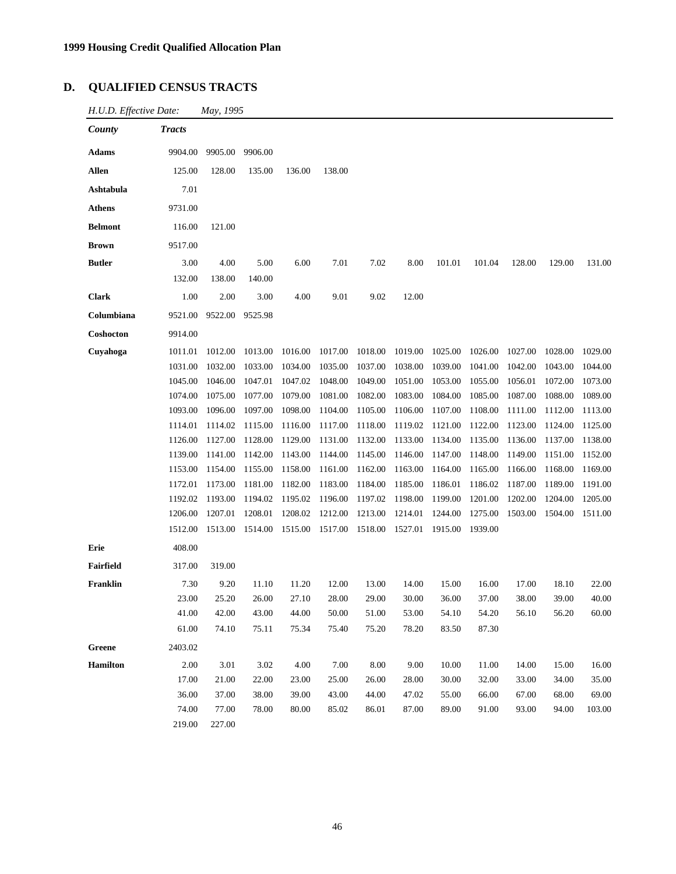## **D. QUALIFIED CENSUS TRACTS**

| H.U.D. Effective Date: | May, 1995 |  |
|------------------------|-----------|--|
|------------------------|-----------|--|

| County          | <b>Tracts</b> |         |         |         |         |         |         |         |         |         |         |         |
|-----------------|---------------|---------|---------|---------|---------|---------|---------|---------|---------|---------|---------|---------|
| <b>Adams</b>    | 9904.00       | 9905.00 | 9906.00 |         |         |         |         |         |         |         |         |         |
| Allen           | 125.00        | 128.00  | 135.00  | 136.00  | 138.00  |         |         |         |         |         |         |         |
| Ashtabula       | 7.01          |         |         |         |         |         |         |         |         |         |         |         |
| <b>Athens</b>   | 9731.00       |         |         |         |         |         |         |         |         |         |         |         |
| <b>Belmont</b>  | 116.00        | 121.00  |         |         |         |         |         |         |         |         |         |         |
| <b>Brown</b>    | 9517.00       |         |         |         |         |         |         |         |         |         |         |         |
| <b>Butler</b>   | 3.00          | 4.00    | 5.00    | 6.00    | 7.01    | 7.02    | 8.00    | 101.01  | 101.04  | 128.00  | 129.00  | 131.00  |
|                 | 132.00        | 138.00  | 140.00  |         |         |         |         |         |         |         |         |         |
| <b>Clark</b>    | 1.00          | 2.00    | 3.00    | 4.00    | 9.01    | 9.02    | 12.00   |         |         |         |         |         |
| Columbiana      | 9521.00       | 9522.00 | 9525.98 |         |         |         |         |         |         |         |         |         |
| Coshocton       | 9914.00       |         |         |         |         |         |         |         |         |         |         |         |
| Cuyahoga        | 1011.01       | 1012.00 | 1013.00 | 1016.00 | 1017.00 | 1018.00 | 1019.00 | 1025.00 | 1026.00 | 1027.00 | 1028.00 | 1029.00 |
|                 | 1031.00       | 1032.00 | 1033.00 | 1034.00 | 1035.00 | 1037.00 | 1038.00 | 1039.00 | 1041.00 | 1042.00 | 1043.00 | 1044.00 |
|                 | 1045.00       | 1046.00 | 1047.01 | 1047.02 | 1048.00 | 1049.00 | 1051.00 | 1053.00 | 1055.00 | 1056.01 | 1072.00 | 1073.00 |
|                 | 1074.00       | 1075.00 | 1077.00 | 1079.00 | 1081.00 | 1082.00 | 1083.00 | 1084.00 | 1085.00 | 1087.00 | 1088.00 | 1089.00 |
|                 | 1093.00       | 1096.00 | 1097.00 | 1098.00 | 1104.00 | 1105.00 | 1106.00 | 1107.00 | 1108.00 | 1111.00 | 1112.00 | 1113.00 |
|                 | 1114.01       | 1114.02 | 1115.00 | 1116.00 | 1117.00 | 1118.00 | 1119.02 | 1121.00 | 1122.00 | 1123.00 | 1124.00 | 1125.00 |
|                 | 1126.00       | 1127.00 | 1128.00 | 1129.00 | 1131.00 | 1132.00 | 1133.00 | 1134.00 | 1135.00 | 1136.00 | 1137.00 | 1138.00 |
|                 | 1139.00       | 1141.00 | 1142.00 | 1143.00 | 1144.00 | 1145.00 | 1146.00 | 1147.00 | 1148.00 | 1149.00 | 1151.00 | 1152.00 |
|                 | 1153.00       | 1154.00 | 1155.00 | 1158.00 | 1161.00 | 1162.00 | 1163.00 | 1164.00 | 1165.00 | 1166.00 | 1168.00 | 1169.00 |
|                 | 1172.01       | 1173.00 | 1181.00 | 1182.00 | 1183.00 | 1184.00 | 1185.00 | 1186.01 | 1186.02 | 1187.00 | 1189.00 | 1191.00 |
|                 | 1192.02       | 1193.00 | 1194.02 | 1195.02 | 1196.00 | 1197.02 | 1198.00 | 1199.00 | 1201.00 | 1202.00 | 1204.00 | 1205.00 |
|                 | 1206.00       | 1207.01 | 1208.01 | 1208.02 | 1212.00 | 1213.00 | 1214.01 | 1244.00 | 1275.00 | 1503.00 | 1504.00 | 1511.00 |
|                 | 1512.00       | 1513.00 | 1514.00 | 1515.00 | 1517.00 | 1518.00 | 1527.01 | 1915.00 | 1939.00 |         |         |         |
| Erie            | 408.00        |         |         |         |         |         |         |         |         |         |         |         |
| Fairfield       | 317.00        | 319.00  |         |         |         |         |         |         |         |         |         |         |
| Franklin        | 7.30          | 9.20    | 11.10   | 11.20   | 12.00   | 13.00   | 14.00   | 15.00   | 16.00   | 17.00   | 18.10   | 22.00   |
|                 | 23.00         | 25.20   | 26.00   | 27.10   | 28.00   | 29.00   | 30.00   | 36.00   | 37.00   | 38.00   | 39.00   | 40.00   |
|                 | 41.00         | 42.00   | 43.00   | 44.00   | 50.00   | 51.00   | 53.00   | 54.10   | 54.20   | 56.10   | 56.20   | 60.00   |
|                 | 61.00         | 74.10   | 75.11   | 75.34   | 75.40   | 75.20   | 78.20   | 83.50   | 87.30   |         |         |         |
| Greene          | 2403.02       |         |         |         |         |         |         |         |         |         |         |         |
| <b>Hamilton</b> | 2.00          | 3.01    | 3.02    | 4.00    | 7.00    | 8.00    | 9.00    | 10.00   | 11.00   | 14.00   | 15.00   | 16.00   |
|                 | 17.00         | 21.00   | 22.00   | 23.00   | 25.00   | 26.00   | 28.00   | 30.00   | 32.00   | 33.00   | 34.00   | 35.00   |
|                 | 36.00         | 37.00   | 38.00   | 39.00   | 43.00   | 44.00   | 47.02   | 55.00   | 66.00   | 67.00   | 68.00   | 69.00   |
|                 | 74.00         | 77.00   | 78.00   | 80.00   | 85.02   | 86.01   | 87.00   | 89.00   | 91.00   | 93.00   | 94.00   | 103.00  |
|                 | 219.00        | 227.00  |         |         |         |         |         |         |         |         |         |         |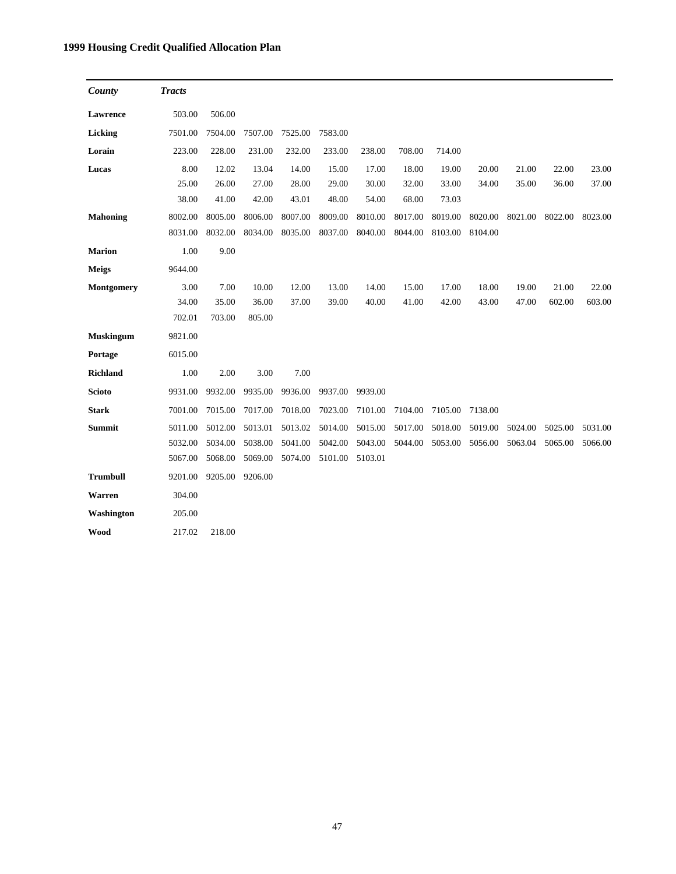| County           | <b>Tracts</b> |         |         |         |         |         |         |         |         |         |         |         |
|------------------|---------------|---------|---------|---------|---------|---------|---------|---------|---------|---------|---------|---------|
| Lawrence         | 503.00        | 506.00  |         |         |         |         |         |         |         |         |         |         |
| Licking          | 7501.00       | 7504.00 | 7507.00 | 7525.00 | 7583.00 |         |         |         |         |         |         |         |
| Lorain           | 223.00        | 228.00  | 231.00  | 232.00  | 233.00  | 238.00  | 708.00  | 714.00  |         |         |         |         |
| Lucas            | 8.00          | 12.02   | 13.04   | 14.00   | 15.00   | 17.00   | 18.00   | 19.00   | 20.00   | 21.00   | 22.00   | 23.00   |
|                  | 25.00         | 26.00   | 27.00   | 28.00   | 29.00   | 30.00   | 32.00   | 33.00   | 34.00   | 35.00   | 36.00   | 37.00   |
|                  | 38.00         | 41.00   | 42.00   | 43.01   | 48.00   | 54.00   | 68.00   | 73.03   |         |         |         |         |
| <b>Mahoning</b>  | 8002.00       | 8005.00 | 8006.00 | 8007.00 | 8009.00 | 8010.00 | 8017.00 | 8019.00 | 8020.00 | 8021.00 | 8022.00 | 8023.00 |
|                  | 8031.00       | 8032.00 | 8034.00 | 8035.00 | 8037.00 | 8040.00 | 8044.00 | 8103.00 | 8104.00 |         |         |         |
| <b>Marion</b>    | 1.00          | 9.00    |         |         |         |         |         |         |         |         |         |         |
| <b>Meigs</b>     | 9644.00       |         |         |         |         |         |         |         |         |         |         |         |
| Montgomery       | 3.00          | 7.00    | 10.00   | 12.00   | 13.00   | 14.00   | 15.00   | 17.00   | 18.00   | 19.00   | 21.00   | 22.00   |
|                  | 34.00         | 35.00   | 36.00   | 37.00   | 39.00   | 40.00   | 41.00   | 42.00   | 43.00   | 47.00   | 602.00  | 603.00  |
|                  | 702.01        | 703.00  | 805.00  |         |         |         |         |         |         |         |         |         |
| <b>Muskingum</b> | 9821.00       |         |         |         |         |         |         |         |         |         |         |         |
| Portage          | 6015.00       |         |         |         |         |         |         |         |         |         |         |         |
| <b>Richland</b>  | 1.00          | 2.00    | 3.00    | 7.00    |         |         |         |         |         |         |         |         |
| <b>Scioto</b>    | 9931.00       | 9932.00 | 9935.00 | 9936.00 | 9937.00 | 9939.00 |         |         |         |         |         |         |
| <b>Stark</b>     | 7001.00       | 7015.00 | 7017.00 | 7018.00 | 7023.00 | 7101.00 | 7104.00 | 7105.00 | 7138.00 |         |         |         |
| <b>Summit</b>    | 5011.00       | 5012.00 | 5013.01 | 5013.02 | 5014.00 | 5015.00 | 5017.00 | 5018.00 | 5019.00 | 5024.00 | 5025.00 | 5031.00 |
|                  | 5032.00       | 5034.00 | 5038.00 | 5041.00 | 5042.00 | 5043.00 | 5044.00 | 5053.00 | 5056.00 | 5063.04 | 5065.00 | 5066.00 |
|                  | 5067.00       | 5068.00 | 5069.00 | 5074.00 | 5101.00 | 5103.01 |         |         |         |         |         |         |
| <b>Trumbull</b>  | 9201.00       | 9205.00 | 9206.00 |         |         |         |         |         |         |         |         |         |
| Warren           | 304.00        |         |         |         |         |         |         |         |         |         |         |         |
| Washington       | 205.00        |         |         |         |         |         |         |         |         |         |         |         |
| <b>Wood</b>      | 217.02        | 218.00  |         |         |         |         |         |         |         |         |         |         |

47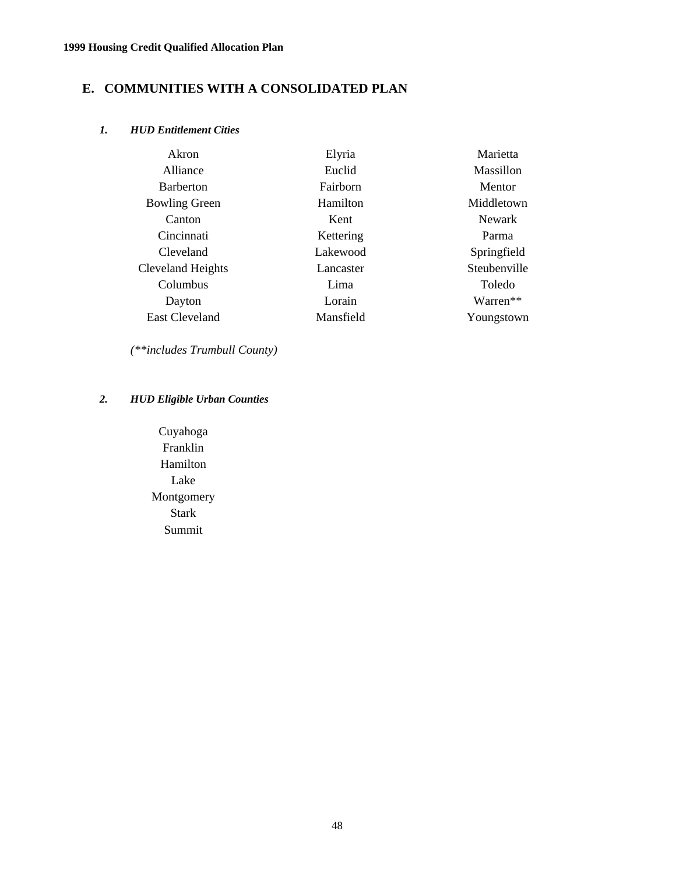## **E. COMMUNITIES WITH A CONSOLIDATED PLAN**

## *1. HUD Entitlement Cities*

| Akron                 | Elyria    | Marietta      |
|-----------------------|-----------|---------------|
| Alliance              | Euclid    | Massillon     |
| <b>Barberton</b>      | Fairborn  | Mentor        |
| <b>Bowling Green</b>  | Hamilton  | Middletown    |
| Canton                | Kent      | <b>Newark</b> |
| Cincinnati            | Kettering | Parma         |
| Cleveland             | Lakewood  | Springfield   |
| Cleveland Heights     | Lancaster | Steubenville  |
| Columbus              | Lima      | Toledo        |
| Dayton                | Lorain    | Warren**      |
| <b>East Cleveland</b> | Mansfield | Youngstown    |

*(\*\*includes Trumbull County)*

## *2. HUD Eligible Urban Counties*

Cuyahoga Franklin Hamilton Lake Montgomery Stark Summit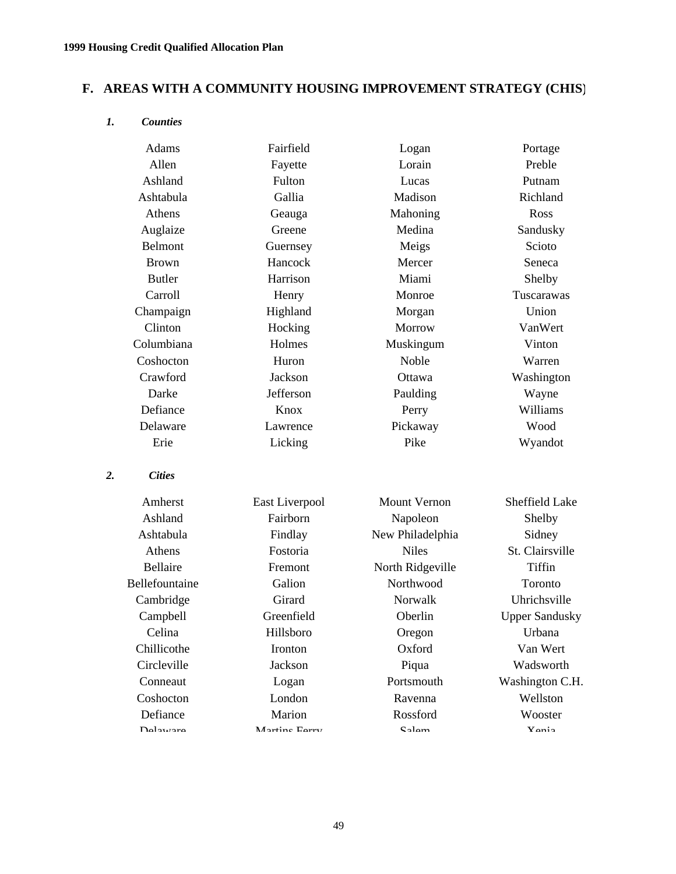## **F. AREAS WITH A COMMUNITY HOUSING IMPROVEMENT STRATEGY (CHIS)**

#### *1. Counties*

*2. Cities*

| Adams            | Fairfield      | Logan               | Portage               |
|------------------|----------------|---------------------|-----------------------|
| Allen<br>Fayette |                | Lorain              | Preble                |
| Ashland          | Fulton         | Lucas               | Putnam                |
| Ashtabula        | Gallia         | Madison             | Richland              |
| Athens           | Geauga         | Mahoning            | Ross                  |
| Auglaize         | Greene         | Medina              | Sandusky              |
| <b>Belmont</b>   | Guernsey       | Meigs               | Scioto                |
| <b>Brown</b>     | Hancock        | Mercer              | Seneca                |
| <b>Butler</b>    | Harrison       | Miami               | Shelby                |
| Carroll          | Henry          | Monroe              | Tuscarawas            |
| Champaign        | Highland       | Morgan              | Union                 |
| Clinton          | Hocking        | Morrow              | VanWert               |
| Columbiana       | Holmes         | Muskingum           | Vinton                |
| Coshocton        | Huron          | <b>Noble</b>        | Warren                |
| Crawford         | Jackson        | Ottawa              | Washington            |
| Darke            | Jefferson      | Paulding            | Wayne                 |
| Defiance         | Knox           | Perry               | Williams              |
| Delaware         | Lawrence       | Pickaway            | Wood                  |
| Erie             | Licking        | Pike                | Wyandot               |
| <b>Cities</b>    |                |                     |                       |
| Amherst          | East Liverpool | <b>Mount Vernon</b> | Sheffield Lake        |
| Ashland          | Fairborn       | Napoleon            | Shelby                |
| Ashtabula        | Findlay        | New Philadelphia    | Sidney                |
| Athens           | Fostoria       | <b>Niles</b>        | St. Clairsville       |
| Bellaire         | Fremont        | North Ridgeville    | Tiffin                |
| Bellefountaine   | Galion         | Northwood           | Toronto               |
| Cambridge        | Girard         | Norwalk             | Uhrichsville          |
| Campbell         | Greenfield     | Oberlin             | <b>Upper Sandusky</b> |
| Celina           | Hillsboro      | Oregon              | Urbana                |
| Chillicothe      | Ironton        | Oxford              | Van Wert              |
| Circleville      | Jackson        | Piqua               | Wadsworth             |
| Conneaut         | Logan          | Portsmouth          | Washington C.H.       |
| Coshocton        | London         | Ravenna             | Wellston              |
| Defiance         | Marion         | Rossford            | Wooster               |
| Dalawara         | Mortine Forry  | C <sub>olam</sub>   | Yania                 |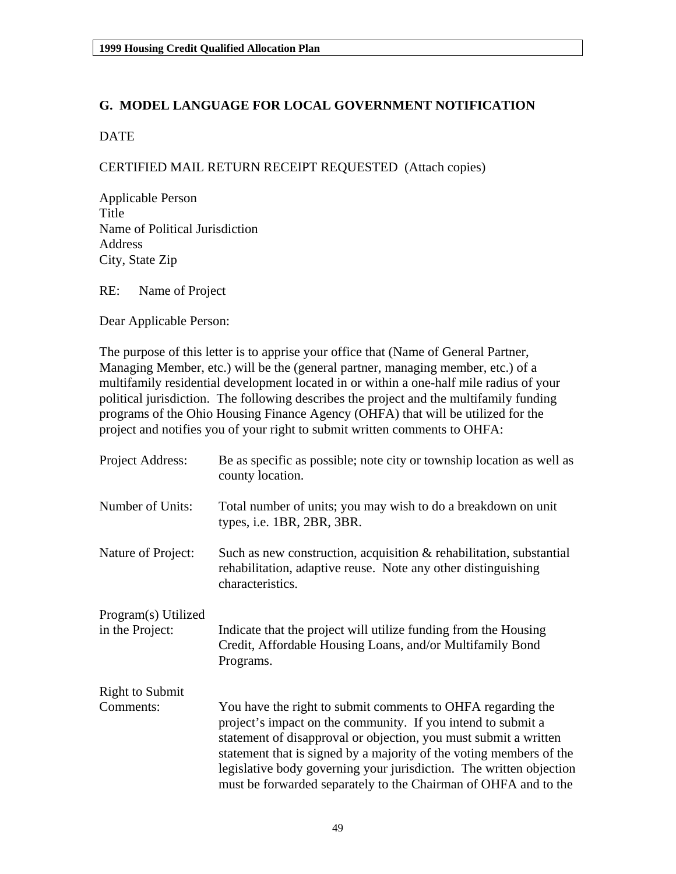## **G. MODEL LANGUAGE FOR LOCAL GOVERNMENT NOTIFICATION**

## DATE

## CERTIFIED MAIL RETURN RECEIPT REQUESTED (Attach copies)

Applicable Person Title Name of Political Jurisdiction Address City, State Zip

RE: Name of Project

Dear Applicable Person:

The purpose of this letter is to apprise your office that (Name of General Partner, Managing Member, etc.) will be the (general partner, managing member, etc.) of a multifamily residential development located in or within a one-half mile radius of your political jurisdiction. The following describes the project and the multifamily funding programs of the Ohio Housing Finance Agency (OHFA) that will be utilized for the project and notifies you of your right to submit written comments to OHFA:

| Project Address:       | Be as specific as possible; note city or township location as well as<br>county location.                                                                                                                                                                                                                                                                                                                        |
|------------------------|------------------------------------------------------------------------------------------------------------------------------------------------------------------------------------------------------------------------------------------------------------------------------------------------------------------------------------------------------------------------------------------------------------------|
| Number of Units:       | Total number of units; you may wish to do a breakdown on unit<br>types, i.e. 1BR, 2BR, 3BR.                                                                                                                                                                                                                                                                                                                      |
| Nature of Project:     | Such as new construction, acquisition $&$ rehabilitation, substantial<br>rehabilitation, adaptive reuse. Note any other distinguishing<br>characteristics.                                                                                                                                                                                                                                                       |
| Program(s) Utilized    |                                                                                                                                                                                                                                                                                                                                                                                                                  |
| in the Project:        | Indicate that the project will utilize funding from the Housing<br>Credit, Affordable Housing Loans, and/or Multifamily Bond<br>Programs.                                                                                                                                                                                                                                                                        |
| <b>Right to Submit</b> |                                                                                                                                                                                                                                                                                                                                                                                                                  |
| Comments:              | You have the right to submit comments to OHFA regarding the<br>project's impact on the community. If you intend to submit a<br>statement of disapproval or objection, you must submit a written<br>statement that is signed by a majority of the voting members of the<br>legislative body governing your jurisdiction. The written objection<br>must be forwarded separately to the Chairman of OHFA and to the |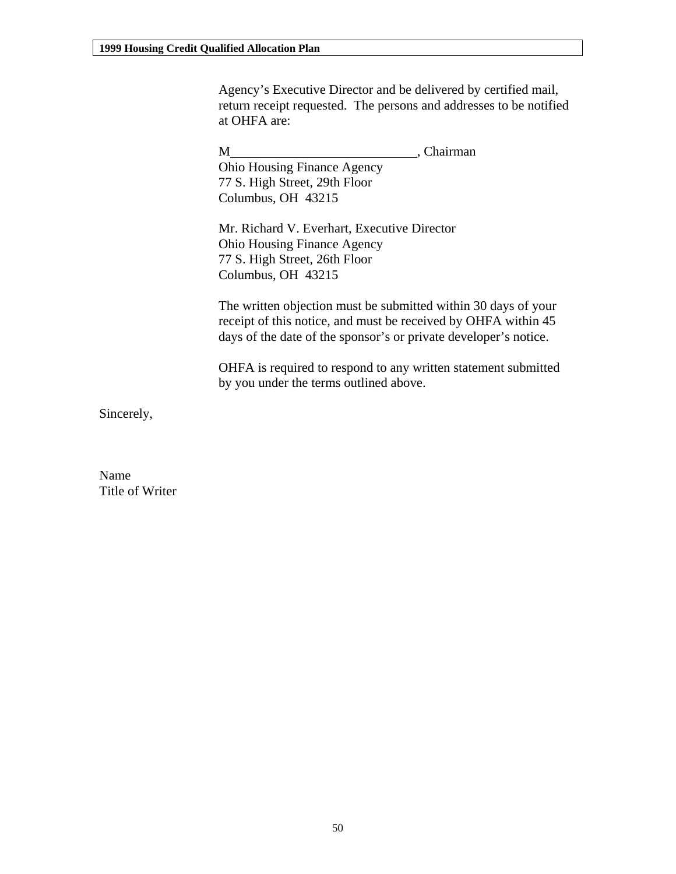Agency's Executive Director and be delivered by certified mail, return receipt requested. The persons and addresses to be notified at OHFA are:

M (Chairman) Ohio Housing Finance Agency 77 S. High Street, 29th Floor Columbus, OH 43215 Mr. Richard V. Everhart, Executive Director Ohio Housing Finance Agency 77 S. High Street, 26th Floor Columbus, OH 43215 The written objection must be submitted within 30 days of your receipt of this notice, and must be received by OHFA within 45 days of the date of the sponsor's or private developer's notice. OHFA is required to respond to any written statement submitted by you under the terms outlined above.

Sincerely,

Name Title of Writer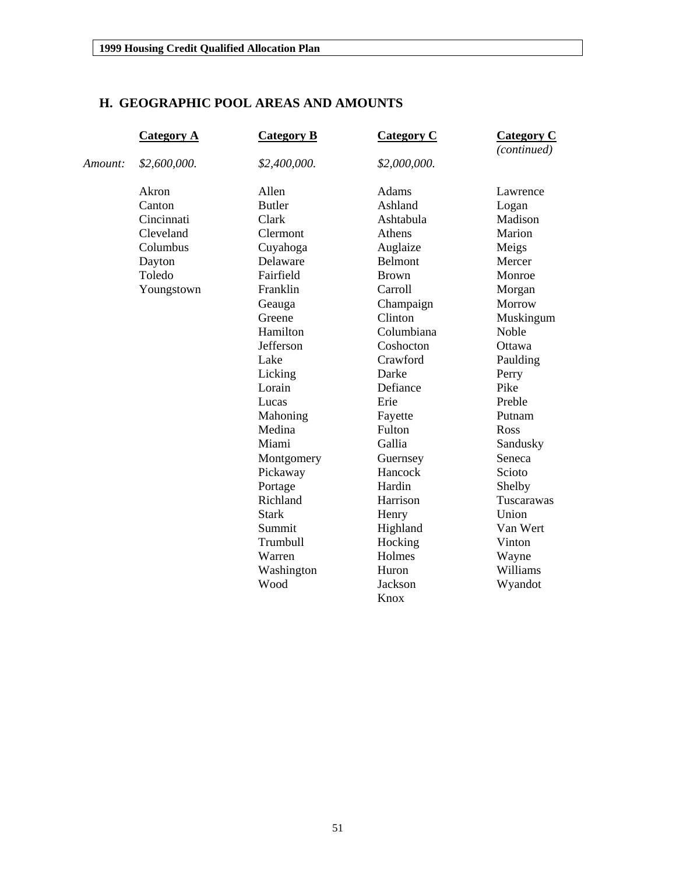## **H. GEOGRAPHIC POOL AREAS AND AMOUNTS**

|         | <b>Category A</b> | <b>Category B</b> | <b>Category C</b> | <b>Category C</b><br>(continued) |
|---------|-------------------|-------------------|-------------------|----------------------------------|
| Amount: | \$2,600,000.      | \$2,400,000.      | \$2,000,000.      |                                  |
|         | Akron             | Allen             | Adams             | Lawrence                         |
|         | Canton            | <b>Butler</b>     | Ashland           | Logan                            |
|         | Cincinnati        | Clark             | Ashtabula         | Madison                          |
|         | Cleveland         | Clermont          | Athens            | Marion                           |
|         | Columbus          | Cuyahoga          | Auglaize          | Meigs                            |
|         | Dayton            | Delaware          | Belmont           | Mercer                           |
|         | Toledo            | Fairfield         | <b>Brown</b>      | Monroe                           |
|         | Youngstown        | Franklin          | Carroll           | Morgan                           |
|         |                   | Geauga            | Champaign         | Morrow                           |
|         |                   | Greene            | Clinton           | Muskingum                        |
|         |                   | Hamilton          | Columbiana        | Noble                            |
|         |                   | Jefferson         | Coshocton         | Ottawa                           |
|         |                   | Lake              | Crawford          | Paulding                         |
|         |                   | Licking           | Darke             | Perry                            |
|         |                   | Lorain            | Defiance          | Pike                             |
|         |                   | Lucas             | Erie              | Preble                           |
|         |                   | Mahoning          | Fayette           | Putnam                           |
|         |                   | Medina            | Fulton            | Ross                             |
|         |                   | Miami             | Gallia            | Sandusky                         |
|         |                   | Montgomery        | Guernsey          | Seneca                           |
|         |                   | Pickaway          | Hancock           | Scioto                           |
|         |                   | Portage           | Hardin            | Shelby                           |
|         |                   | Richland          | Harrison          | Tuscarawas                       |
|         |                   | <b>Stark</b>      | Henry             | Union                            |
|         |                   | Summit            | Highland          | Van Wert                         |
|         |                   | Trumbull          | Hocking           | Vinton                           |
|         |                   | Warren            | Holmes            | Wayne                            |
|         |                   | Washington        | Huron             | Williams                         |
|         |                   | Wood              | Jackson           | Wyandot                          |
|         |                   |                   | Knox              |                                  |
|         |                   |                   |                   |                                  |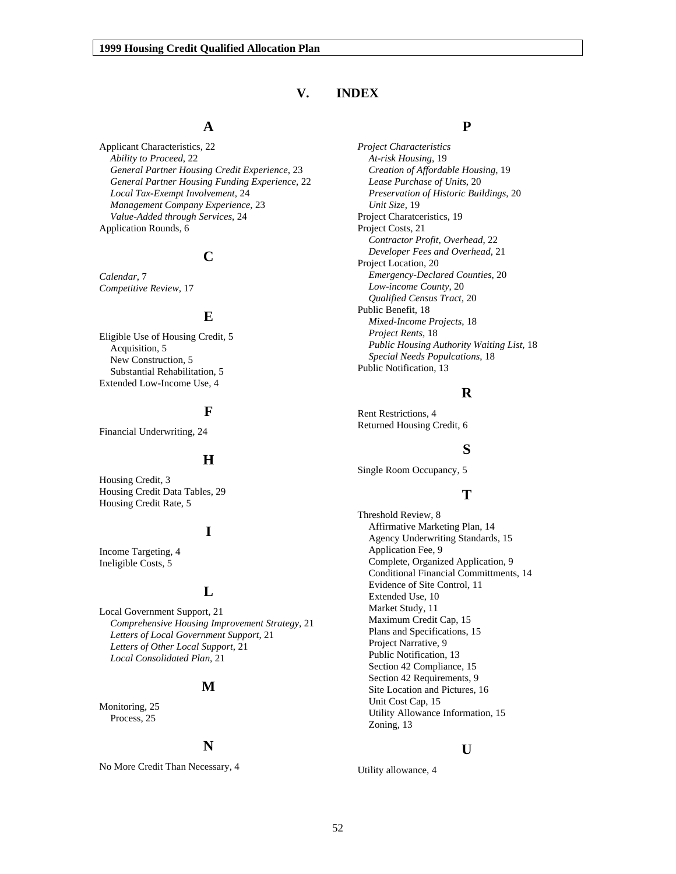## **V. INDEX**

## **A**

Applicant Characteristics, 22 *Ability to Proceed*, 22 *General Partner Housing Credit Experience*, 23 *General Partner Housing Funding Experience*, 22 *Local Tax-Exempt Involvement*, 24 *Management Company Experience*, 23 *Value-Added through Services*, 24 Application Rounds, 6

## **C**

*Calendar*, 7 *Competitive Review*, 17

## **E**

Eligible Use of Housing Credit, 5 Acquisition, 5 New Construction, 5 Substantial Rehabilitation, 5 Extended Low-Income Use, 4

## **F**

Financial Underwriting, 24

#### **H**

Housing Credit, 3 Housing Credit Data Tables, 29 Housing Credit Rate, 5

## **I**

Income Targeting, 4 Ineligible Costs, 5

#### **L**

Local Government Support, 21 *Comprehensive Housing Improvement Strategy*, 21 *Letters of Local Government Support*, 21 *Letters of Other Local Support*, 21 *Local Consolidated Plan*, 21

#### **M**

Monitoring, 25 Process, 25

### **N**

No More Credit Than Necessary, 4

### **P**

*Project Characteristics At-risk Housing*, 19 *Creation of Affordable Housing*, 19 *Lease Purchase of Units*, 20 *Preservation of Historic Buildings*, 20 *Unit Size*, 19 Project Charatceristics, 19 Project Costs, 21 *Contractor Profit, Overhead*, 22 *Developer Fees and Overhead*, 21 Project Location, 20 *Emergency-Declared Counties*, 20 *Low-income County*, 20 *Qualified Census Tract*, 20 Public Benefit, 18 *Mixed-Income Projects*, 18 *Project Rents*, 18 *Public Housing Authority Waiting List*, 18 *Special Needs Populcations*, 18 Public Notification, 13

## **R**

Rent Restrictions, 4 Returned Housing Credit, 6

#### **S**

Single Room Occupancy, 5

## **T**

Threshold Review, 8 Affirmative Marketing Plan, 14 Agency Underwriting Standards, 15 Application Fee, 9 Complete, Organized Application, 9 Conditional Financial Committments, 14 Evidence of Site Control, 11 Extended Use, 10 Market Study, 11 Maximum Credit Cap, 15 Plans and Specifications, 15 Project Narrative, 9 Public Notification, 13 Section 42 Compliance, 15 Section 42 Requirements, 9 Site Location and Pictures, 16 Unit Cost Cap, 15 Utility Allowance Information, 15 Zoning, 13

#### **U**

Utility allowance, 4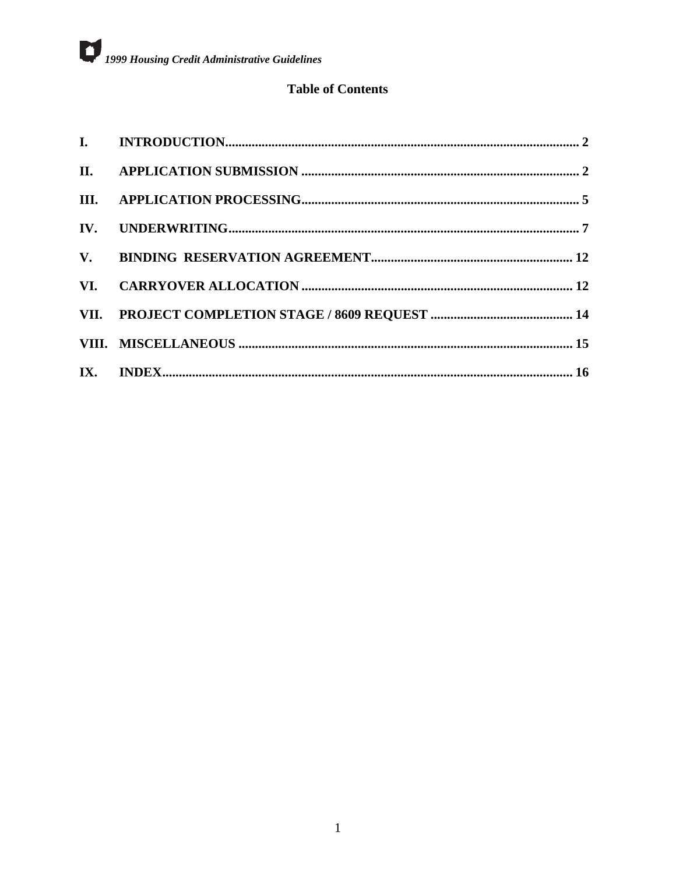## **Table of Contents**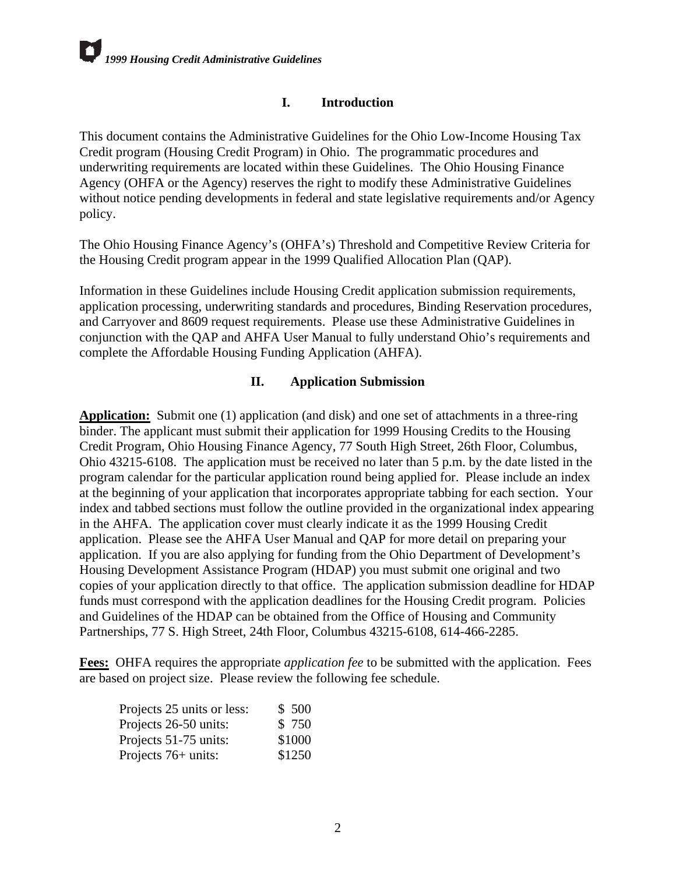## **I. Introduction**

<span id="page-54-0"></span>This document contains the Administrative Guidelines for the Ohio Low-Income Housing Tax Credit program (Housing Credit Program) in Ohio. The programmatic procedures and underwriting requirements are located within these Guidelines. The Ohio Housing Finance Agency (OHFA or the Agency) reserves the right to modify these Administrative Guidelines without notice pending developments in federal and state legislative requirements and/or Agency policy.

The Ohio Housing Finance Agency's (OHFA's) Threshold and Competitive Review Criteria for the Housing Credit program appear in the 1999 Qualified Allocation Plan (QAP).

Information in these Guidelines include Housing Credit application submission requirements, application processing, underwriting standards and procedures, Binding Reservation procedures, and Carryover and 8609 request requirements. Please use these Administrative Guidelines in conjunction with the QAP and AHFA User Manual to fully understand Ohio's requirements and complete the Affordable Housing Funding Application (AHFA).

## **II. Application Submission**

**Application:** Submit one (1) application (and disk) and one set of attachments in a three-ring binder. The applicant must submit their application for 1999 Housing Credits to the Housing Credit Program, Ohio Housing Finance Agency, 77 South High Street, 26th Floor, Columbus, Ohio 43215-6108. The application must be received no later than 5 p.m. by the date listed in the program calendar for the particular application round being applied for. Please include an index at the beginning of your application that incorporates appropriate tabbing for each section. Your index and tabbed sections must follow the outline provided in the organizational index appearing in the AHFA. The application cover must clearly indicate it as the 1999 Housing Credit application. Please see the AHFA User Manual and QAP for more detail on preparing your application. If you are also applying for funding from the Ohio Department of Development's Housing Development Assistance Program (HDAP) you must submit one original and two copies of your application directly to that office. The application submission deadline for HDAP funds must correspond with the application deadlines for the Housing Credit program. Policies and Guidelines of the HDAP can be obtained from the Office of Housing and Community Partnerships, 77 S. High Street, 24th Floor, Columbus 43215-6108, 614-466-2285.

**Fees:** OHFA requires the appropriate *application fee* to be submitted with the application. Fees are based on project size. Please review the following fee schedule.

| Projects 25 units or less: | \$500  |
|----------------------------|--------|
| Projects 26-50 units:      | \$750  |
| Projects 51-75 units:      | \$1000 |
| Projects $76+$ units:      | \$1250 |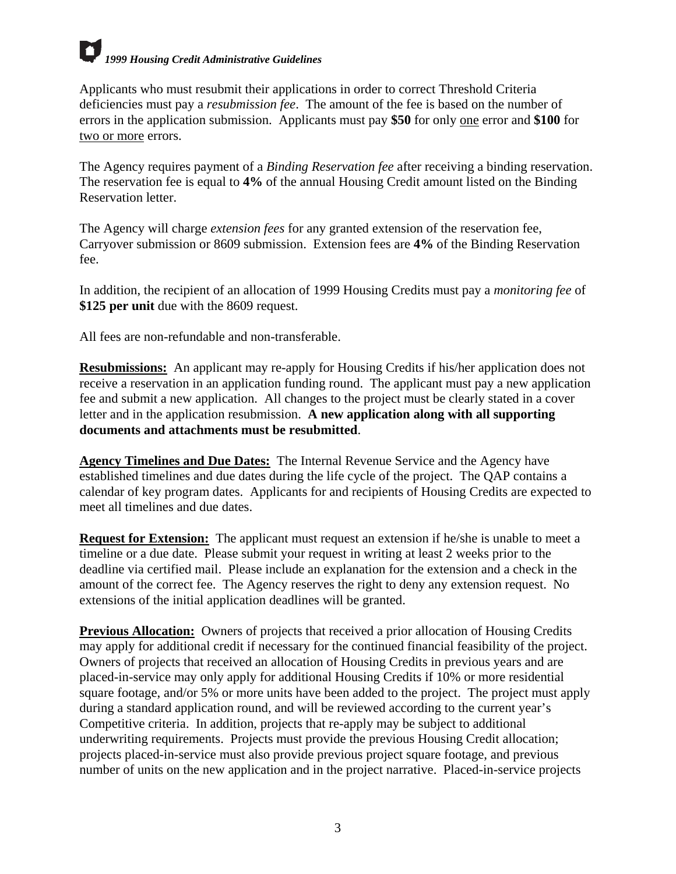Applicants who must resubmit their applications in order to correct Threshold Criteria deficiencies must pay a *resubmission fee*. The amount of the fee is based on the number of errors in the application submission. Applicants must pay **\$50** for only one error and **\$100** for two or more errors.

The Agency requires payment of a *Binding Reservation fee* after receiving a binding reservation. The reservation fee is equal to **4%** of the annual Housing Credit amount listed on the Binding Reservation letter.

The Agency will charge *extension fees* for any granted extension of the reservation fee, Carryover submission or 8609 submission. Extension fees are **4%** of the Binding Reservation fee.

In addition, the recipient of an allocation of 1999 Housing Credits must pay a *monitoring fee* of **\$125 per unit** due with the 8609 request.

All fees are non-refundable and non-transferable.

**Resubmissions:** An applicant may re-apply for Housing Credits if his/her application does not receive a reservation in an application funding round. The applicant must pay a new application fee and submit a new application. All changes to the project must be clearly stated in a cover letter and in the application resubmission. **A new application along with all supporting documents and attachments must be resubmitted**.

**Agency Timelines and Due Dates:** The Internal Revenue Service and the Agency have established timelines and due dates during the life cycle of the project. The QAP contains a calendar of key program dates. Applicants for and recipients of Housing Credits are expected to meet all timelines and due dates.

**Request for Extension:** The applicant must request an extension if he/she is unable to meet a timeline or a due date. Please submit your request in writing at least 2 weeks prior to the deadline via certified mail. Please include an explanation for the extension and a check in the amount of the correct fee. The Agency reserves the right to deny any extension request. No extensions of the initial application deadlines will be granted.

**Previous Allocation:** Owners of projects that received a prior allocation of Housing Credits may apply for additional credit if necessary for the continued financial feasibility of the project. Owners of projects that received an allocation of Housing Credits in previous years and are placed-in-service may only apply for additional Housing Credits if 10% or more residential square footage, and/or 5% or more units have been added to the project. The project must apply during a standard application round, and will be reviewed according to the current year's Competitive criteria. In addition, projects that re-apply may be subject to additional underwriting requirements. Projects must provide the previous Housing Credit allocation; projects placed-in-service must also provide previous project square footage, and previous number of units on the new application and in the project narrative. Placed-in-service projects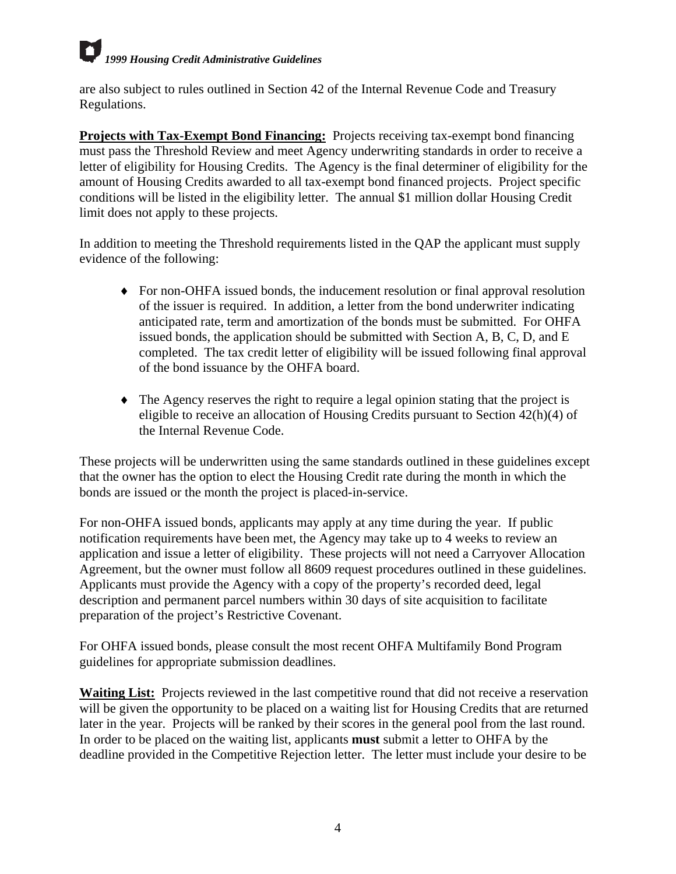are also subject to rules outlined in Section 42 of the Internal Revenue Code and Treasury Regulations.

**Projects with Tax-Exempt Bond Financing:** Projects receiving tax-exempt bond financing must pass the Threshold Review and meet Agency underwriting standards in order to receive a letter of eligibility for Housing Credits. The Agency is the final determiner of eligibility for the amount of Housing Credits awarded to all tax-exempt bond financed projects. Project specific conditions will be listed in the eligibility letter. The annual \$1 million dollar Housing Credit limit does not apply to these projects.

In addition to meeting the Threshold requirements listed in the QAP the applicant must supply evidence of the following:

- ♦ For non-OHFA issued bonds, the inducement resolution or final approval resolution of the issuer is required. In addition, a letter from the bond underwriter indicating anticipated rate, term and amortization of the bonds must be submitted. For OHFA issued bonds, the application should be submitted with Section A, B, C, D, and E completed. The tax credit letter of eligibility will be issued following final approval of the bond issuance by the OHFA board.
- ♦ The Agency reserves the right to require a legal opinion stating that the project is eligible to receive an allocation of Housing Credits pursuant to Section 42(h)(4) of the Internal Revenue Code.

These projects will be underwritten using the same standards outlined in these guidelines except that the owner has the option to elect the Housing Credit rate during the month in which the bonds are issued or the month the project is placed-in-service.

For non-OHFA issued bonds, applicants may apply at any time during the year. If public notification requirements have been met, the Agency may take up to 4 weeks to review an application and issue a letter of eligibility. These projects will not need a Carryover Allocation Agreement, but the owner must follow all 8609 request procedures outlined in these guidelines. Applicants must provide the Agency with a copy of the property's recorded deed, legal description and permanent parcel numbers within 30 days of site acquisition to facilitate preparation of the project's Restrictive Covenant.

For OHFA issued bonds, please consult the most recent OHFA Multifamily Bond Program guidelines for appropriate submission deadlines.

**Waiting List:** Projects reviewed in the last competitive round that did not receive a reservation will be given the opportunity to be placed on a waiting list for Housing Credits that are returned later in the year. Projects will be ranked by their scores in the general pool from the last round. In order to be placed on the waiting list, applicants **must** submit a letter to OHFA by the deadline provided in the Competitive Rejection letter. The letter must include your desire to be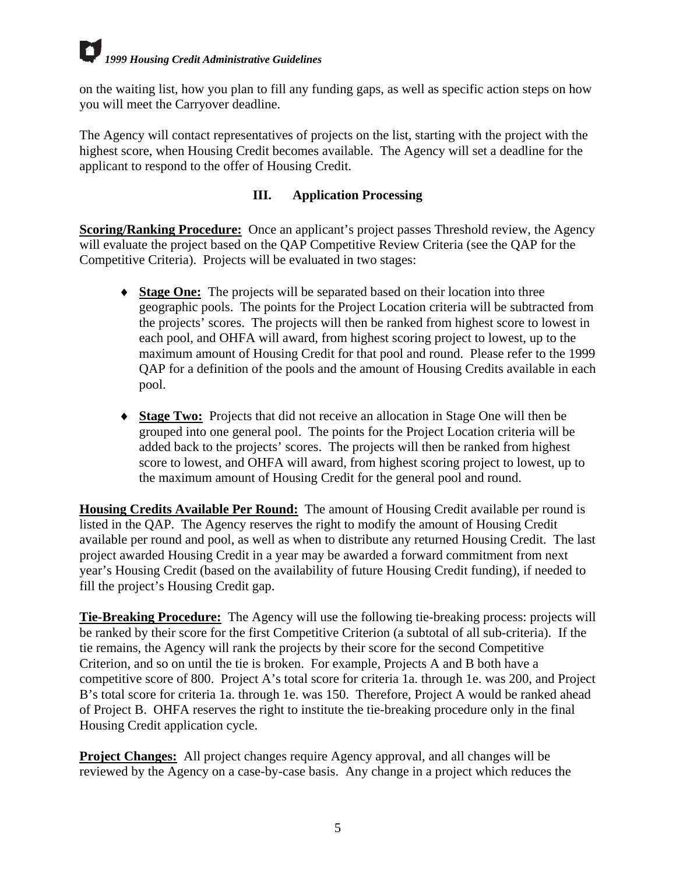<span id="page-57-0"></span>on the waiting list, how you plan to fill any funding gaps, as well as specific action steps on how you will meet the Carryover deadline.

The Agency will contact representatives of projects on the list, starting with the project with the highest score, when Housing Credit becomes available. The Agency will set a deadline for the applicant to respond to the offer of Housing Credit.

## **III. Application Processing**

**Scoring/Ranking Procedure:** Once an applicant's project passes Threshold review, the Agency will evaluate the project based on the QAP Competitive Review Criteria (see the QAP for the Competitive Criteria). Projects will be evaluated in two stages:

- ♦ **Stage One:** The projects will be separated based on their location into three geographic pools. The points for the Project Location criteria will be subtracted from the projects' scores. The projects will then be ranked from highest score to lowest in each pool, and OHFA will award, from highest scoring project to lowest, up to the maximum amount of Housing Credit for that pool and round. Please refer to the 1999 QAP for a definition of the pools and the amount of Housing Credits available in each pool.
- ♦ **Stage Two:** Projects that did not receive an allocation in Stage One will then be grouped into one general pool. The points for the Project Location criteria will be added back to the projects' scores. The projects will then be ranked from highest score to lowest, and OHFA will award, from highest scoring project to lowest, up to the maximum amount of Housing Credit for the general pool and round.

**Housing Credits Available Per Round:** The amount of Housing Credit available per round is listed in the QAP. The Agency reserves the right to modify the amount of Housing Credit available per round and pool, as well as when to distribute any returned Housing Credit. The last project awarded Housing Credit in a year may be awarded a forward commitment from next year's Housing Credit (based on the availability of future Housing Credit funding), if needed to fill the project's Housing Credit gap.

**Tie-Breaking Procedure:** The Agency will use the following tie-breaking process: projects will be ranked by their score for the first Competitive Criterion (a subtotal of all sub-criteria). If the tie remains, the Agency will rank the projects by their score for the second Competitive Criterion, and so on until the tie is broken. For example, Projects A and B both have a competitive score of 800. Project A's total score for criteria 1a. through 1e. was 200, and Project B's total score for criteria 1a. through 1e. was 150. Therefore, Project A would be ranked ahead of Project B. OHFA reserves the right to institute the tie-breaking procedure only in the final Housing Credit application cycle.

**Project Changes:** All project changes require Agency approval, and all changes will be reviewed by the Agency on a case-by-case basis. Any change in a project which reduces the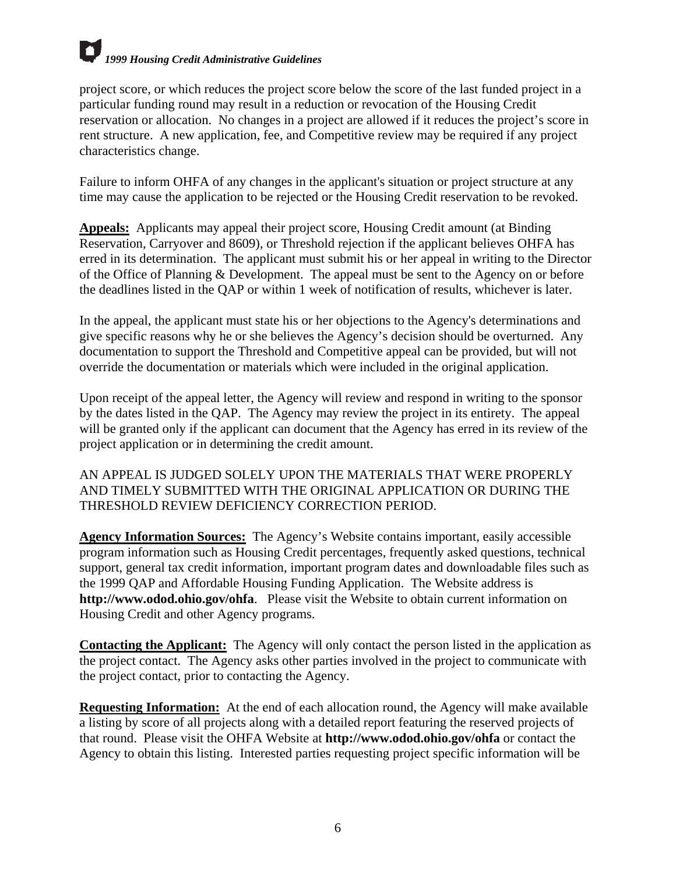project score, or which reduces the project score below the score of the last funded project in a particular funding round may result in a reduction or revocation of the Housing Credit reservation or allocation. No changes in a project are allowed if it reduces the project's score in rent structure. A new application, fee, and Competitive review may be required if any project characteristics change.

Failure to inform OHFA of any changes in the applicant's situation or project structure at any time may cause the application to be rejected or the Housing Credit reservation to be revoked.

**Appeals:** Applicants may appeal their project score, Housing Credit amount (at Binding Reservation, Carryover and 8609), or Threshold rejection if the applicant believes OHFA has erred in its determination. The applicant must submit his or her appeal in writing to the Director of the Office of Planning & Development. The appeal must be sent to the Agency on or before the deadlines listed in the QAP or within 1 week of notification of results, whichever is later.

In the appeal, the applicant must state his or her objections to the Agency's determinations and give specific reasons why he or she believes the Agency's decision should be overturned. Any documentation to support the Threshold and Competitive appeal can be provided, but will not override the documentation or materials which were included in the original application.

Upon receipt of the appeal letter, the Agency will review and respond in writing to the sponsor by the dates listed in the QAP. The Agency may review the project in its entirety. The appeal will be granted only if the applicant can document that the Agency has erred in its review of the project application or in determining the credit amount.

AN APPEAL IS JUDGED SOLELY UPON THE MATERIALS THAT WERE PROPERLY AND TIMELY SUBMITTED WITH THE ORIGINAL APPLICATION OR DURING THE THRESHOLD REVIEW DEFICIENCY CORRECTION PERIOD.

**Agency Information Sources:** The Agency's Website contains important, easily accessible program information such as Housing Credit percentages, frequently asked questions, technical support, general tax credit information, important program dates and downloadable files such as the 1999 QAP and Affordable Housing Funding Application. The Website address is **http://www.odod.ohio.gov/ohfa**. Please visit the Website to obtain current information on Housing Credit and other Agency programs.

**Contacting the Applicant:** The Agency will only contact the person listed in the application as the project contact. The Agency asks other parties involved in the project to communicate with the project contact, prior to contacting the Agency.

**Requesting Information:** At the end of each allocation round, the Agency will make available a listing by score of all projects along with a detailed report featuring the reserved projects of that round. Please visit the OHFA Website at **http://www.odod.ohio.gov/ohfa** or contact the Agency to obtain this listing. Interested parties requesting project specific information will be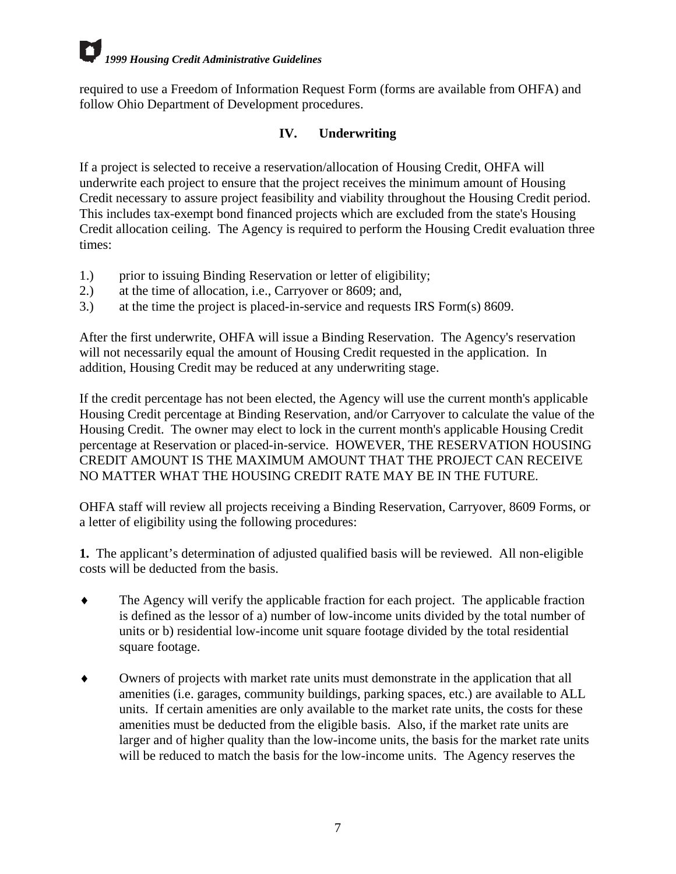<span id="page-59-0"></span>required to use a Freedom of Information Request Form (forms are available from OHFA) and follow Ohio Department of Development procedures.

## **IV. Underwriting**

If a project is selected to receive a reservation/allocation of Housing Credit, OHFA will underwrite each project to ensure that the project receives the minimum amount of Housing Credit necessary to assure project feasibility and viability throughout the Housing Credit period. This includes tax-exempt bond financed projects which are excluded from the state's Housing Credit allocation ceiling. The Agency is required to perform the Housing Credit evaluation three times:

- 1.) prior to issuing Binding Reservation or letter of eligibility;
- 2.) at the time of allocation, i.e., Carryover or 8609; and,
- 3.) at the time the project is placed-in-service and requests IRS Form(s) 8609.

After the first underwrite, OHFA will issue a Binding Reservation. The Agency's reservation will not necessarily equal the amount of Housing Credit requested in the application. In addition, Housing Credit may be reduced at any underwriting stage.

If the credit percentage has not been elected, the Agency will use the current month's applicable Housing Credit percentage at Binding Reservation, and/or Carryover to calculate the value of the Housing Credit. The owner may elect to lock in the current month's applicable Housing Credit percentage at Reservation or placed-in-service. HOWEVER, THE RESERVATION HOUSING CREDIT AMOUNT IS THE MAXIMUM AMOUNT THAT THE PROJECT CAN RECEIVE NO MATTER WHAT THE HOUSING CREDIT RATE MAY BE IN THE FUTURE.

OHFA staff will review all projects receiving a Binding Reservation, Carryover, 8609 Forms, or a letter of eligibility using the following procedures:

**1.** The applicant's determination of adjusted qualified basis will be reviewed. All non-eligible costs will be deducted from the basis.

- ♦ The Agency will verify the applicable fraction for each project. The applicable fraction is defined as the lessor of a) number of low-income units divided by the total number of units or b) residential low-income unit square footage divided by the total residential square footage.
- ♦ Owners of projects with market rate units must demonstrate in the application that all amenities (i.e. garages, community buildings, parking spaces, etc.) are available to ALL units. If certain amenities are only available to the market rate units, the costs for these amenities must be deducted from the eligible basis. Also, if the market rate units are larger and of higher quality than the low-income units, the basis for the market rate units will be reduced to match the basis for the low-income units. The Agency reserves the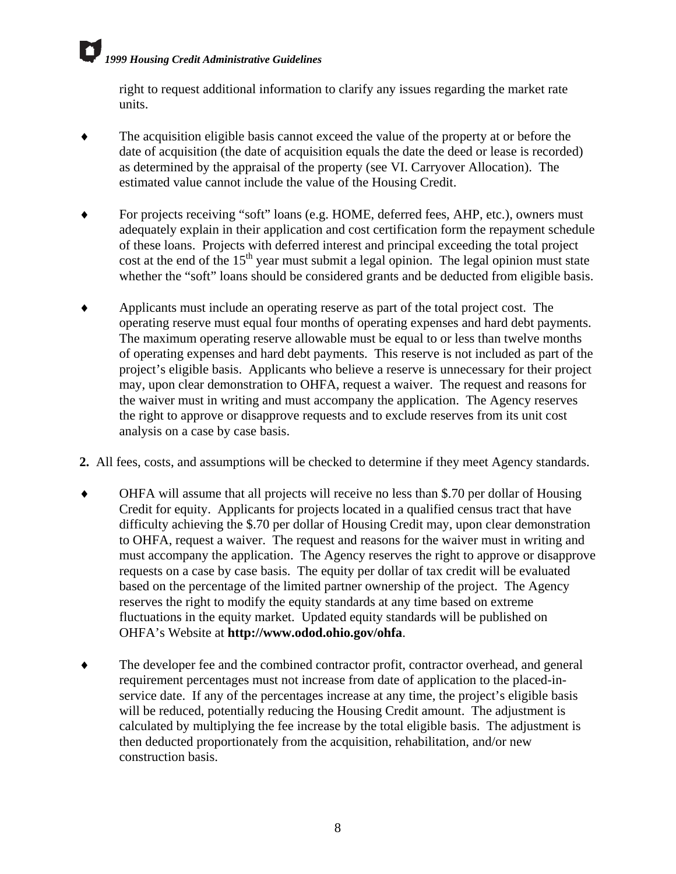right to request additional information to clarify any issues regarding the market rate units.

- ♦ The acquisition eligible basis cannot exceed the value of the property at or before the date of acquisition (the date of acquisition equals the date the deed or lease is recorded) as determined by the appraisal of the property (see VI. Carryover Allocation). The estimated value cannot include the value of the Housing Credit.
- For projects receiving "soft" loans (e.g. HOME, deferred fees, AHP, etc.), owners must adequately explain in their application and cost certification form the repayment schedule of these loans. Projects with deferred interest and principal exceeding the total project cost at the end of the  $15<sup>th</sup>$  year must submit a legal opinion. The legal opinion must state whether the "soft" loans should be considered grants and be deducted from eligible basis.
- ♦ Applicants must include an operating reserve as part of the total project cost. The operating reserve must equal four months of operating expenses and hard debt payments. The maximum operating reserve allowable must be equal to or less than twelve months of operating expenses and hard debt payments. This reserve is not included as part of the project's eligible basis. Applicants who believe a reserve is unnecessary for their project may, upon clear demonstration to OHFA, request a waiver. The request and reasons for the waiver must in writing and must accompany the application. The Agency reserves the right to approve or disapprove requests and to exclude reserves from its unit cost analysis on a case by case basis.
- **2.** All fees, costs, and assumptions will be checked to determine if they meet Agency standards.
- ♦ OHFA will assume that all projects will receive no less than \$.70 per dollar of Housing Credit for equity. Applicants for projects located in a qualified census tract that have difficulty achieving the \$.70 per dollar of Housing Credit may, upon clear demonstration to OHFA, request a waiver. The request and reasons for the waiver must in writing and must accompany the application. The Agency reserves the right to approve or disapprove requests on a case by case basis. The equity per dollar of tax credit will be evaluated based on the percentage of the limited partner ownership of the project. The Agency reserves the right to modify the equity standards at any time based on extreme fluctuations in the equity market. Updated equity standards will be published on OHFA's Website at **http://www.odod.ohio.gov/ohfa**.
- ♦ The developer fee and the combined contractor profit, contractor overhead, and general requirement percentages must not increase from date of application to the placed-inservice date. If any of the percentages increase at any time, the project's eligible basis will be reduced, potentially reducing the Housing Credit amount. The adjustment is calculated by multiplying the fee increase by the total eligible basis. The adjustment is then deducted proportionately from the acquisition, rehabilitation, and/or new construction basis.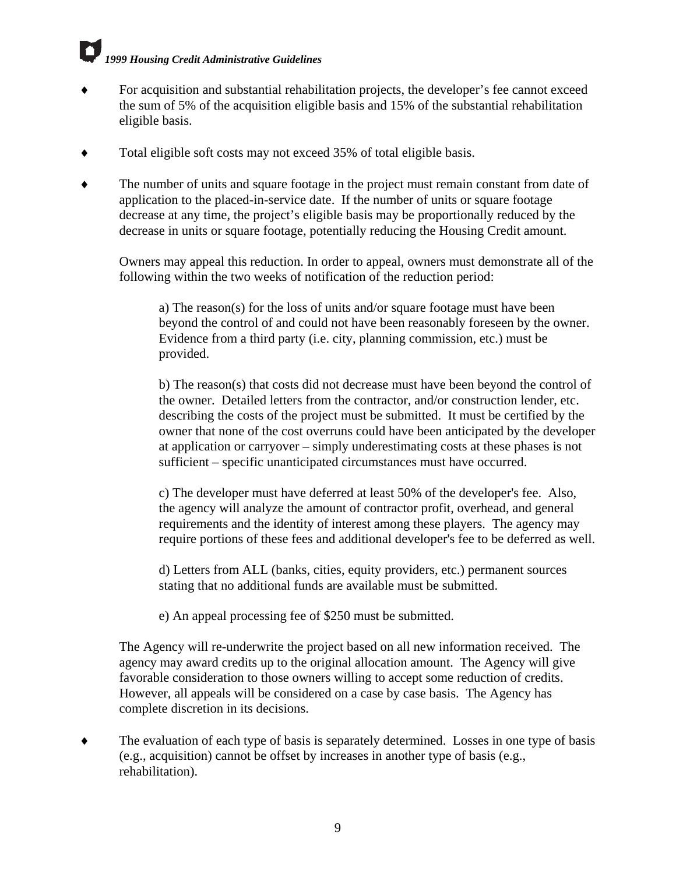- For acquisition and substantial rehabilitation projects, the developer's fee cannot exceed the sum of 5% of the acquisition eligible basis and 15% of the substantial rehabilitation eligible basis.
- Total eligible soft costs may not exceed 35% of total eligible basis.
- ♦ The number of units and square footage in the project must remain constant from date of application to the placed-in-service date. If the number of units or square footage decrease at any time, the project's eligible basis may be proportionally reduced by the decrease in units or square footage, potentially reducing the Housing Credit amount.

Owners may appeal this reduction. In order to appeal, owners must demonstrate all of the following within the two weeks of notification of the reduction period:

a) The reason(s) for the loss of units and/or square footage must have been beyond the control of and could not have been reasonably foreseen by the owner. Evidence from a third party (i.e. city, planning commission, etc.) must be provided.

b) The reason(s) that costs did not decrease must have been beyond the control of the owner. Detailed letters from the contractor, and/or construction lender, etc. describing the costs of the project must be submitted. It must be certified by the owner that none of the cost overruns could have been anticipated by the developer at application or carryover – simply underestimating costs at these phases is not sufficient – specific unanticipated circumstances must have occurred.

c) The developer must have deferred at least 50% of the developer's fee. Also, the agency will analyze the amount of contractor profit, overhead, and general requirements and the identity of interest among these players. The agency may require portions of these fees and additional developer's fee to be deferred as well.

d) Letters from ALL (banks, cities, equity providers, etc.) permanent sources stating that no additional funds are available must be submitted.

e) An appeal processing fee of \$250 must be submitted.

The Agency will re-underwrite the project based on all new information received. The agency may award credits up to the original allocation amount. The Agency will give favorable consideration to those owners willing to accept some reduction of credits. However, all appeals will be considered on a case by case basis. The Agency has complete discretion in its decisions.

♦ The evaluation of each type of basis is separately determined. Losses in one type of basis (e.g., acquisition) cannot be offset by increases in another type of basis (e.g., rehabilitation).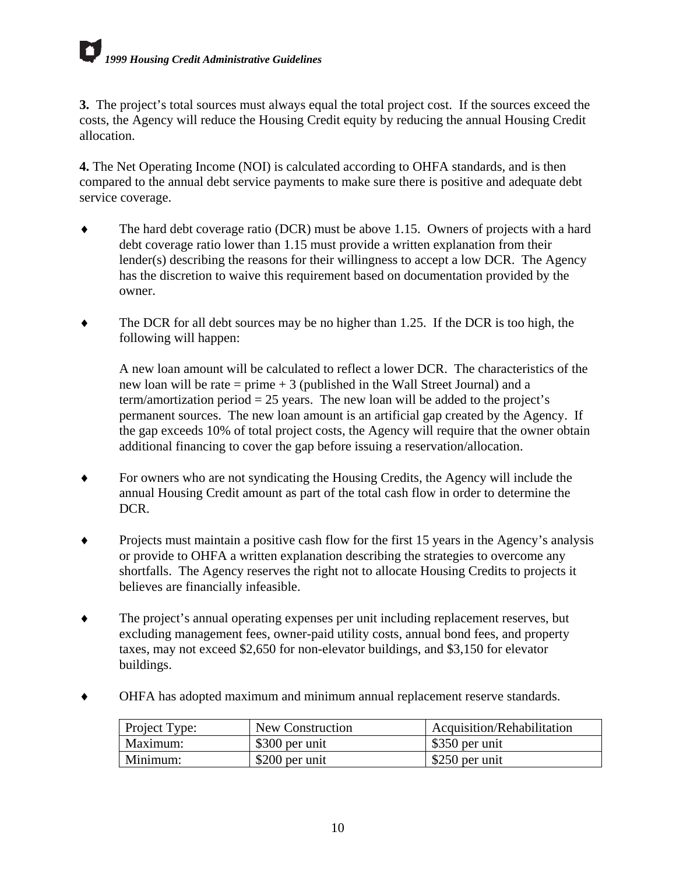**3.** The project's total sources must always equal the total project cost. If the sources exceed the costs, the Agency will reduce the Housing Credit equity by reducing the annual Housing Credit allocation.

**4.** The Net Operating Income (NOI) is calculated according to OHFA standards, and is then compared to the annual debt service payments to make sure there is positive and adequate debt service coverage.

- ♦ The hard debt coverage ratio (DCR) must be above 1.15. Owners of projects with a hard debt coverage ratio lower than 1.15 must provide a written explanation from their lender(s) describing the reasons for their willingness to accept a low DCR. The Agency has the discretion to waive this requirement based on documentation provided by the owner.
- $\blacklozenge$  The DCR for all debt sources may be no higher than 1.25. If the DCR is too high, the following will happen:

A new loan amount will be calculated to reflect a lower DCR. The characteristics of the new loan will be rate  $=$  prime  $+3$  (published in the Wall Street Journal) and a term/amortization period  $= 25$  years. The new loan will be added to the project's permanent sources. The new loan amount is an artificial gap created by the Agency. If the gap exceeds 10% of total project costs, the Agency will require that the owner obtain additional financing to cover the gap before issuing a reservation/allocation.

- ♦ For owners who are not syndicating the Housing Credits, the Agency will include the annual Housing Credit amount as part of the total cash flow in order to determine the DCR.
- Projects must maintain a positive cash flow for the first 15 years in the Agency's analysis or provide to OHFA a written explanation describing the strategies to overcome any shortfalls. The Agency reserves the right not to allocate Housing Credits to projects it believes are financially infeasible.
- ♦ The project's annual operating expenses per unit including replacement reserves, but excluding management fees, owner-paid utility costs, annual bond fees, and property taxes, may not exceed \$2,650 for non-elevator buildings, and \$3,150 for elevator buildings.
- ♦ OHFA has adopted maximum and minimum annual replacement reserve standards.

| <b>Project Type:</b> | New Construction | Acquisition/Rehabilitation   |
|----------------------|------------------|------------------------------|
| Maximum:             | \$300 per unit   | $\frac{1}{2}$ \$350 per unit |
| Minimum:             | \$200 per unit   | \$250 per unit               |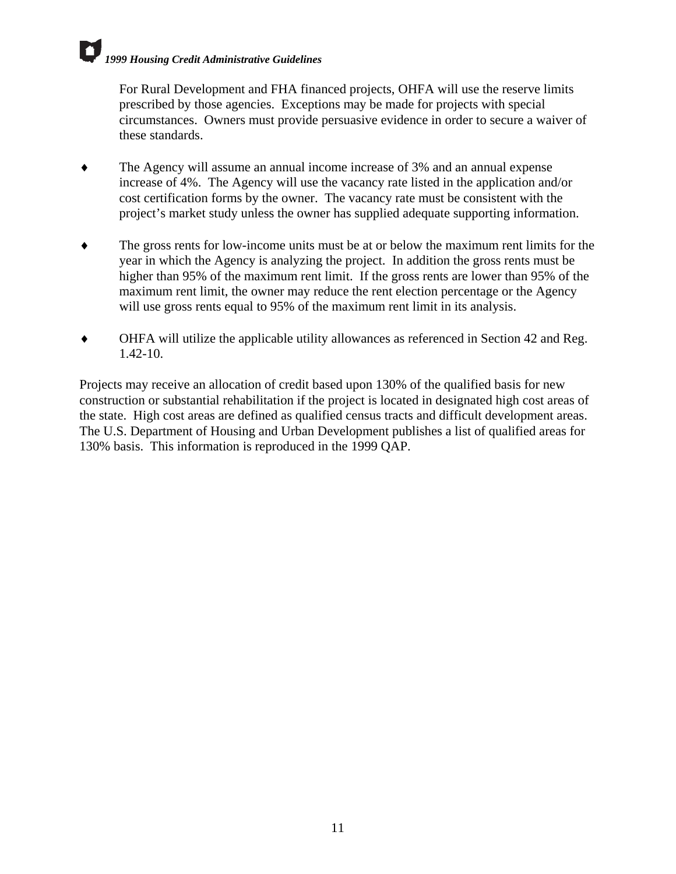For Rural Development and FHA financed projects, OHFA will use the reserve limits prescribed by those agencies. Exceptions may be made for projects with special circumstances. Owners must provide persuasive evidence in order to secure a waiver of these standards.

- The Agency will assume an annual income increase of 3% and an annual expense increase of 4%. The Agency will use the vacancy rate listed in the application and/or cost certification forms by the owner. The vacancy rate must be consistent with the project's market study unless the owner has supplied adequate supporting information.
- ♦ The gross rents for low-income units must be at or below the maximum rent limits for the year in which the Agency is analyzing the project. In addition the gross rents must be higher than 95% of the maximum rent limit. If the gross rents are lower than 95% of the maximum rent limit, the owner may reduce the rent election percentage or the Agency will use gross rents equal to 95% of the maximum rent limit in its analysis.
- ♦ OHFA will utilize the applicable utility allowances as referenced in Section 42 and Reg. 1.42-10.

Projects may receive an allocation of credit based upon 130% of the qualified basis for new construction or substantial rehabilitation if the project is located in designated high cost areas of the state. High cost areas are defined as qualified census tracts and difficult development areas. The U.S. Department of Housing and Urban Development publishes a list of qualified areas for 130% basis. This information is reproduced in the 1999 QAP.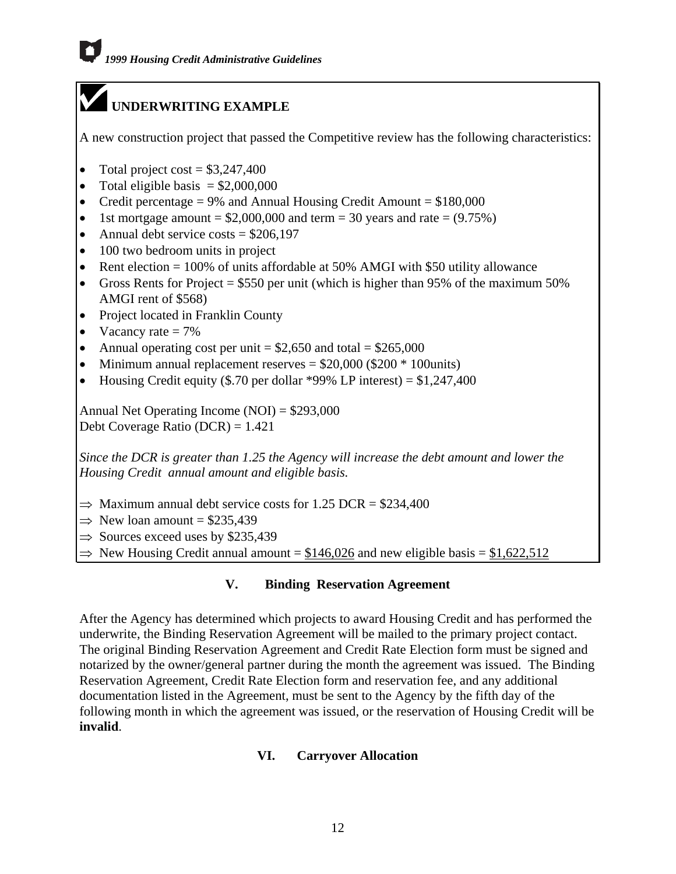## <span id="page-64-0"></span>**UNDERWRITING EXAMPLE**

A new construction project that passed the Competitive review has the following characteristics:

- Total project cost  $= $3,247,400$
- Total eligible basis  $= $2,000,000$
- Credit percentage = 9% and Annual Housing Credit Amount =  $$180,000$
- 1st mortgage amount  $= $2,000,000$  and term  $= 30$  years and rate  $= (9.75\%)$
- Annual debt service costs  $=$  \$206,197
- 100 two bedroom units in project
- Rent election = 100% of units affordable at 50% AMGI with \$50 utility allowance
- Gross Rents for Project = \$550 per unit (which is higher than 95% of the maximum 50% AMGI rent of \$568)
- Project located in Franklin County
- Vacancy rate  $= 7\%$
- Annual operating cost per unit  $= $2,650$  and total  $= $265,000$
- Minimum annual replacement reserves = \$20,000 (\$200 \* 100units)
- Housing Credit equity (\$.70 per dollar \*99% LP interest) =  $$1,247,400$

Annual Net Operating Income (NOI) = \$293,000 Debt Coverage Ratio (DCR) = 1.421

*Since the DCR is greater than 1.25 the Agency will increase the debt amount and lower the Housing Credit annual amount and eligible basis.*

- $\Rightarrow$  Maximum annual debt service costs for 1.25 DCR = \$234,400
- $\Rightarrow$  New loan amount = \$235,439
- $\Rightarrow$  Sources exceed uses by \$235,439
- $\Rightarrow$  New Housing Credit annual amount = \$146,026 and new eligible basis = \$1,622,512

## **V. Binding Reservation Agreement**

After the Agency has determined which projects to award Housing Credit and has performed the underwrite, the Binding Reservation Agreement will be mailed to the primary project contact. The original Binding Reservation Agreement and Credit Rate Election form must be signed and notarized by the owner/general partner during the month the agreement was issued. The Binding Reservation Agreement, Credit Rate Election form and reservation fee, and any additional documentation listed in the Agreement, must be sent to the Agency by the fifth day of the following month in which the agreement was issued, or the reservation of Housing Credit will be **invalid**.

## **VI. Carryover Allocation**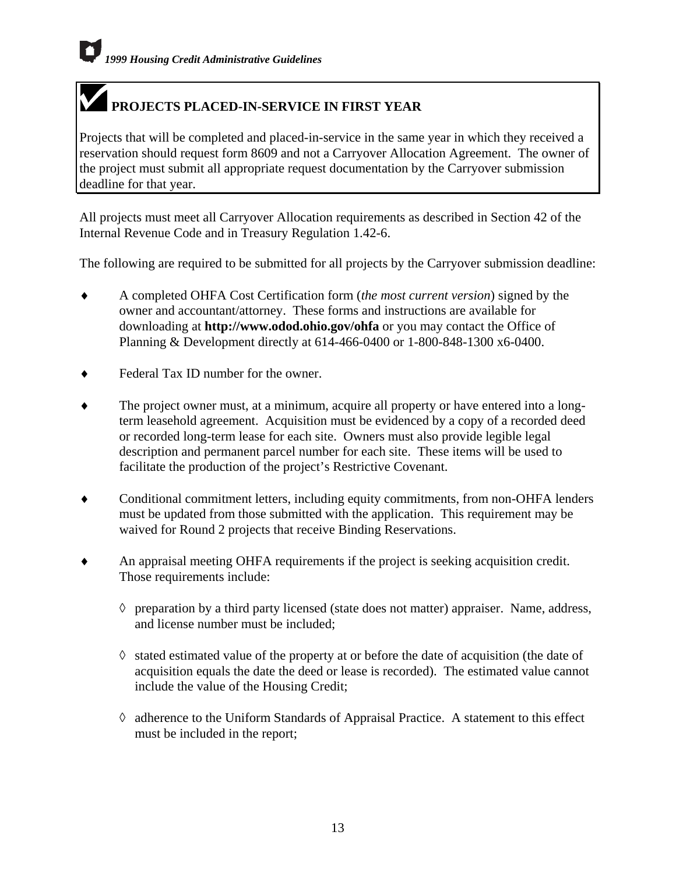## **PROJECTS PLACED-IN-SERVICE IN FIRST YEAR**

Projects that will be completed and placed-in-service in the same year in which they received a reservation should request form 8609 and not a Carryover Allocation Agreement. The owner of the project must submit all appropriate request documentation by the Carryover submission deadline for that year.

All projects must meet all Carryover Allocation requirements as described in Section 42 of the Internal Revenue Code and in Treasury Regulation 1.42-6.

The following are required to be submitted for all projects by the Carryover submission deadline:

- ♦ A completed OHFA Cost Certification form (*the most current version*) signed by the owner and accountant/attorney. These forms and instructions are available for downloading at **http://www.odod.ohio.gov/ohfa** or you may contact the Office of Planning & Development directly at 614-466-0400 or 1-800-848-1300 x6-0400.
- ♦ Federal Tax ID number for the owner.
- ♦ The project owner must, at a minimum, acquire all property or have entered into a longterm leasehold agreement. Acquisition must be evidenced by a copy of a recorded deed or recorded long-term lease for each site. Owners must also provide legible legal description and permanent parcel number for each site. These items will be used to facilitate the production of the project's Restrictive Covenant.
- ♦ Conditional commitment letters, including equity commitments, from non-OHFA lenders must be updated from those submitted with the application. This requirement may be waived for Round 2 projects that receive Binding Reservations.
- An appraisal meeting OHFA requirements if the project is seeking acquisition credit. Those requirements include:
	- ◊ preparation by a third party licensed (state does not matter) appraiser. Name, address, and license number must be included;
	- ◊ stated estimated value of the property at or before the date of acquisition (the date of acquisition equals the date the deed or lease is recorded). The estimated value cannot include the value of the Housing Credit;
	- ◊ adherence to the Uniform Standards of Appraisal Practice. A statement to this effect must be included in the report;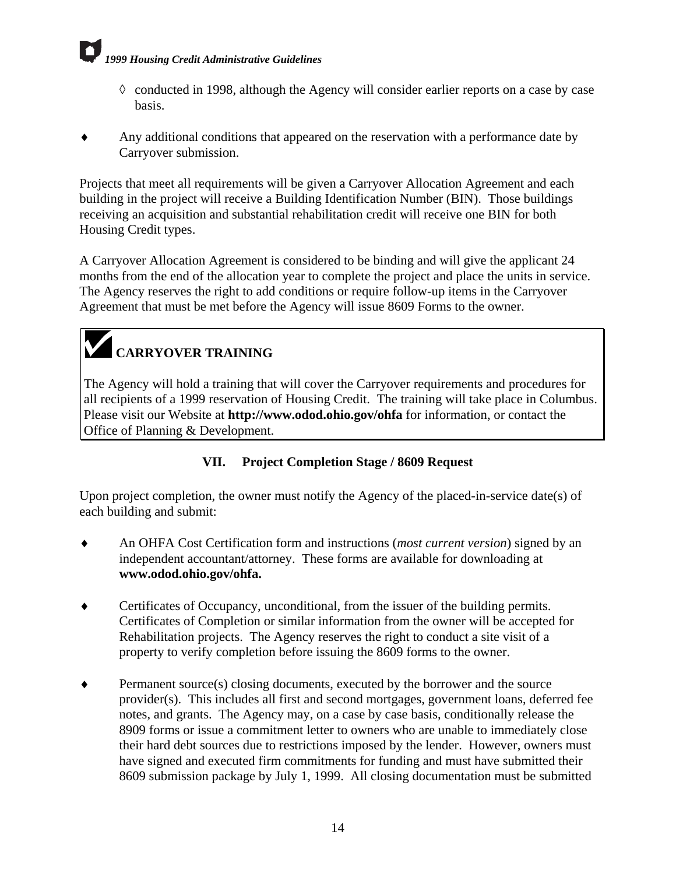- <span id="page-66-0"></span>◊ conducted in 1998, although the Agency will consider earlier reports on a case by case basis.
- Any additional conditions that appeared on the reservation with a performance date by Carryover submission.

Projects that meet all requirements will be given a Carryover Allocation Agreement and each building in the project will receive a Building Identification Number (BIN). Those buildings receiving an acquisition and substantial rehabilitation credit will receive one BIN for both Housing Credit types.

A Carryover Allocation Agreement is considered to be binding and will give the applicant 24 months from the end of the allocation year to complete the project and place the units in service. The Agency reserves the right to add conditions or require follow-up items in the Carryover Agreement that must be met before the Agency will issue 8609 Forms to the owner.

## **CARRYOVER TRAINING**

The Agency will hold a training that will cover the Carryover requirements and procedures for all recipients of a 1999 reservation of Housing Credit. The training will take place in Columbus. Please visit our Website at **http://www.odod.ohio.gov/ohfa** for information, or contact the Office of Planning & Development.

## **VII. Project Completion Stage / 8609 Request**

Upon project completion, the owner must notify the Agency of the placed-in-service date(s) of each building and submit:

- ♦ An OHFA Cost Certification form and instructions (*most current version*) signed by an independent accountant/attorney. These forms are available for downloading at **www.odod.ohio.gov/ohfa.**
- ♦ Certificates of Occupancy, unconditional, from the issuer of the building permits. Certificates of Completion or similar information from the owner will be accepted for Rehabilitation projects. The Agency reserves the right to conduct a site visit of a property to verify completion before issuing the 8609 forms to the owner.
- ♦ Permanent source(s) closing documents, executed by the borrower and the source provider(s). This includes all first and second mortgages, government loans, deferred fee notes, and grants. The Agency may, on a case by case basis, conditionally release the 8909 forms or issue a commitment letter to owners who are unable to immediately close their hard debt sources due to restrictions imposed by the lender. However, owners must have signed and executed firm commitments for funding and must have submitted their 8609 submission package by July 1, 1999. All closing documentation must be submitted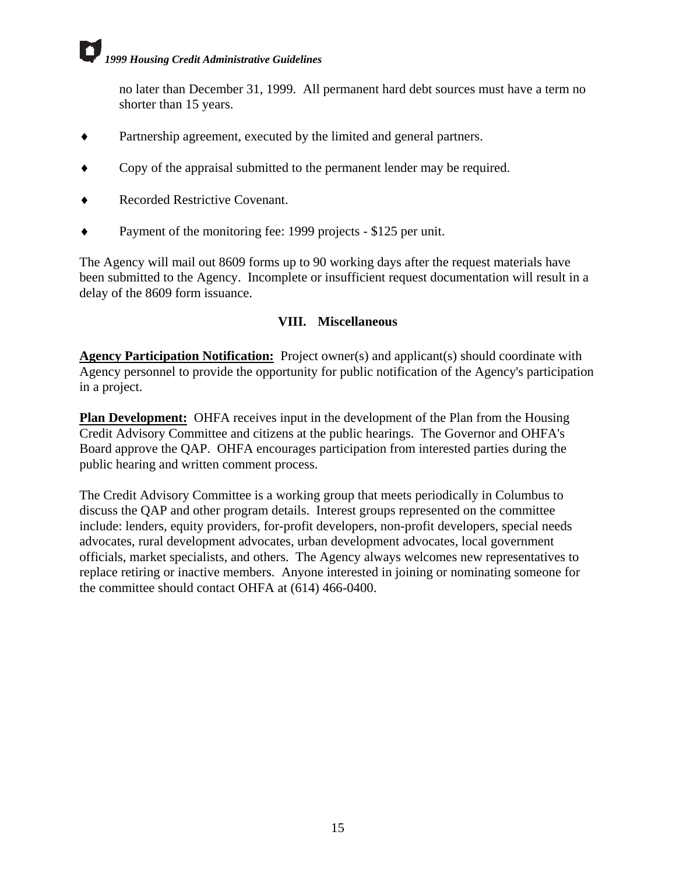<span id="page-67-0"></span>no later than December 31, 1999. All permanent hard debt sources must have a term no shorter than 15 years.

- ♦ Partnership agreement, executed by the limited and general partners.
- Copy of the appraisal submitted to the permanent lender may be required.
- **Recorded Restrictive Covenant.**
- ♦ Payment of the monitoring fee: 1999 projects \$125 per unit.

The Agency will mail out 8609 forms up to 90 working days after the request materials have been submitted to the Agency. Incomplete or insufficient request documentation will result in a delay of the 8609 form issuance.

## **VIII. Miscellaneous**

**Agency Participation Notification:** Project owner(s) and applicant(s) should coordinate with Agency personnel to provide the opportunity for public notification of the Agency's participation in a project.

**Plan Development:** OHFA receives input in the development of the Plan from the Housing Credit Advisory Committee and citizens at the public hearings. The Governor and OHFA's Board approve the QAP. OHFA encourages participation from interested parties during the public hearing and written comment process.

The Credit Advisory Committee is a working group that meets periodically in Columbus to discuss the QAP and other program details. Interest groups represented on the committee include: lenders, equity providers, for-profit developers, non-profit developers, special needs advocates, rural development advocates, urban development advocates, local government officials, market specialists, and others. The Agency always welcomes new representatives to replace retiring or inactive members. Anyone interested in joining or nominating someone for the committee should contact OHFA at (614) 466-0400.